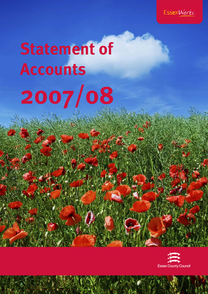

# **Statement of Accounts 2007/08**

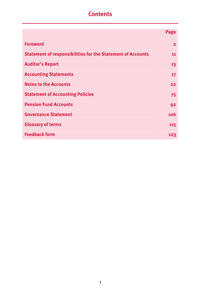# **Contents**

|                                                                    | Page         |
|--------------------------------------------------------------------|--------------|
| <b>Foreword</b>                                                    | $\mathbf{2}$ |
| <b>Statement of responsibilities for the Statement of Accounts</b> | 11           |
| <b>Auditor's Report</b>                                            | 13           |
| <b>Accounting Statements</b>                                       | 17           |
| <b>Notes to the Accounts</b>                                       | 22           |
| <b>Statement of Accounting Policies</b>                            | 75           |
| <b>Pension Fund Accounts</b>                                       | 92           |
| <b>Governance Statement</b>                                        | 106          |
| <b>Glossary of terms</b>                                           | 115          |
| <b>Feedback form</b>                                               | 123          |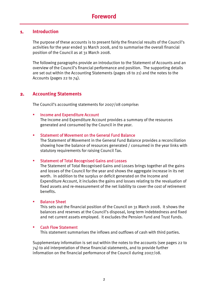#### **1. Introduction**

The purpose of these accounts is to present fairly the financial results of the Council's activities for the year ended 31 March 2008, and to summarise the overall financial position of the Council as at 31 March 2008.

The following paragraphs provide an introduction to the Statement of Accounts and an overview of the Council's financial performance and position. The supporting details are set out within the Accounting Statements (pages 18 to 21) and the notes to the Accounts (pages 22 to 74).

#### **2. Accounting Statements**

The Council's accounting statements for 2007/08 comprise:

#### Income and Expenditure Account

The Income and Expenditure Account provides a summary of the resources generated and consumed by the Council in the year.

#### Statement of Movement on the General Fund Balance

The Statement of Movement in the General Fund Balance provides a reconciliation showing how the balance of resources generated / consumed in the year links with statutory requirements for raising Council Tax.

#### Statement of Total Recognised Gains and Losses

The Statement of Total Recognised Gains and Losses brings together all the gains and losses of the Council for the year and shows the aggregate increase in its net worth. In addition to the surplus or deficit generated on the Income and Expenditure Account, it includes the gains and losses relating to the revaluation of fixed assets and re-measurement of the net liability to cover the cost of retirement benefits.

#### Balance Sheet

This sets out the financial position of the Council on 31 March 2008. It shows the balances and reserves at the Council's disposal, long term indebtedness and fixed and net current assets employed. It excludes the Pension Fund and Trust Funds.

#### **EXEC** Cash Flow Statement

This statement summarises the inflows and outflows of cash with third parties.

Supplementary information is set out within the notes to the accounts (see pages 22 to 74) to aid interpretation of these financial statements, and to provide further information on the financial performance of the Council during 2007/08.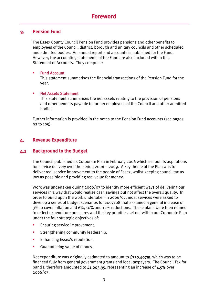#### **3. Pension Fund**

The Essex County Council Pension Fund provides pensions and other benefits to employees of the Council, district, borough and unitary councils and other scheduled and admitted bodies. An annual report and accounts is published for the Fund. However, the accounting statements of the Fund are also included within this Statement of Accounts. They comprise:

#### Fund Account

This statement summarises the financial transactions of the Pension Fund for the year.

#### Net Assets Statement

This statement summarises the net assets relating to the provision of pensions and other benefits payable to former employees of the Council and other admitted bodies.

Further information is provided in the notes to the Pension Fund accounts (see pages 92 to 105).

#### **4. Revenue Expenditure**

## **4.1 Background to the Budget**

The Council published its Corporate Plan in February 2006 which set out its aspirations for service delivery over the period 2006 – 2009. A key theme of the Plan was to deliver real service improvement to the people of Essex, whilst keeping council tax as low as possible and providing real value for money.

Work was undertaken during 2006/07 to identify more efficient ways of delivering our services in a way that would realise cash savings but not affect the overall quality. In order to build upon the work undertaken in 2006/07, most services were asked to develop a series of budget scenarios for 2007/08 that assumed a general increase of 3% to cover inflation and 6%, 10% and 12% reductions. These plans were then refined to reflect expenditure pressures and the key priorities set out within our Corporate Plan under the four strategic objectives of:

- Ensuring service improvement.
- **Strengthening community leadership.**
- **Enhancing Essex's reputation.**
- **Guaranteeing value of money.**

Net expenditure was originally estimated to amount to  $f_{730.407}$ m, which was to be financed fully from general government grants and local taxpayers. The Council Tax for band D therefore amounted to £1,003.95, representing an increase of 4.5% over 2006/07.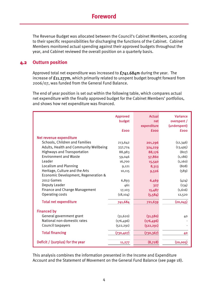The Revenue Budget was allocated between the Council's Cabinet Members, according to their specific responsibilities for discharging the functions of the Cabinet. Cabinet Members monitored actual spending against their approved budgets throughout the year, and Cabinet reviewed the overall position on a quarterly basis.

## **4.2 Outturn position**

Approved total net expenditure was increased to  $f$ 741.684m during the year. The increase of £11.277m, which primarily related to unspent budget brought forward from 2006/07, was funded from the General Fund Balance.

The end of year position is set out within the following table, which compares actual net expenditure with the finally approved budget for the Cabinet Members' portfolios, and shows how net expenditure was financed.

|                                        | <b>Approved</b><br>budget<br>fooo | <b>Actual</b><br><b>net</b><br>expenditure<br><b>fooo</b> | <b>Variance</b><br>overspent /<br>(underspent)<br><b>fooo</b> |
|----------------------------------------|-----------------------------------|-----------------------------------------------------------|---------------------------------------------------------------|
| Net revenue expenditure                |                                   |                                                           |                                                               |
| Schools, Children and Families         | 213,642                           | 201,296                                                   | (12,346)                                                      |
| Adults, Health and Community Wellbeing | 337,724                           | 324,229                                                   | (13, 495)                                                     |
| <b>Highways and Transportation</b>     | 88,983                            | 88,176                                                    | (807)                                                         |
| <b>Environment and Waste</b>           | 59,046                            | 57,860                                                    | (1, 186)                                                      |
| Leader                                 | 16,700                            | 15,540                                                    | (1,160)                                                       |
| Localism and Planning                  | 9,121                             | 8,313                                                     | (808)                                                         |
| Heritage, Culture and the Arts         | 10,115                            | 9,526                                                     | (589)                                                         |
| Economic Development, Regeneration &   |                                   |                                                           |                                                               |
| 2012 Games                             | 6,893                             | 6,469                                                     | (424)                                                         |
| Deputy Leader                          | 461                               | 327                                                       | (134)                                                         |
| Finance and Change Management          | 17,103                            | 15,487                                                    | (1,616)                                                       |
| Operating costs                        | (18, 104)                         | (5, 584)                                                  | 12,520                                                        |
| <b>Total net expenditure</b>           | 741,684                           | 721,639                                                   | (20, 045)                                                     |
| <b>Financed by</b>                     |                                   |                                                           |                                                               |
| General government grant               | (31, 620)                         | (31,580)                                                  | 40                                                            |
| National non-domestic rates            | (176, 496)                        | (176, 496)                                                |                                                               |
| Council taxpayers                      | (522, 291)                        | (522, 291)                                                |                                                               |
| <b>Total financing</b>                 | (730, 407)                        | (730, 367)                                                | 40                                                            |
| Deficit / (surplus) for the year       | 11,277                            | (8,728)                                                   | (20, 005)                                                     |

This analysis combines the information presented in the Income and Expenditure Account and the Statement of Movement on the General Fund Balance (see page 18).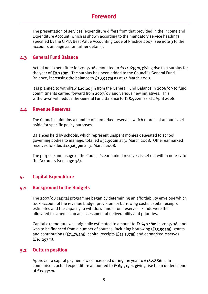# **Foreword**

The presentation of services' expenditure differs from that provided in the Income and Expenditure Account, which is shown according to the mandatory service headings specified by the CIPFA Best Value Accounting Code of Practice 2007 (see note 3 to the accounts on page 24 for further details).

#### **4.3 General Fund Balance**

Actual net expenditure for 2007/08 amounted to  $f$ 721.639m, giving rise to a surplus for the year of £8.728m. The surplus has been added to the Council's General Fund Balance, increasing the balance to £38.927m as at 31 March 2008.

It is planned to withdraw  $f_{20.005}$ m from the General Fund Balance in 2008/09 to fund commitments carried forward from 2007/08 and various new initiatives. This withdrawal will reduce the General Fund Balance to £18.922m as at 1 April 2008.

#### **4.4 Revenue Reserves**

The Council maintains a number of earmarked reserves, which represent amounts set aside for specific policy purposes.

Balances held by schools, which represent unspent monies delegated to school governing bodies to manage, totalled £52.902m at 31 March 2008. Other earmarked reserves totalled £143.639m at 31 March 2008.

The purpose and usage of the Council's earmarked reserves is set out within note 17 to the Accounts (see page 38).

# **5. Capital Expenditure**

#### **5.1 Background to the Budgets**

The 2007/08 capital programme began by determining an affordability envelope which took account of the revenue budget provision for borrowing costs, capital receipts estimates and the capacity to withdraw funds from reserves. Funds were then allocated to schemes on an assessment of deliverability and priorities.

Capital expenditure was originally estimated to amount to  $f164.748$ m in 2007/08, and was to be financed from a number of sources, including borrowing  $(f_{55.502m})$ , grants and contributions  $(f71.762m)$ , capital receipts  $(f21.187m)$  and earmarked reserves  $(f16.297m)$ .

#### **5.2 Outturn position**

Approval to capital payments was increased during the year to £182.886m. In comparison, actual expenditure amounted to £165.515m, giving rise to an under spend of £17.371m.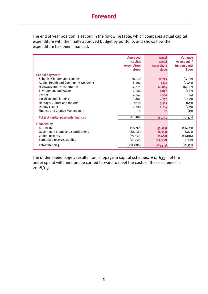# **Foreword**

The end of year position is set out in the following table, which compares actual capital expenditure with the finally approved budget by portfolio, and shows how the expenditure has been financed.

|                                           | <b>Approved</b><br>capital<br>expenditure<br><b>fooo</b> | <b>Actual</b><br>capital<br>expenditure<br><b>fooo</b> | <b>Variance</b><br>overspent /<br>(underspent)<br><b>fooo</b> |
|-------------------------------------------|----------------------------------------------------------|--------------------------------------------------------|---------------------------------------------------------------|
| <b>Capital payments</b>                   |                                                          |                                                        |                                                               |
| Schools, Children and Families            | 78,057                                                   | 72,725                                                 | (5,332)                                                       |
| Adults, Health and Community Wellbeing    | 8,202                                                    | 5,751                                                  | (2,451)                                                       |
| <b>Highways and Transportation</b>        | 74,861                                                   | 68,834                                                 | (6, 027)                                                      |
| <b>Environment and Waste</b>              | 4,384                                                    | 3,897                                                  | (487)                                                         |
| Leader                                    | 4,544                                                    | 4,540                                                  | (4)                                                           |
| Localism and Planning                     | 5,886                                                    | 4,237                                                  | (1,649)                                                       |
| Heritage, Culture and the Arts            | 4,118                                                    | 3,505                                                  | (613)                                                         |
| Deputy Leader                             | 2,803                                                    | 2,014                                                  | (789)                                                         |
| Finance and Change Management             | 31                                                       | 12                                                     | (19)                                                          |
| <b>Total of capital payments financed</b> | 182,886                                                  | 165,515                                                | (17, 371)                                                     |
| <b>Financed by</b>                        |                                                          |                                                        |                                                               |
| <b>Borrowing</b>                          | (54, 717)                                                | (43,974)                                               | (10,743)                                                      |
| Government grants and contributions       | (82, 556)                                                | (76, 335)                                              | (6, 221)                                                      |
| Capital receipts                          | (25, 654)                                                | (15, 638)                                              | (10, 016)                                                     |
| Earmarked reserves applied                | (19, 959)                                                | (29, 568)                                              | 9,609                                                         |
| <b>Total financing</b>                    | (182, 886)                                               | (165, 515)                                             | (17, 371)                                                     |

The under spend largely results from slippage in capital schemes. £14.633m of the under spend will therefore be carried forward to meet the costs of these schemes in 2008/09.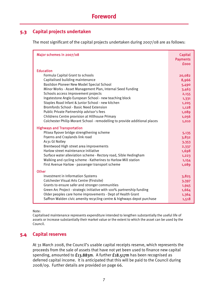## **5.3 Capital projects undertaken**

The most significant of the capital projects undertaken during 2007/08 are as follows:

| Major schemes in 2007/08                                                                                                                                                                                                                                                                                                                                                                                                                                                                                    | <b>Capital</b><br><b>Payments</b><br>fooo                                               |
|-------------------------------------------------------------------------------------------------------------------------------------------------------------------------------------------------------------------------------------------------------------------------------------------------------------------------------------------------------------------------------------------------------------------------------------------------------------------------------------------------------------|-----------------------------------------------------------------------------------------|
| <b>Education</b><br>Formula Capital Grant to schools<br>Capitalised building maintenance<br>Basildon Pioneer New Model Special School<br>Minor Works - Asset Management Plan, Internal Seed Funding<br>Schools access improvement projects<br>Ingatestone Anglo European School - new teaching block<br>Staples Road Infant & Junior School - new kitchen<br><b>Bromfords School - Basic Need Extension</b><br>Public Private Partnership advisor's fees<br>Childrens Centre provision at Hillhouse Primary | 20,082<br>8,966<br>5,490<br>3,463<br>2,155<br>1,331<br>1,205<br>1,128<br>1,089<br>1,056 |
| Colchester Philip Morant School - remodelling to provide additional places<br><b>Highways and Transportation</b><br>Pitsea flyover bridge strengthening scheme<br>Fryerns and Craylands link road<br>A131 Gt Notley<br>Brentwood High street area improvements<br>Harlow street maintenance initiative<br>Surface water alleviation scheme - Rectory road, Sible Hedingham<br>Walking and cycling scheme - Katherines to Harlow Mill station<br>First Avenue Harlow - passenger transport scheme            | 1,010<br>5,135<br>3,832<br>3,353<br>2,337<br>1,698<br>1,223<br>1,154<br>1,089           |
| <b>Other</b><br>Investment in Information Systems<br>Colchester Visual Arts Centre (Firstsite)<br>Grants to ensure safer and stronger communities<br>Green Arc Project - strategic initiative with 100% partnership funding<br>Older peoples care home improvements - Dept of Health Grant<br>Saffron Walden civic amenity recycling centre & highways depot purchase                                                                                                                                       | 3,825<br>3,397<br>1,945<br>1,664<br>1,364<br>1,518                                      |

Note:

Capitalised maintenance represents expenditure intended to lengthen substantially the useful life of assets or increase substantially their market value or the extent to which the asset can be used by the Council.

## **5.4 Capital reserves**

At 31 March 2008, the Council's usable capital receipts reserve, which represents the proceeds from the sale of assets that have not yet been used to finance new capital spending, amounted to £13.883m. A further £18.517m has been recognised as deferred capital income. It is anticipated that this will be paid to the Council during 2008/09. Further details are provided on page 66.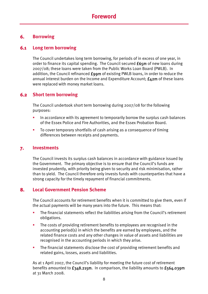## **6. Borrowing**

## **6.1 Long term borrowing**

The Council undertakes long term borrowing, for periods of in excess of one year, in order to finance its capital spending. The Council secured £65m of new loans during 2007/08; these loans were taken from the Public Works Loan Board (PWLB). In addition, the Council refinanced £99m of existing PWLB loans, in order to reduce the annual interest burden on the Income and Expenditure Account; £42m of these loans were replaced with money market loans.

# **6.2 Short term borrowing**

The Council undertook short term borrowing during 2007/08 for the following purposes:

- In accordance with its agreement to temporarily borrow the surplus cash balances of the Essex Police and Fire Authorities, and the Essex Probation Board.
- To cover temporary shortfalls of cash arising as a consequence of timing differences between receipts and payments.

#### **7. Investments**

The Council invests its surplus cash balances in accordance with guidance issued by the Government. The primary objective is to ensure that the Council's funds are invested prudently, with priority being given to security and risk minimisation, rather than to yield. The Council therefore only invests funds with counterparties that have a strong capacity for the timely repayment of financial commitments.

## **8. Local Government Pension Scheme**

The Council accounts for retirement benefits when it is committed to give them, even if the actual payments will be many years into the future. This means that:

- The financial statements reflect the liabilities arising from the Council's retirement obligations.
- The costs of providing retirement benefits to employees are recognised in the accounting period(s) in which the benefits are earned by employees, and the related finance costs and any other changes in value of assets and liabilities are recognised in the accounting periods in which they arise.
- The financial statements disclose the cost of providing retirement benefits and related gains, losses, assets and liabilities.

As at 1 April 2007, the Council's liability for meeting the future cost of retirement benefits amounted to £348.215m. In comparison, the liability amounts to £564.039m at 31 March 2008.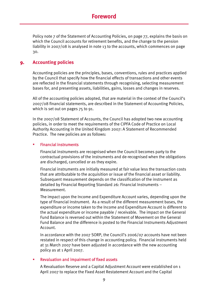Policy note 7 of the Statement of Accounting Policies, on page 77, explains the basis on which the Council accounts for retirement benefits, and the change to the pension liability in 2007/08 is analysed in note 13 to the accounts, which commences on page 30.

#### **9. Accounting policies**

Accounting policies are the principles, bases, conventions, rules and practices applied by the Council that specify how the financial effects of transactions and other events are reflected in the financial statements through recognising, selecting measurement bases for, and presenting assets, liabilities, gains, losses and changes in reserves.

All of the accounting policies adopted, that are material in the context of the Council's 2007/08 financial statements, are described in the Statement of Accounting Policies, which is set out on pages 75 to 91.

In the 2007/08 Statement of Accounts, the Council has adopted two new accounting policies, in order to meet the requirements of the CIPFA Code of Practice on Local Authority Accounting in the United Kingdom 2007: A Statement of Recommended Practice. The new policies are as follows:

#### Financial instruments

Financial instruments are recognised when the Council becomes party to the contractual provisions of the instruments and de-recognised when the obligations are discharged, cancelled or as they expire.

Financial instruments are initially measured at fair value less the transaction costs that are attributable to the acquisition or issue of the financial asset or liability. Subsequent measurement depends on the classification of the instrument as detailed by Financial Reporting Standard 26: Financial Instruments – Measurement.

The impact upon the Income and Expenditure Account varies, depending upon the type of financial instrument. As a result of the different measurement bases, the expenditure or income taken to the Income and Expenditure Account is different to the actual expenditure or income payable / receivable. The impact on the General Fund Balance is reversed out within the Statement of Movement on the General Fund Balance and the difference is posted to the Financial Instruments Adjustment Account.

In accordance with the 2007 SORP, the Council's 2006/07 accounts have not been restated in respect of this change in accounting policy. Financial instruments held at 31 March 2007 have been adjusted in accordance with the new accounting policy as at 1 April 2007.

#### Revaluation and impairment of fixed assets

A Revaluation Reserve and a Capital Adjustment Account were established on 1 April 2007 to replace the Fixed Asset Restatement Account and the Capital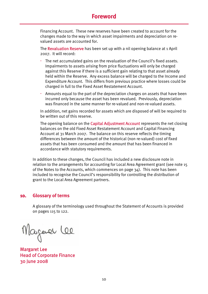# **Foreword**

Financing Account. These new reserves have been created to account for the changes made to the way in which asset impairments and depreciation on revalued assets are accounted for.

The Revaluation Reserve has been set up with a nil opening balance at 1 April 2007. It will record:

- The net accumulated gains on the revaluation of the Council's fixed assets. Impairments to assets arising from price fluctuations will only be charged against this Reserve if there is a sufficient gain relating to that asset already held within the Reserve. Any excess balance will be charged to the Income and Expenditure Account. This differs from previous practice where losses could be charged in full to the Fixed Asset Restatement Account.
- Amounts equal to the part of the depreciation charges on assets that have been incurred only because the asset has been revalued. Previously, depreciation was financed in the same manner for re-valued and non-re-valued assets.

In addition, net gains recorded for assets which are disposed of will be required to be written out of this reserve.

The opening balance on the **Capital Adjustment Account** represents the net closing balances on the old Fixed Asset Restatement Account and Capital Financing Account at 31 March 2007. The balance on this reserve reflects the timing differences between the amount of the historical (non re-valued) cost of fixed assets that has been consumed and the amount that has been financed in accordance with statutory requirements.

In addition to these changes, the Council has included a new disclosure note in relation to the arrangements for accounting for Local Area Agreement grant (see note 15 of the Notes to the Accounts, which commences on page 34). This note has been included to recognise the Council's responsibility for controlling the distribution of grant to the Local Area Agreement partners.

#### **10. Glossary of terms**

A glossary of the terminology used throughout the Statement of Accounts is provided on pages 115 to 122.

Magaver Lee

Margaret Lee Head of Corporate Finance 30 June 2008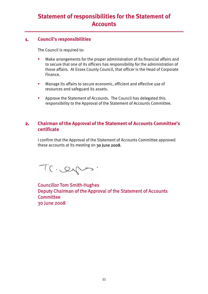# **Statement of responsibilities for the Statement of Accounts**

#### **1. Council's responsibilities**

The Council is required to:

- **•** Make arrangements for the proper administration of its financial affairs and to secure that one of its officers has responsibility for the administration of those affairs. At Essex County Council, that officer is the Head of Corporate Finance.
- **Manage its affairs to secure economic, efficient and effective use of** resources and safeguard its assets.
- **Approve the Statement of Accounts. The Council has delegated this** responsibility to the Approval of the Statement of Accounts Committee.

#### **2. Chairman of the Approval of the Statement of Accounts Committee's certificate**

I confirm that the Approval of the Statement of Accounts Committee approved these accounts at its meeting on 30 June 2008.

Trieges.

Councillor Tom Smith-Hughes Deputy Chairman of the Approval of the Statement of Accounts **Committee** 30 June 2008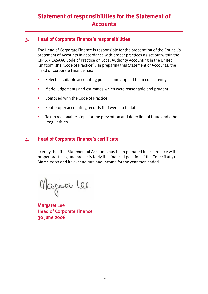# **Statement of responsibilities for the Statement of Accounts**

#### **3. Head of Corporate Finance's responsibilities**

The Head of Corporate Finance is responsible for the preparation of the Council's Statement of Accounts in accordance with proper practices as set out within the CIPFA / LASAAC Code of Practice on Local Authority Accounting in the United Kingdom (the 'Code of Practice'). In preparing this Statement of Accounts, the Head of Corporate Finance has:

- **EXECTED Selected suitable accounting policies and applied them consistently.**
- **Made judgements and estimates which were reasonable and prudent.**
- **Complied with the Code of Practice.**
- Kept proper accounting records that were up to date.
- **Taken reasonable steps for the prevention and detection of fraud and other** irregularities.

## **4. Head of Corporate Finance's certificate**

I certify that this Statement of Accounts has been prepared in accordance with proper practices, and presents fairly the financial position of the Council at 31 March 2008 and its expenditure and income for the year then ended.

Magaver Lee

Margaret Lee Head of Corporate Finance 30 June 2008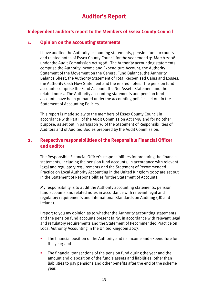#### **Independent auditor's report to the Members of Essex County Council**

#### **1. Opinion on the accounting statements**

I have audited the Authority accounting statements, pension fund accounts and related notes of Essex County Council for the year ended 31 March 2008 under the Audit Commission Act 1998. The Authority accounting statements comprise the Authority Income and Expenditure Account, the Authority Statement of the Movement on the General Fund Balance, the Authority Balance Sheet, the Authority Statement of Total Recognised Gains and Losses, the Authority Cash Flow Statement and the related notes. The pension fund accounts comprise the Fund Account, the Net Assets Statement and the related notes. The Authority accounting statements and pension fund accounts have been prepared under the accounting policies set out in the Statement of Accounting Policies.

This report is made solely to the members of Essex County Council in accordance with Part II of the Audit Commission Act 1998 and for no other purpose, as set out in paragraph 36 of the Statement of Responsibilities of Auditors and of Audited Bodies prepared by the Audit Commission.

#### **2. Respective responsibilities of the Responsible Financial Officer and auditor**

The Responsible Financial Officer's responsibilities for preparing the financial statements, including the pension fund accounts, in accordance with relevant legal and regulatory requirements and the Statement of Recommended Practice on Local Authority Accounting in the United Kingdom 2007 are set out in the Statement of Responsibilities for the Statement of Accounts.

My responsibility is to audit the Authority accounting statements, pension fund accounts and related notes in accordance with relevant legal and regulatory requirements and International Standards on Auditing (UK and Ireland).

I report to you my opinion as to whether the Authority accounting statements and the pension fund accounts present fairly, in accordance with relevant legal and regulatory requirements and the Statement of Recommended Practice on Local Authority Accounting in the United Kingdom 2007:

- The financial position of the Authority and its income and expenditure for the year; and
- **The financial transactions of the pension fund during the year and the** amount and disposition of the fund's assets and liabilities, other than liabilities to pay pensions and other benefits after the end of the scheme year.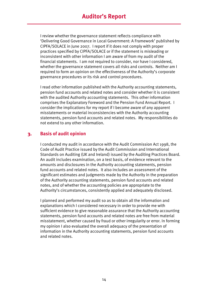I review whether the governance statement reflects compliance with 'Delivering Good Governance in Local Government: A Framework' published by CIPFA/SOLACE in June 2007. I report if it does not comply with proper practices specified by CIPFA/SOLACE or if the statement is misleading or inconsistent with other information I am aware of from my audit of the financial statements. I am not required to consider, nor have I considered, whether the governance statement covers all risks and controls. Neither am I required to form an opinion on the effectiveness of the Authority's corporate governance procedures or its risk and control procedures.

I read other information published with the Authority accounting statements, pension fund accounts and related notes and consider whether it is consistent with the audited Authority accounting statements. This other information comprises the Explanatory Foreword and the Pension Fund Annual Report. I consider the implications for my report if I become aware of any apparent misstatements or material inconsistencies with the Authority accounting statements, pension fund accounts and related notes. My responsibilities do not extend to any other information.

## **3. Basis of audit opinion**

I conducted my audit in accordance with the Audit Commission Act 1998, the Code of Audit Practice issued by the Audit Commission and International Standards on Auditing (UK and Ireland) issued by the Auditing Practices Board. An audit includes examination, on a test basis, of evidence relevant to the amounts and disclosures in the Authority accounting statements, pension fund accounts and related notes. It also includes an assessment of the significant estimates and judgments made by the Authority in the preparation of the Authority accounting statements, pension fund accounts and related notes, and of whether the accounting policies are appropriate to the Authority's circumstances, consistently applied and adequately disclosed.

I planned and performed my audit so as to obtain all the information and explanations which I considered necessary in order to provide me with sufficient evidence to give reasonable assurance that the Authority accounting statements, pension fund accounts and related notes are free from material misstatement, whether caused by fraud or other irregularity or error. In forming my opinion I also evaluated the overall adequacy of the presentation of information in the Authority accounting statements, pension fund accounts and related notes.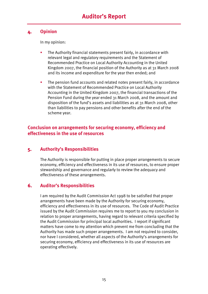#### **4. Opinion**

In my opinion:

- The Authority financial statements present fairly, in accordance with relevant legal and regulatory requirements and the Statement of Recommended Practice on Local Authority Accounting in the United Kingdom 2007, the financial position of the Authority as at 31 March 2008 and its income and expenditure for the year then ended; and
- **The pension fund accounts and related notes present fairly, in accordance** with the Statement of Recommended Practice on Local Authority Accounting in the United Kingdom 2007, the financial transactions of the Pension Fund during the year ended 31 March 2008, and the amount and disposition of the fund's assets and liabilities as at 31 March 2008, other than liabilities to pay pensions and other benefits after the end of the scheme year.

## **Conclusion on arrangements for securing economy, efficiency and effectiveness in the use of resources**

## **5. Authority's Responsibilities**

The Authority is responsible for putting in place proper arrangements to secure economy, efficiency and effectiveness in its use of resources, to ensure proper stewardship and governance and regularly to review the adequacy and effectiveness of these arrangements.

## **6. Auditor's Responsibilities**

I am required by the Audit Commission Act 1998 to be satisfied that proper arrangements have been made by the Authority for securing economy, efficiency and effectiveness in its use of resources. The Code of Audit Practice issued by the Audit Commission requires me to report to you my conclusion in relation to proper arrangements, having regard to relevant criteria specified by the Audit Commission for principal local authorities. I report if significant matters have come to my attention which prevent me from concluding that the Authority has made such proper arrangements. I am not required to consider, nor have I considered, whether all aspects of the Authority's arrangements for securing economy, efficiency and effectiveness in its use of resources are operating effectively.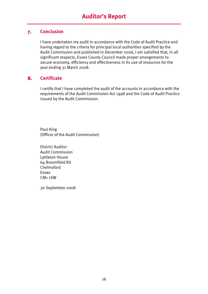## **7. Conclusion**

I have undertaken my audit in accordance with the Code of Audit Practice and having regard to the criteria for principal local authorities specified by the Audit Commission and published in December 2006, I am satisfied that, in all significant respects, Essex County Council made proper arrangements to secure economy, efficiency and effectiveness in its use of resources for the year ending 31 March 2008.

# **8. Certificate**

I certify that I have completed the audit of the accounts in accordance with the requirements of the Audit Commission Act 1998 and the Code of Audit Practice issued by the Audit Commission.

Paul King (Officer of the Audit Commission)

District Auditor Audit Commission Lyttleton House 64 Broomfield Rd Chelmsford Essex CM1 1SW

30 September 2008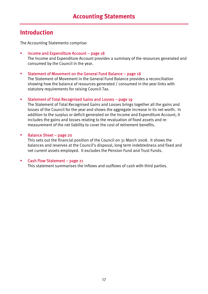# **Introduction**

The Accounting Statements comprise:

 $\blacksquare$  Income and Expenditure Account – page 18 The Income and Expenditure Account provides a summary of the resources generated and consumed by the Council in the year.

#### Statement of Movement on the General Fund Balance – page 18

The Statement of Movement in the General Fund Balance provides a reconciliation showing how the balance of resources generated / consumed in the year links with statutory requirements for raising Council Tax.

#### Statement of Total Recognised Gains and Losses – page 19

The Statement of Total Recognised Gains and Losses brings together all the gains and losses of the Council for the year and shows the aggregate increase in its net worth. In addition to the surplus or deficit generated on the Income and Expenditure Account, it includes the gains and losses relating to the revaluation of fixed assets and remeasurement of the net liability to cover the cost of retirement benefits.

#### Balance Sheet – page 20

This sets out the financial position of the Council on 31 March 2008. It shows the balances and reserves at the Council's disposal, long term indebtedness and fixed and net current assets employed. It excludes the Pension Fund and Trust Funds.

#### Cash Flow Statement – page 21

This statement summarises the inflows and outflows of cash with third parties.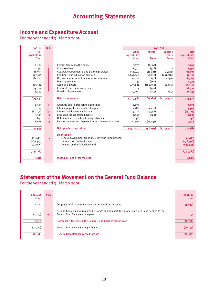# **Income and Expenditure Account**

For the year ended 31 March 2008

| 2006/07            | <b>Note</b>             |                                                        |              |            |                 |             |
|--------------------|-------------------------|--------------------------------------------------------|--------------|------------|-----------------|-------------|
| <b>Net</b>         |                         |                                                        | <b>Gross</b> | Income     | <b>Specific</b> | <b>Net</b>  |
| <b>Expenditure</b> |                         |                                                        | expenditure  |            | grants          | expenditure |
| <b>fooo</b>        |                         |                                                        | <b>fooo</b>  | fooo       | <b>fooo</b>     | <b>fooo</b> |
|                    |                         |                                                        |              |            |                 |             |
| 2,254              | $\overline{\mathbf{3}}$ | Central services to the public                         | 4,370        | (2,167)    |                 | 2,203       |
| 1,310              |                         | Court services                                         | 1,930        | (538)      |                 | 1,392       |
| 86,033             |                         | Cultural, environmental and planning services          | 118,049      | (16, 231)  | (5, 621)        | 96,197      |
| 192,116            |                         | <b>Children's and Education services</b>               | 1,262,544    | (132,330)  | (931,081)       | 199,133     |
| 82,200             |                         | Highways, roads and transportation services            | 132,221      | (29, 258)  | (15, 859)       | 87,104      |
| 202                |                         | Housing services                                       | 2,133        | (662)      |                 | 1,471       |
| 305,102            |                         | <b>Adult Social Care</b>                               | 473,621      | (104, 390) | (67, 116)       | 302,115     |
| 15,224             |                         | Corporate and democratic core                          | 18,923       | (352)      |                 | 18,571      |
| 8,999              |                         | Non distributed costs                                  | 15,790       | (354)      | (95)            | 15,341      |
|                    |                         |                                                        |              |            |                 |             |
| 693,440            |                         | Net cost of services                                   | 2,029,581    | (286, 282) | (1,019,772)     | 723,527     |
|                    |                         |                                                        |              |            |                 |             |
| 2,593              | 9                       | Amounts due to precepting authorities                  | 2,479        |            |                 | 2,479       |
| 17,109             | 30                      | Interest payable and similar charges                   | 19,288       | (15,726)   |                 | 3,562       |
| (12, 290)          | 30                      | Interest and investment income                         | 3,022        | (19, 396)  |                 | (16, 374)   |
| 5,503              | 10                      | Loss on disposal of fixed assets                       | 1,957        | (320)      |                 | 1,637       |
| (75)               | 11                      | Net (surplus) / deficit on trading activities          | 996          |            |                 | 996         |
| 8,665              | 13                      | Pension interest and expected return on pension assets | 80,597       | (75, 041)  |                 | 5,556       |
|                    |                         |                                                        |              |            |                 |             |
| 714,945            |                         | Net operating expenditure                              | 2,137,920    | (396,765)  | (1,019,772)     | 721,383     |
|                    |                         |                                                        |              |            |                 |             |
|                    |                         | <b>Financed by</b>                                     |              |            |                 |             |
| (45, 695)          | 14                      | General government grant (incl. Revenue Support Grant) |              |            |                 | (31,580)    |
| (169, 477)         |                         | National non domestic rates                            |              |            |                 | (176, 496)  |
| (493, 956)         |                         | Demand on the Collection Fund                          |              |            |                 | (522, 291)  |
|                    |                         |                                                        |              |            |                 |             |
| (709, 128)         |                         |                                                        |              |            |                 | (730, 367)  |
|                    |                         |                                                        |              |            |                 |             |
| 5,817              |                         | (Surplus) / deficit for the year                       |              |            |                 | (8,984)     |
|                    |                         |                                                        |              |            |                 |             |

# **Statement of the Movement on the General Fund Balance**

For the year ended 31 March 2008

| 2006/07<br><b>fooo</b> | <b>Note</b> |                                                                                                                                        | 2007/08<br><b>fooo</b> |
|------------------------|-------------|----------------------------------------------------------------------------------------------------------------------------------------|------------------------|
| 5,817                  |             | (Surplus) / deficit on the Income and Expenditure Account                                                                              | (8,984)                |
| (2, 293)               | 16          | Net additional amount required by statute and non-statutory proper practices to be debited to the<br>General Fund Balance for the year | 256                    |
| 3,524                  |             | (Increase) / decrease in the General Fund Balance for the year                                                                         | (8,728)                |
| (33,723)               |             | General Fund Balance brought forward                                                                                                   | (30, 199)              |
| (30, 199)              |             | <b>General Fund Balance carried forward</b>                                                                                            | (38,927)               |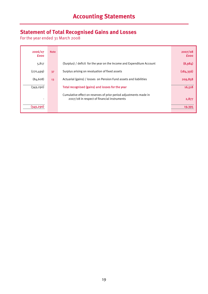# **Statement of Total Recognised Gains and Losses**

For the year ended 31 March 2008

| 2006/07<br><b>fooo</b>   | <b>Note</b> |                                                                                                                  | 2007/08<br><b>fooo</b> |
|--------------------------|-------------|------------------------------------------------------------------------------------------------------------------|------------------------|
| 5,817                    |             | (Surplus) / deficit for the year on the Income and Expenditure Account                                           | (8,984)                |
| (270, 499)               | 37          | Surplus arising on revaluation of fixed assets                                                                   | (184, 356)             |
| (84, 608)                | 13          | Actuarial (gains) / losses on Pension Fund assets and liabilities                                                | 209,858                |
| (349, 290)               |             | Total recognised (gains) and losses for the year                                                                 | 16,518                 |
| $\overline{\phantom{a}}$ |             | Cumulative effect on reserves of prior period adjustments made in<br>2007/08 in respect of financial instruments | 2,877                  |
| (349, 290)               |             |                                                                                                                  | 19,395                 |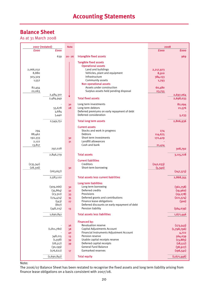# **Accounting Statements**

# **Balance Sheet**

As at 31 March 2008

|                                             | 2007 (restated)                                                                               | <b>Note</b>                      |                                                                                                                                                                                                                                                                        |                                     | 2008                                                                                               |
|---------------------------------------------|-----------------------------------------------------------------------------------------------|----------------------------------|------------------------------------------------------------------------------------------------------------------------------------------------------------------------------------------------------------------------------------------------------------------------|-------------------------------------|----------------------------------------------------------------------------------------------------|
| <b>fooo</b>                                 | <b>fooo</b>                                                                                   |                                  |                                                                                                                                                                                                                                                                        | <b>fooo</b>                         | <b>fooo</b>                                                                                        |
|                                             | 639                                                                                           | $20 - 26$                        | Intangible fixed assets                                                                                                                                                                                                                                                |                                     | 969                                                                                                |
| 2,066,032<br>8,880<br>303,329               |                                                                                               |                                  | <b>Tangible fixed assets</b><br><b>Operational assets</b><br>Land and buildings<br>Vehicles, plant and equipment<br>Infrastructure                                                                                                                                     | 2,217,973<br>8,910<br>384,153       |                                                                                                    |
| 1,552<br>82,454                             |                                                                                               |                                  | Community assets<br><b>Non operational assets</b><br>Assets under construction                                                                                                                                                                                         | 1,793<br>60,480                     |                                                                                                    |
| 22,063                                      |                                                                                               |                                  | Surplus assets held pending disposal                                                                                                                                                                                                                                   | 23,755                              |                                                                                                    |
|                                             | 2,484,310<br>2,484,949                                                                        |                                  | <b>Total fixed assets</b>                                                                                                                                                                                                                                              |                                     | 2,697,064<br>2,698,033                                                                             |
|                                             | 55,678<br>3,684<br>5,440                                                                      | 30<br>28                         | Long term investments<br>Long term debtors<br>Deferred premiums on early repayment of debt<br>Deferred consideration                                                                                                                                                   |                                     | 82,094<br>21,576<br>5,233                                                                          |
|                                             | 2,549,751                                                                                     |                                  | <b>Total long term assets</b>                                                                                                                                                                                                                                          |                                     | 2,806,936                                                                                          |
| 294<br>88,462<br>192,333<br>2,122<br>13,817 | 297,028                                                                                       | 30<br>31                         | <b>Current assets</b><br>Stocks and work in progress<br>Debtors<br>Short term investments<br>Landfill allowances<br>Cash and bank                                                                                                                                      | 274<br>114,675<br>172,429<br>21,414 | 308,792                                                                                            |
|                                             |                                                                                               |                                  |                                                                                                                                                                                                                                                                        |                                     |                                                                                                    |
| (235, 341)<br>(28, 316)                     | 2,846,779<br>(263, 657)                                                                       | 30                               | <b>Total assets</b><br><b>Current liabilities</b><br>Creditors<br>Short-term borrowing                                                                                                                                                                                 | (242, 033)<br>(5,340)               | 3,115,728<br>(247, 373)                                                                            |
|                                             |                                                                                               |                                  |                                                                                                                                                                                                                                                                        |                                     |                                                                                                    |
|                                             | 2,583,122<br>(309,066)<br>(35, 864)<br>(23,312)<br>(174, 474)<br>(543)<br>(8o7)<br>(348, 215) | 30<br>32<br>33<br>35<br>27<br>13 | <b>Total assets less current liabilities</b><br>Long term liabilities<br>Long term borrowing<br>Deferred credits<br>Provisions<br>Deferred grants and contributions<br>Finance lease obligations<br>Deferred discounts on early repayment of debt<br>Pension liability |                                     | 2,868,355<br>(361,758)<br>(19,960)<br>(29, 278)<br>(221, 574)<br>(300)<br>(564, 039)               |
|                                             | 1,690,841                                                                                     |                                  | <b>Total assets less liabilities</b>                                                                                                                                                                                                                                   |                                     | 1,671,446                                                                                          |
|                                             | (1, 811, 780)<br>348,215<br>(1,938)<br>(18, 517)<br>(30, 199)<br>(176, 622)                   | 36<br>38<br>40<br>13<br>39<br>39 | <b>Financed by:</b><br><b>Revaluation reserve</b><br>Capital Adjustments Account<br>Financial Instruments Adjustment Account<br>Pension reserve<br>Usable capital receipts reserve<br>Deferred capital receipts<br><b>General Fund Balance</b><br>Earmarked reserves   |                                     | (173, 543)<br>(1,798,796)<br>4,722<br>564,039<br>(13, 883)<br>(18, 517)<br>(38, 927)<br>(196, 541) |
|                                             | (1,690,841)                                                                                   | 17 <sup>2</sup>                  | <b>Total equity</b>                                                                                                                                                                                                                                                    |                                     |                                                                                                    |
|                                             |                                                                                               |                                  |                                                                                                                                                                                                                                                                        |                                     | (1,671,446)                                                                                        |

#### Note:

The 2006/07 Balance Sheet has been restated to recognise the fixed assets and long term liability arising from finance lease obligations on a basis consistent with 2007/08.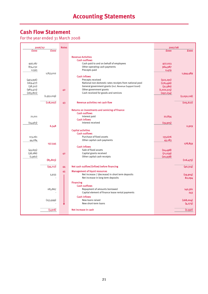# **Cash Flow Statement**

For the year ended 31 March 2008

|             | 2006/07     | <b>Notes</b> |                                                                                           | 2007/08     |             |
|-------------|-------------|--------------|-------------------------------------------------------------------------------------------|-------------|-------------|
| <b>fooo</b> | <b>fooo</b> |              |                                                                                           | <b>fooo</b> | <b>fooo</b> |
|             |             |              |                                                                                           |             |             |
|             |             |              | <b>Revenue Activities</b>                                                                 |             |             |
|             |             |              | <b>Cash outflows</b>                                                                      |             |             |
| 956,187     |             |              | Cash paid to and on behalf of employees<br>Other operating cash payments                  | 977,023     |             |
| 874,232     |             |              | Precepts paid                                                                             | 964,987     |             |
| 2,593       | 1,833,012   |              |                                                                                           | 2,479       | 1,944,489   |
|             |             |              | <b>Cash inflows</b>                                                                       |             |             |
| (493, 956)  |             |              | Precepts received                                                                         | (522, 291)  |             |
| (169, 477)  |             |              | National non-domestic rates receipts from national pool                                   | (176, 496)  |             |
| (38, 312)   |             |              | General government grants (incl. Revenue Support Grant)                                   | (31,580)    |             |
| (983, 473)  |             | 42           | Other government grants                                                                   | (1,022,515) |             |
| (265, 801)  |             |              | Cash received for goods and services                                                      | (297, 234)  |             |
|             | (1,951,019) |              |                                                                                           |             | (2,050,116) |
|             |             |              |                                                                                           |             |             |
|             | (118,007)   | 43           | <b>Revenue activities net cash flow</b>                                                   |             | (105, 627)  |
|             |             |              |                                                                                           |             |             |
|             |             |              | Returns on investments and servicing of finance                                           |             |             |
|             |             |              | <b>Cash outflows</b>                                                                      |             |             |
| 21,011      |             |              | Interest paid                                                                             | 22,834      |             |
|             |             |              | <b>Cash inflows</b>                                                                       |             |             |
| (14, 463)   |             |              | Interest received                                                                         | (19,905)    |             |
|             | 6,548       |              |                                                                                           |             | 2,929       |
|             |             |              | <b>Capital activities</b>                                                                 |             |             |
|             |             |              | <b>Cash outflows</b>                                                                      |             |             |
| 113,261     |             |              | Purchase of fixed assets                                                                  | 133,676     |             |
| 44,284      |             |              | Other capital cash payments                                                               | 45,183      |             |
|             | 157,545     |              | <b>Cash inflows</b>                                                                       |             | 178,859     |
| (45, 655)   |             |              | Sale of fixed assets                                                                      | (24, 498)   |             |
| (38, 186)   |             | 42           | Capital grants received                                                                   | (71,039)    |             |
| (1,962)     |             |              | Other capital cash receipts                                                               | (20, 938)   |             |
|             | (85, 803)   |              |                                                                                           |             | (116, 475)  |
|             |             |              |                                                                                           |             |             |
|             | (39,717)    | 44           | Net cash outflow/(inflow) before financing                                                |             | (40, 314)   |
|             |             |              |                                                                                           |             |             |
|             |             | 45           | <b>Management of liquid resources</b><br>Net increase / (decrease) in short term deposits |             | (19,904)    |
|             | 5,933       |              | Net increase in long term deposits                                                        |             | 82,094      |
|             |             |              |                                                                                           |             |             |
|             |             |              | <b>Financing</b>                                                                          |             |             |
|             |             |              | <b>Cash outflows</b>                                                                      |             |             |
|             | 183,867     |              | Repayment of amounts borrowed                                                             |             | 142,561     |
|             |             |              | Capital element of finance lease rental payments                                          |             | 243         |
|             |             |              | <b>Cash inflows</b>                                                                       |             |             |
|             | (153, 999)  |              | New loans raised                                                                          |             | (168,004)   |
|             |             |              | New short-term loans                                                                      |             | (4, 273)    |
|             | (3,916)     |              | Net increase in cash                                                                      |             | (7, 597)    |
|             |             |              |                                                                                           |             |             |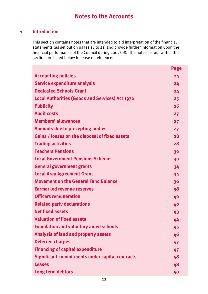## **1. Introduction**

This section contains notes that are intended to aid interpretation of the financial statements (as set out on pages 18 to 21) and provide further information upon the financial performance of the Council during 2007/08. The notes set out within this section are listed below for ease of reference.

|                                                        | <b>Page</b> |
|--------------------------------------------------------|-------------|
| <b>Accounting policies</b>                             | 24          |
| <b>Service expenditure analysis</b>                    | 24          |
| <b>Dedicated Schools Grant</b>                         | 24          |
| <b>Local Authorities (Goods and Services) Act 1970</b> | 25          |
| <b>Publicity</b>                                       | 26          |
| <b>Audit costs</b>                                     | 27          |
| <b>Members' allowances</b>                             | 27          |
| <b>Amounts due to precepting bodies</b>                | 27          |
| Gains / losses on the disposal of fixed assets         | 28          |
| <b>Trading activities</b>                              | 28          |
| <b>Teachers Pensions</b>                               | 30          |
| <b>Local Government Pensions Scheme</b>                | 30          |
| <b>General government grants</b>                       | 34          |
| <b>Local Area Agreement Grant</b>                      | 34          |
| <b>Movement on the General Fund Balance</b>            | 36          |
| <b>Earmarked revenue reserves</b>                      | 38          |
| <b>Officers remuneration</b>                           | 40          |
| <b>Related party declarations</b>                      | 40          |
| <b>Net fixed assets</b>                                | 43          |
| <b>Valuation of fixed assets</b>                       | 44          |
| <b>Foundation and voluntary aided schools</b>          | 45          |
| <b>Analysis of land and property assets</b>            | 46          |
| <b>Deferred charges</b>                                | 47          |
| <b>Financing of capital expenditure</b>                | 47          |
| <b>Significant commitments under capital contracts</b> | 48          |
| <b>Leases</b>                                          | 48          |
| Long term debtors                                      | 50          |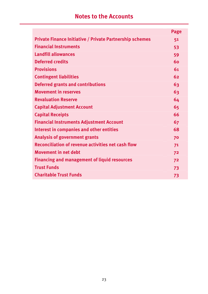# **Notes to the Accounts**

|                                                                 | Page |
|-----------------------------------------------------------------|------|
| <b>Private Finance Initiative / Private Partnership schemes</b> | 51   |
| <b>Financial Instruments</b>                                    | 53   |
| <b>Landfill allowances</b>                                      | 59   |
| <b>Deferred credits</b>                                         | 60   |
| <b>Provisions</b>                                               | 61   |
| <b>Contingent liabilities</b>                                   | 62   |
| <b>Deferred grants and contributions</b>                        | 63   |
| <b>Movement in reserves</b>                                     | 63   |
| <b>Revaluation Reserve</b>                                      | 64   |
| <b>Capital Adjustment Account</b>                               | 65   |
| <b>Capital Receipts</b>                                         | 66   |
| <b>Financial Instruments Adjustment Account</b>                 | 67   |
| <b>Interest in companies and other entities</b>                 | 68   |
| <b>Analysis of government grants</b>                            | 70   |
| <b>Reconciliation of revenue activities net cash flow</b>       | 71   |
| <b>Movement in net debt</b>                                     | 72   |
| <b>Financing and management of liquid resources</b>             | 72   |
| <b>Trust Funds</b>                                              | 73   |
| <b>Charitable Trust Funds</b>                                   | 73   |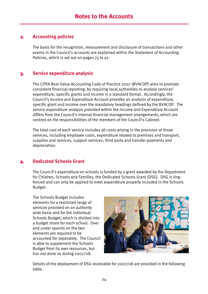#### **2. Accounting policies**

The basis for the recognition, measurement and disclosure of transactions and other events in the Council's accounts are explained within the Statement of Accounting Policies, which is set out on pages 75 to 91.

## **3. Service expenditure analysis**

The CIPFA Best Value Accounting Code of Practice 2007 (BVACOP) aims to promote consistent financial reporting, by requiring local authorities to analyse services' expenditure, specific grants and income in a standard format. Accordingly, the Council's Income and Expenditure Account provides an analysis of expenditure, specific grant and income over the mandatory headings defined by the BVACOP. The service expenditure analysis provided within the Income and Expenditure Account differs from the Council's internal financial management arrangements, which are centred on the responsibilities of the members of the Council's Cabinet.

The total cost of each service includes all costs arising in the provision of those services, including employee costs, expenditure related to premises and transport, supplies and services, support services, third party and transfer payments and depreciation.

## **4. Dedicated Schools Grant**

The Council's expenditure on schools is funded by a grant awarded by the Department for Children, Schools and Families, the Dedicated Schools Grant (DSG). DSG is ringfenced and can only be applied to meet expenditure properly included in the Schools Budget.

The Schools Budget includes elements for a restricted range of services provided on an authority wide basis and for the Individual Schools Budget, which is divided into a budget share for each school. Over and under spends on the two elements are required to be accounted for separately. The Council is able to supplement the Schools Budget from its own resources, but has not done so during 2007/08.



Details of the deployment of DSG receivable for 2007/08 are provided in the following table.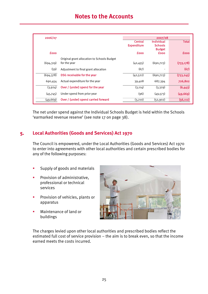| 2006/07     |                                             | 2007/08            |                                 |              |
|-------------|---------------------------------------------|--------------------|---------------------------------|--------------|
|             |                                             | <b>Central</b>     | <b>Individual</b>               | <b>Total</b> |
|             |                                             | <b>Expenditure</b> | <b>Schools</b><br><b>Budget</b> |              |
| <b>fooo</b> |                                             | <b>fooo</b>        | <b>fooo</b>                     | <b>fooo</b>  |
|             | Original grant allocation to Schools Budget |                    |                                 |              |
| (694, 319)  | for the year                                | (42, 455)          | (690, 723)                      | (733, 178)   |
| (59)        | Adjustment to final grant allocation        | (67)               |                                 | (67)         |
| (694,378)   | DSG receivable for the year                 | (42, 522)          | (690, 723)                      | (733, 245)   |
| 690,454     | Actual expenditure for the year             | 39,408             | 687,394                         | 726,802      |
| (3,924)     | Over / (under) spend for the year           | (3, 114)           | (3,329)                         | (6,443)      |
| (45,745)    | Under spend from prior year                 | (96)               | (49,573)                        | (49, 669)    |
| (49, 669)   | Over / (under) spend carried forward        | (3,210)            | (52,902)                        | (56, 112)    |

The net under spend against the Individual Schools Budget is held within the Schools 'earmarked revenue reserve' (see note 17 on page 38).

## **5. Local Authorities (Goods and Services) Act 1970**

The Council is empowered, under the Local Authorities (Goods and Services) Act 1970 to enter into agreements with other local authorities and certain prescribed bodies for any of the following purposes:

- Supply of goods and materials
- Provision of administrative, professional or technical services
- Provision of vehicles, plants or apparatus
- Maintenance of land or buildings



The charges levied upon other local authorities and prescribed bodies reflect the estimated full cost of service provision – the aim is to break even, so that the income earned meets the costs incurred.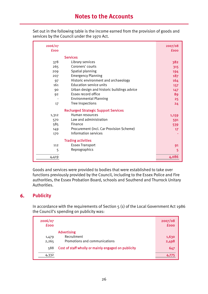Set out in the following table is the income earned from the provision of goods and services by the Council under the 1970 Act.

| 2006/07     |                                             | 2007/08     |
|-------------|---------------------------------------------|-------------|
| <b>fooo</b> |                                             | <b>fooo</b> |
|             | <b>Services</b>                             |             |
| 378         | Library services                            | 382         |
| 265         | Coroners' courts                            | 315         |
| 209         | Spatial planning                            | 194         |
| 207         | <b>Emergency Planning</b>                   | 187         |
| 97          | Historic environment and archaeology        | 164         |
| 161         | <b>Education service units</b>              | 157         |
| 90          | Urban design and historic buildings advice  | 147         |
| 92          | Essex record office                         | 89          |
|             | <b>Environmental Planning</b>               | 25          |
| 17          | Tree Inspections                            | 24          |
|             | <b>Recharged Strategic Support Services</b> |             |
| 1,312       | Human resources                             | 1,159       |
| 570         | Law and administration                      | 591         |
| 585         | Finance                                     | 539         |
| 149         | Procurement (incl. Car Provision Scheme)    | 17          |
| 170         | Information services                        |             |
|             | <b>Trading activities</b>                   |             |
| 112         | <b>Essex Transport</b>                      | 91          |
| 5           | Reprographics                               | 5           |
| 4,419       |                                             | 4,086       |

Goods and services were provided to bodies that were established to take over functions previously provided by the Council, including to the Essex Police and Fire authorities, the Essex Probation Board, schools and Southend and Thurrock Unitary Authorities.

# **6. Publicity**

In accordance with the requirements of Section 5 (1) of the Local Government Act 1986 the Council's spending on publicity was:

| 2006/07<br><b>fooo</b> |                                                     | 2007/08<br><b>fooo</b> |
|------------------------|-----------------------------------------------------|------------------------|
|                        | <b>Advertising</b><br>Recruitment                   |                        |
| 1,479<br>2,265         | Promotions and communications                       | 1,630<br>2,498         |
| 588                    | Cost of staff wholly or mainly engaged on publicity | 647                    |
| 4,332                  |                                                     |                        |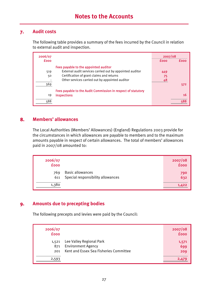## **7. Audit costs**

The following table provides a summary of the fees incurred by the Council in relation to external audit and inspection.

| 2006/07     |                                                              |             | 2007/08 |  |  |
|-------------|--------------------------------------------------------------|-------------|---------|--|--|
| <b>fooo</b> |                                                              | <b>fooo</b> | fonn    |  |  |
|             | Fees payable to the appointed auditor                        |             |         |  |  |
| 519         | External audit services carried out by appointed auditor     | 449         |         |  |  |
| 50          | Certification of grant claims and returns                    | 75          |         |  |  |
|             | Other services carried out by appointed auditor              | 48          |         |  |  |
| 569         |                                                              |             | 572     |  |  |
|             | Fees payable to the Audit Commission in respect of statutory |             |         |  |  |
| 19          | inspections                                                  |             | 16      |  |  |
| 588         |                                                              |             |         |  |  |

#### **8. Members' allowances**

The Local Authorities (Members' Allowances) (England) Regulations 2003 provide for the circumstances in which allowances are payable to members and to the maximum amounts payable in respect of certain allowances. The total of members' allowances paid in 2007/08 amounted to:

| 2006/07<br><b>fooo</b> |                                                              | 2007/08<br><b>fooo</b> |
|------------------------|--------------------------------------------------------------|------------------------|
| 769<br>611             | <b>Basic allowances</b><br>Special responsibility allowances | 790<br>632             |
| 1,380                  |                                                              | 1,422                  |

## **9. Amounts due to precepting bodies**

The following precepts and levies were paid by the Council:

| 2006/07<br><b>fooo</b> |                                                                                                 | 2007/08<br><b>fooo</b> |
|------------------------|-------------------------------------------------------------------------------------------------|------------------------|
| 1,521<br>871<br>201    | Lee Valley Regional Park<br><b>Environment Agency</b><br>Kent and Essex Sea Fisheries Committee | 1,571<br>699<br>209    |
| 2,593                  |                                                                                                 |                        |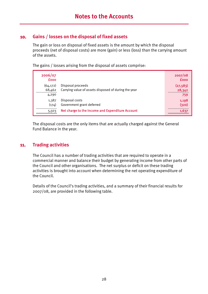## **10. Gains / losses on the disposal of fixed assets**

The gain or loss on disposal of fixed assets is the amount by which the disposal proceeds (net of disposal costs) are more (gain) or less (loss) than the carrying amount of the assets.

The gains / losses arising from the disposal of assets comprise:

| 2006/07<br><b>fooo</b>                                                                                                     | 2007/08<br><b>fooo</b>     |
|----------------------------------------------------------------------------------------------------------------------------|----------------------------|
| Disposal proceeds<br>(64, 172)<br>Carrying value of assets disposed of during the year<br>68,462<br>4,290                  | (27, 583)<br>28,342<br>759 |
| Disposal costs<br>1,387<br>Government grant deferred<br>(174)<br>Net charge to the Income and Expenditure Account<br>5,503 | 1,198<br>(320)<br>1,637    |

The disposal costs are the only items that are actually charged against the General Fund Balance in the year.

#### **11. Trading activities**

The Council has a number of trading activities that are required to operate in a commercial manner and balance their budget by generating income from other parts of the Council and other organisations. The net surplus or deficit on these trading activities is brought into account when determining the net operating expenditure of the Council.

Details of the Council's trading activities, and a summary of their financial results for 2007/08, are provided in the following table.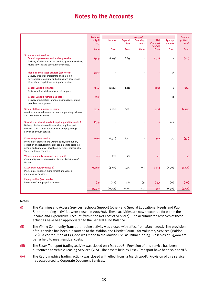# **Notes to the Accounts**

|                                                                                                                                                                                                                                           | <b>Balance</b> |             |              | 2007/08          |                         |             | <b>Balance</b> |
|-------------------------------------------------------------------------------------------------------------------------------------------------------------------------------------------------------------------------------------------|----------------|-------------|--------------|------------------|-------------------------|-------------|----------------|
|                                                                                                                                                                                                                                           | 1 April        | Income      | Expend-      | <b>Financing</b> | <b>Net</b><br>(Surplus) | Approp-     | 31 March       |
|                                                                                                                                                                                                                                           | 2007           |             | <b>iture</b> | <b>items</b>     | / deficit               | riations    | 2008           |
|                                                                                                                                                                                                                                           | <b>fooo</b>    | <b>fooo</b> | <b>fooo</b>  | <b>fooo</b>      | <b>fooo</b>             | <b>fooo</b> | <b>fooo</b>    |
| <b>School support services</b><br><b>School improvement and advisory service</b><br>Delivery of advisory and inspection, governor services,<br>music services and school library service.                                                 | (544)          | (8,925)     | 8,655        |                  | (270)                   | 72          | (742)          |
| Planning and access services (see note i)<br>Delivery of capital programme and building<br>development, planning and admissions service and<br>student and pupil financial support service.                                               | (246)          |             |              |                  |                         | 246         |                |
| <b>School Support (Finance)</b><br>Delivery of financial management support.                                                                                                                                                              | (214)          | (1, 204)    | 1,016        |                  | (188)                   | 8           | (394)          |
| School Support (Other) (see note i)<br>Delivery of education information management and<br>premises management.                                                                                                                           | (92)           |             |              |                  |                         | 92          |                |
| <b>School staffing insurance scheme</b><br>A self insurance scheme for schools, supporting sickness<br>and relocation expenses.                                                                                                           | (775)          | (4, 278)    | 3,701        |                  | (577)                   |             | (1, 352)       |
| Special educational needs & pupil support (see note i)<br>Delivery of education welfare service, pupil support<br>services, special educational needs and psychology<br>service and youth service.                                        | (674)          |             | $\mathbf{1}$ |                  | 1                       | 673         |                |
| <b>Essex equipment service</b><br>Provision of procurement, warehousing, distribution,<br>collection and refurbishment of equipment to disabled<br>people and patients of social care services, partner NHS<br>Trusts and local councils. | (401)          | (8,311)     | 8,221        |                  | (90)                    | 39          | (452)          |
| Viking community transport (see note ii)<br>Community transport operation for the district area of<br>Maldon.                                                                                                                             | (57)           | (85)        | 137          |                  | 52                      |             | (5)            |
| <b>Essex Transport (see note iii)</b><br>Provision of transport management and vehicle<br>maintenance services.                                                                                                                           | (1, 262)       | (3, 244)    | 5,313        | 144              | 2,213                   | (2,576)     | (1.625)        |
| Reprographics (see note iv)<br>Provision of reprographics services.                                                                                                                                                                       | (13)           | (708)       | 566          | (3)              | (145)                   | (28)        | (186)          |
|                                                                                                                                                                                                                                           | (4, 278)       | (26,755)    | 27,610       | 141              | 996                     | (1,474)     | (4,756)        |

#### Notes:

- (i) The Planning and Access Services, Schools Support (other) and Special Educational Needs and Pupil Support trading activities were closed in 2007/08. These activities are now accounted for within the Income and Expenditure Account (within the Net Cost of Services). The accumulated reserves of these activities have been appropriated to the General Fund Balance.
- (ii) The Viking Community Transport trading activity was closed with effect from March 2008. The provision of this service has been outsourced to the Maldon and District Council for Voluntary Services (Maldon CVS). A contribution of £52,000 was made to the Maldon CVS as initial funding. Reserves of £5,000 are being held to meet residual costs.
- (iii) The Essex Transport trading activity was closed on 1 May 2008. Provision of this service has been outsourced to Vehicle Leasing Services (VLS). The assets held by Essex Transport have been sold to VLS.
- (iv) The Reprographics trading activity was closed with effect from 31 March 2008. Provision of this service has outsourced to Corporate Document Services.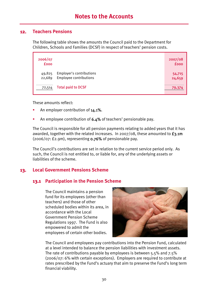#### **12. Teachers Pensions**

The following table shows the amounts the Council paid to the Department for Children, Schools and Families (DCSF) in respect of teachers' pension costs.

| 2006/07<br><b>fooo</b> |                                                    | 2007/08<br><b>fooo</b> |
|------------------------|----------------------------------------------------|------------------------|
| 49,825<br>22,689       | Employer's contributions<br>Employee contributions | 54,715<br>24,659       |
| 72,514                 | <b>Total paid to DCSF</b>                          | 79,374                 |

These amounts reflect:

- An employer contribution of 14.1%.
- An employee contribution of 6.4% of teachers' pensionable pay.

The Council is responsible for all pension payments relating to added years that it has awarded, together with the related increases. In 2007/08, these amounted to  $f_3$ .1m  $(2006/07: E2.9m)$ , representing **0.76%** of pensionable pay.

The Council's contributions are set in relation to the current service period only. As such, the Council is not entitled to, or liable for, any of the underlying assets or liabilities of the scheme.

## **13. Local Government Pensions Scheme**

#### **13.1 Participation in the Pension Scheme**

The Council maintains a pension fund for its employees (other than teachers) and those of other scheduled bodies within its area, in accordance with the Local Government Pension Scheme Regulations 1997. The Fund is also empowered to admit the employees of certain other bodies.



The Council and employees pay contributions into the Pension Fund, calculated at a level intended to balance the pension liabilities with investment assets. The rate of contributions payable by employees is between 5.5% and 7.5% (2006/07: 6% with certain exceptions). Employers are required to contribute at rates prescribed by the Fund's actuary that aim to preserve the Fund's long term financial viability.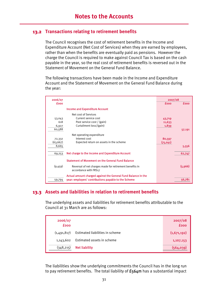#### **13.2 Transactions relating to retirement benefits**

The Council recognises the cost of retirement benefits in the Income and Expenditure Account (Net Cost of Services) when they are earned by employees, rather than when the benefits are eventually paid as pensions. However the charge the Council is required to make against Council Tax is based on the cash payable in the year, so the real cost of retirement benefits is reversed out in the Statement of Movement on the General Fund Balance.

The following transactions have been made in the Income and Expenditure Account and the Statement of Movement on the General Fund Balance during the year:

| 2006/07     |                                                                                  | 2007/08     |             |
|-------------|----------------------------------------------------------------------------------|-------------|-------------|
| <b>fooo</b> |                                                                                  | <b>fooo</b> | <b>£000</b> |
|             | <b>Income and Expenditure Account</b>                                            |             |             |
|             | Net cost of Services                                                             |             |             |
| 53,043      | Current service cost                                                             | 43,719      |             |
| 618         | Past service cost / (gain)                                                       | 11,633      |             |
| 6,927       | Curtailment loss/(gain)                                                          | 1,839       |             |
| 60,588      |                                                                                  |             | 57,191      |
|             | Net operating expenditure                                                        |             |             |
| 72,332      | Interest cost                                                                    | 80,597      |             |
| (63, 667)   | Expected return on assets in the scheme                                          | (75, 041)   |             |
| 8,665       |                                                                                  |             | 5,556       |
| 69,253      | Net charge to the Income and Expenditure Account                                 |             | 62,747      |
|             | <b>Statement of Movement on the General Fund Balance</b>                         |             |             |
| (9,459)     | Reversal of net charges made for retirement benefits in<br>accordance with FRS17 |             | (5,966)     |
|             | Actual amount charged against the General Fund Balance in the                    |             |             |
| 59,794      | year: employers' contributions payable to the Scheme                             |             | 56,781      |

## **13.3 Assets and liabilities in relation to retirement benefits**

The underlying assets and liabilities for retirement benefits attributable to the Council at 31 March are as follows:

| 2006/07<br><b>fooo</b> |                                 | 2007/08<br><b>fooo</b> |
|------------------------|---------------------------------|------------------------|
| (1,491,817)            | Estimated liabilities in scheme | (1,671,192)            |
| 1,143,602              | Estimated assets in scheme      | 1,107,153              |
| (348, 215)             | <b>Net liability</b>            | (564,039)              |

The liabilities show the underlying commitments the Council has in the long run to pay retirement benefits. The total liability of  $£564m$  has a substantial impact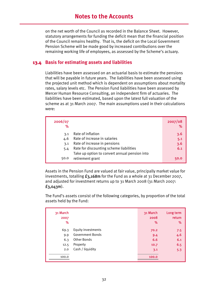on the net worth of the Council as recorded in the Balance Sheet. However, statutory arrangements for funding the deficit mean that the financial position of the Council remains healthy. That is, the deficit on the Local Government Pension Scheme will be made good by increased contributions over the remaining working life of employees, as assessed by the Scheme's actuary.

#### **13.4 Basis for estimating assets and liabilities**

Liabilities have been assessed on an actuarial basis to estimate the pensions that will be payable in future years. The liabilities have been assessed using the projected unit method which is dependent on assumptions about mortality rates, salary levels etc. The Pension Fund liabilities have been assessed by Mercer Human Resource Consulting, an independent firm of actuaries. The liabilities have been estimated, based upon the latest full valuation of the scheme as at 31 March 2007. The main assumptions used in their calculations were:

| 2006/07<br>℅ |                                               | 2007/08<br>% |
|--------------|-----------------------------------------------|--------------|
| 3.1          | Rate of inflation                             | 3.6          |
| 4.6          | Rate of increase in salaries                  | 5.1          |
| 3.1          | Rate of increase in pensions                  | 3.6          |
| 5.4          | Rate for discounting scheme liabilities       | 6.1          |
|              | Take up option to convert annual pension into |              |
| 50.0         | retirement grant                              | 50.0         |

Assets in the Pension Fund are valued at fair value, principally market value for investments, totalling  $f_3$ , 168m for the Fund as a whole at 31 December 2007, and adjusted for investment returns up to 31 March 2008 (31 March 2007: £3,043m).

The Fund's assets consist of the following categories, by proportion of the total assets held by the Fund:

| 31 March |                         | 31 March | Long term |
|----------|-------------------------|----------|-----------|
| 2007     |                         | 2008     | return    |
| ℅        |                         | %        | %         |
| 69.3     | Equity investments      | 70.2     | 7.5       |
| 9.9      | <b>Government Bonds</b> | 9.4      | 4.6       |
| 6.3      | Other Bonds             | 6.6      | 6.1       |
| 12.5     | Property                | 10.7     | 6.5       |
| 2.0      | Cash / liquidity        | 3.1      | 5.3       |
| 100.0    |                         | 100.0    |           |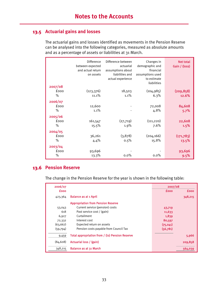## **13.5 Actuarial gains and losses**

The actuarial gains and losses identified as movements in the Pension Reserve can be analysed into the following categories, measured as absolute amounts and as a percentage of assets or liabilities at 31 March.

| 2007/08                 | Difference<br>between expected<br>and actual return<br>on assets | Difference between<br>actuarial<br>assumptions about<br>liabilities and<br>actual experience | Changes in<br>demographic and<br>financial<br>assumptions used<br>to estimate<br>liabilities | <b>Net total</b><br>Gain / (loss) |
|-------------------------|------------------------------------------------------------------|----------------------------------------------------------------------------------------------|----------------------------------------------------------------------------------------------|-----------------------------------|
| fooo                    |                                                                  |                                                                                              |                                                                                              |                                   |
|                         | (123, 376)                                                       | 18,503                                                                                       | (104, 985)                                                                                   | (209, 858)                        |
| $\%$                    | 11.1%                                                            | 1.1%                                                                                         | 6.3%                                                                                         | 12.6%                             |
| 2006/07<br>fooo<br>$\%$ | 12,600<br>1.1%                                                   |                                                                                              | 72,008<br>4.8%                                                                               | 84,608<br>5.7%                    |
| 2005/06                 |                                                                  |                                                                                              |                                                                                              |                                   |
| fooo                    | 161,547                                                          | (27,719)                                                                                     | (111, 220)                                                                                   | 22,608                            |
| $\%$                    | 15.5%                                                            | 1.9%                                                                                         | 7.6%                                                                                         | 1.5%                              |
| 2004/05                 |                                                                  |                                                                                              |                                                                                              |                                   |
| fooo                    | 36,261                                                           | (3,878)                                                                                      | (204, 166)                                                                                   | (171, 783)                        |
| $\%$                    | 4.4%                                                             | 0.5%                                                                                         | 15.8%                                                                                        | 13.5%                             |
| 2003/04                 |                                                                  |                                                                                              |                                                                                              |                                   |
| fooo                    | 93,696                                                           |                                                                                              |                                                                                              | 93,696                            |
| %                       | 13.3%                                                            | $0.0\%$                                                                                      | 0.0%                                                                                         | 9.5%                              |

# **13.6 Pension Reserve**

The change in the Pension Reserve for the year is shown in the following table:

| 2006/07     |                                                 | 2007/08     |             |
|-------------|-------------------------------------------------|-------------|-------------|
| <b>fooo</b> |                                                 | <b>fooo</b> | <b>fooo</b> |
| 423,364     | <b>Balance as at 1 April</b>                    |             | 348,215     |
|             | <b>Appropriation from Pension Reserve</b>       |             |             |
| 53,043      | Current service (pension) costs                 | 43,719      |             |
| 618         | Past service cost / (gain)                      | 11,633      |             |
| 6,927       | Curtailment                                     | 1,839       |             |
| 72,332      | Interest cost                                   | 80,597      |             |
| (63, 667)   | Expected return on assets                       | (75, 041)   |             |
| (59, 794)   | Pension costs payable from Council Tax          | (56,781)    |             |
| 9,459       | Total appropriation from / (to) Pension Reserve |             | 5,966       |
| (84, 608)   | Actuarial loss / (gain)                         |             | 209,858     |
| 348,215     | <b>Balance as at 31 March</b>                   |             | 564,039     |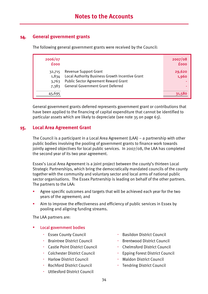## **14. General government grants**

The following general government grants were received by the Council:

| 2006/07<br><b>fooo</b>            |                                                                                                                                                                            | 2007/08<br><b>fooo</b> |
|-----------------------------------|----------------------------------------------------------------------------------------------------------------------------------------------------------------------------|------------------------|
| 32,715<br>1,834<br>3,763<br>7,383 | <b>Revenue Support Grant</b><br>Local Authority Business Growth Incentive Grant<br><b>Public Sector Agreement Reward Grant</b><br><b>General Government Grant Deferred</b> | 29,620<br>1,960        |
| 45,695                            |                                                                                                                                                                            |                        |

General government grants deferred represents government grant or contributions that have been applied to the financing of capital expenditure that cannot be identified to particular assets which are likely to depreciate (see note 35 on page 63).

## **15. Local Area Agreement Grant**

The Council is a participant in a Local Area Agreement (LAA) – a partnership with other public bodies involving the pooling of government grants to finance work towards jointly agreed objectives for local public services. In 2007/08, the LAA has completed the second year of its two year agreement.

Essex's Local Area Agreement is a joint project between the county's thirteen Local Strategic Partnerships, which bring the democratically mandated councils of the county together with the community and voluntary sector and local arms of national public sector organisations. The Essex Partnership is leading on behalf of the other partners. The partners to the LAA:

- Agree specific outcomes and targets that will be achieved each year for the two years of the agreement; and
- Aim to improve the effectiveness and efficiency of public services in Essex by pooling and aligning funding streams.

The LAA partners are:

#### Local government bodies

- 
- 
- Castle Point District Council **Council** Chelmsford District Council
- 
- 
- Rochford District Council **Tendring District Council**
- Uttlesford District Council
- Essex County Council **Basildon District Council Basildon District Council**
- Braintree District Council **Brentwood District Council** 
	-
- Colchester District Council Epping Forest District Council
- Harlow District Council **Maldon District Council Maldon District Council** 
	-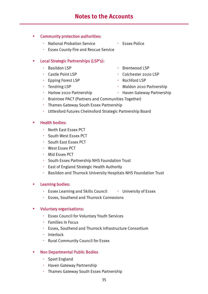#### Community protection authorities:

- National Probation Service Essex Police
- Essex County Fire and Rescue Service

#### Local Strategic Partnerships (LSP's):

- 
- 
- Epping Forest LSP **BED Rochford LSP**
- 
- 
- Basildon LSP **Brentwood LSP**
- Castle Point LSP **Colchester 2020 LSP** 
	-
- Tendring LSP **Maldon 2010 Partnership**
- Harlow 2020 Partnership **Haven Gateway Partnership**
- Braintree PACT (Partners and Communities Together)
- Thames Gateway South Essex Partnership
- Uttlesford Futures Chelmsford Strategic Partnership Board

#### Health bodies:

- North East Essex PCT
- South West Essex PCT
- South East Essex PCT
- West Essex PCT
- Mid Essex PCT
- South Essex Partnership NHS Foundation Trust
- East of England Strategic Health Authority
- Basildon and Thurrock University Hospitals NHS Foundation Trust

#### Learning bodies:

- Essex Learning and Skills Council University of Essex
- Essex, Southend and Thurrock Connexions

#### Voluntary organisations:

- Essex Council for Voluntary Youth Services
- **·** Families In Focus
- Essex, Southend and Thurrock Infrastructure Consortium
- · Interlock
- Rural Community Council for Essex

#### Non Departmental Public Bodies

- Sport England
- Haven Gateway Partnership
- Thames Gateway South Essex Partnership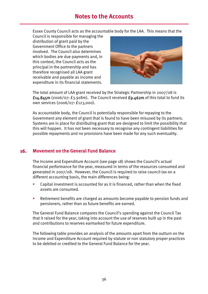Essex County Council acts as the accountable body for the LAA. This means that the

Council is responsible for managing the distribution of grant paid by the Government Office to the partners involved. The Council also determines which bodies are due payments and, in this context, the Council acts as the principal in the partnership and has therefore recognised all LAA grant receivable and payable as income and expenditure in its financial statements.



The total amount of LAA grant received by the Strategic Partnership in 2007/08 is  $f_{14.845m}$  (2006/07:  $f_{3.918m}$ ). The Council received  $f_{9.462m}$  of this total to fund its own services (2006/07: £123,000).

As accountable body, the Council is potentially responsible for repaying to the Government any element of grant that is found to have been misused by its partners. Systems are in place for distributing grant that are designed to limit the possibility that this will happen. It has not been necessary to recognise any contingent liabilities for possible repayments and no provisions have been made for any such eventuality.

## **16. Movement on the General Fund Balance**

The Income and Expenditure Account (see page 18) shows the Council's actual financial performance for the year, measured in terms of the resources consumed and generated in 2007/08. However, the Council is required to raise council tax on a different accounting basis, the main differences being:

- Capital investment is accounted for as it is financed, rather than when the fixed assets are consumed.
- **EXECTE:** Retirement benefits are charged as amounts become payable to pension funds and pensioners, rather than as future benefits are earned.

The General Fund Balance compares the Council's spending against the Council Tax that it raised for the year, taking into account the use of reserves built up in the past and contributions to reserves earmarked for future expenditure.

The following table provides an analysis of the amounts apart from the outturn on the Income and Expenditure Account required by statute or non statutory proper practices to be debited or credited to the General Fund Balance for the year.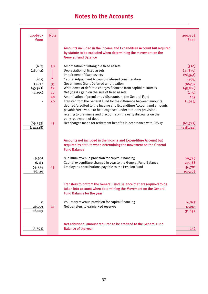| 2006/07<br><b>fooo</b>                                         | <b>Note</b>                      |                                                                                                                                                                                                                                                                                                                                                                                                                                                                                                                                                                                                                                                                               | 2007/08<br><b>fooo</b>                                                                     |
|----------------------------------------------------------------|----------------------------------|-------------------------------------------------------------------------------------------------------------------------------------------------------------------------------------------------------------------------------------------------------------------------------------------------------------------------------------------------------------------------------------------------------------------------------------------------------------------------------------------------------------------------------------------------------------------------------------------------------------------------------------------------------------------------------|--------------------------------------------------------------------------------------------|
|                                                                |                                  | Amounts included in the Income and Expenditure Account but required<br>by statute to be excluded when determining the movement on the<br><b>General Fund Balance</b>                                                                                                                                                                                                                                                                                                                                                                                                                                                                                                          |                                                                                            |
| (162)<br>(28, 532)<br>(207)<br>33,947<br>(45, 921)<br>(4, 290) | 38<br>35<br>24<br>10<br>40<br>40 | Amortisation of intangible fixed assets<br>Depreciation of fixed assets<br>Impairment of fixed assets<br>Capital Adjustment Account - deferred consideration<br><b>Government Grant Deferred amortisation</b><br>Write down of deferred charges financed from capital resources<br>Net (loss) / gain on the sale of fixed assets<br>Amortisation of premiums / discounts to the General Fund<br>Transfer from the General Fund for the difference between amounts<br>debited/credited to the Income and Expenditure Account and amounts<br>payable/receivable to be recognised under statutory provisions<br>relating to premiums and discounts on the early discounts on the | (320)<br>(33, 870)<br>(26, 541)<br>(208)<br>32,732<br>(45, 186)<br>(759)<br>109<br>(1,954) |
| (69, 253)<br>(114, 418)                                        | 13                               | early repayment of debt<br>Net charges made for retirement benefits in accordance with FRS 17<br>Amounts not included in the Income and Expenditure Account but                                                                                                                                                                                                                                                                                                                                                                                                                                                                                                               | (62, 747)<br>(138, 744)                                                                    |
|                                                                |                                  | required by statute when determining the movement on the General<br><b>Fund Balance</b>                                                                                                                                                                                                                                                                                                                                                                                                                                                                                                                                                                                       |                                                                                            |
| 19,961<br>6,361<br>59,794<br>86,116                            | 13                               | Minimum revenue provision for capital financing<br>Capital expenditure charged in year to the General Fund Balance<br>Employer's contributions payable to the Pension Fund                                                                                                                                                                                                                                                                                                                                                                                                                                                                                                    | 20,759<br>29,568<br>56,781<br>107,108                                                      |
|                                                                |                                  | Transfers to or from the General Fund Balance that are required to be<br>taken into account when determining the Movement on the General<br><b>Fund Balance for the year</b>                                                                                                                                                                                                                                                                                                                                                                                                                                                                                                  |                                                                                            |
| 8<br>26,001<br>26,009                                          | 17 <sup>2</sup>                  | Voluntary revenue provision for capital financing<br>Net transfers to earmarked reserves                                                                                                                                                                                                                                                                                                                                                                                                                                                                                                                                                                                      | 14,847<br>17,045<br>31,892                                                                 |
| (2, 293)                                                       |                                  | Net additional amount required to be credited to the General Fund<br><b>Balance of the year</b>                                                                                                                                                                                                                                                                                                                                                                                                                                                                                                                                                                               | 256                                                                                        |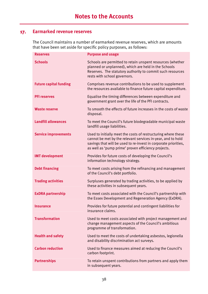## **17. Earmarked revenue reserves**

The Council maintains a number of earmarked revenue reserves, which are amounts that have been set aside for specific policy purposes, as follows:

| <b>Reserves</b>               | <b>Purpose and usage</b>                                                                                                                                                                                                                               |
|-------------------------------|--------------------------------------------------------------------------------------------------------------------------------------------------------------------------------------------------------------------------------------------------------|
| <b>Schools</b>                | Schools are permitted to retain unspent resources (whether<br>planned or unplanned), which are held in the Schools<br>Reserves. The statutory authority to commit such resources<br>rests with school governors.                                       |
| <b>Future capital funding</b> | Comprises revenue contributions to be used to supplement<br>the resources available to finance future capital expenditure.                                                                                                                             |
| <b>PFI reserves</b>           | Equalise the timing differences between expenditure and<br>government grant over the life of the PFI contracts.                                                                                                                                        |
| <b>Waste reserve</b>          | To smooth the effects of future increases in the costs of waste<br>disposal.                                                                                                                                                                           |
| <b>Landfill allowances</b>    | To meet the Council's future biodegradable municipal waste<br>landfill usage liabilities.                                                                                                                                                              |
| <b>Service improvements</b>   | Used to initially meet the costs of restructuring where these<br>cannot be met by the relevant services in-year, and to hold<br>savings that will be used to re-invest in corporate priorities,<br>as well as 'pump prime' proven efficiency projects. |
| <b>IMT development</b>        | Provides for future costs of developing the Council's<br>information technology strategy.                                                                                                                                                              |
| <b>Debt financing</b>         | To meet costs arising from the refinancing and management<br>of the Council's debt portfolio.                                                                                                                                                          |
| <b>Trading activities</b>     | Surpluses generated by trading activities, to be applied by<br>these activities in subsequent years.                                                                                                                                                   |
| <b>ExDRA partnership</b>      | To meet costs associated with the Council's partnership with<br>the Essex Development and Regeneration Agency (ExDRA).                                                                                                                                 |
| <b>Insurance</b>              | Provides for future potential and contingent liabilities for<br>insurance claims.                                                                                                                                                                      |
| <b>Transformation</b>         | Used to meet costs associated with project management and<br>change management aspects of the Council's ambitious<br>programme of transformation.                                                                                                      |
| <b>Health and safety</b>      | Used to meet the costs of undertaking asbestos, legionella<br>and disability discrimination act surveys.                                                                                                                                               |
| <b>Carbon reduction</b>       | Used to finance measures aimed at reducing the Council's<br>carbon footprint.                                                                                                                                                                          |
| <b>Partnerships</b>           | To retain unspent contributions from partners and apply them<br>in subsequent years.                                                                                                                                                                   |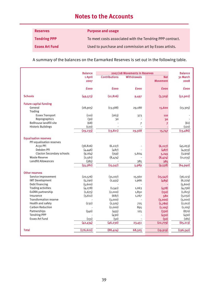| <b>Reserves</b>       | <b>Purpose and usage</b>                                 |
|-----------------------|----------------------------------------------------------|
| <b>Tendring PPP</b>   | To meet costs associated with the Tendring PPP contract. |
| <b>Essex Art Fund</b> | Used to purchase and commission art by Essex artists.    |

A summary of the balances on the Earmarked Reserves is set out in the following table.

|                                  | <b>Balance</b> |                      | 2007/08 Movements in Reserves |                 | <b>Balance</b> |
|----------------------------------|----------------|----------------------|-------------------------------|-----------------|----------------|
|                                  | 1 April        | <b>Contributions</b> | <b>Withdrawals</b>            | <b>Net</b>      | 31 March       |
|                                  | 2007           |                      |                               | <b>Movement</b> | 2008           |
|                                  | <b>fooo</b>    | <b>fooo</b>          | <b>fooo</b>                   | <b>fooo</b>     | <b>fooo</b>    |
|                                  |                |                      |                               |                 |                |
| <b>Schools</b>                   | (49, 573)      | (12, 826)            | 9,497                         | (3,329)         | (52,902)       |
| <b>Future capital funding</b>    |                |                      |                               |                 |                |
| General                          | (28,905)       | (13, 588)            | 29,188                        | 15,600          | (13, 305)      |
| <b>Trading</b>                   |                |                      |                               |                 |                |
| <b>Essex Transport</b>           | (110)          | (263)                | 373                           | 110             |                |
| Reprographics                    | (30)           | 30                   |                               | 30              |                |
| Bellhouse landfill site          | (68)           |                      | 7                             | 7               | (61)           |
| <b>Historic Buildings</b>        | (120)          |                      |                               |                 | (120)          |
|                                  | (29, 233)      | (13, 821)            | 29,568                        | 15,747          | (13, 486)      |
|                                  |                |                      |                               |                 |                |
| <b>Equalisation reserves</b>     |                |                      |                               |                 |                |
| PFI equalisation reserves        |                |                      |                               |                 |                |
| A130 PFI                         | (38, 826)      | (6, 227)             |                               | (6, 227)        | (45,053)       |
| Debden PFI                       | (4,446)        | (487)                |                               | (487)           | (4,933)        |
| <b>Clacton Secondary schools</b> | (9, 164)       | (359)                | 5,604                         | 5,245           | (3,919)        |
| <b>Waste Reserve</b>             | (2, 561)       | (8,474)              |                               | (8,474)         | (11, 035)      |
| Landfill Allowances              | (385)          |                      | 385                           | 385             |                |
|                                  | (55, 382)      | (15, 547)            | 5,989                         | (9,558)         | (64, 940)      |
| <b>Other reserves</b>            |                |                      |                               |                 |                |
| Service Improvement              | (20, 576)      | (31, 107)            | 15,560                        | (15, 547)       | (36, 123)      |
| <b>IMT Development</b>           | (5,790)        | (2,455)              | 1,966                         | (489)           | (6, 279)       |
| Debt financing                   | (5,600)        |                      |                               |                 | (5,600)        |
| <b>Trading activities</b>        | (4, 278)       | (1,541)              | 1,063                         | (478)           | (4,756)        |
| ExDRA partnership                | (1, 675)       | (2,000)              | 1,850                         | (150)           | (1, 825)       |
| Insurance                        | (3,612)        | (687)                | 1,267                         | 580             | (3,032)        |
| <b>Transformation reserve</b>    |                | (3,000)              |                               | (3,000)         | (3,000)        |
| Health and safety                | (232)          | (2,505)              | 725                           | (1,780)         | (2,012)        |
| <b>Carbon Reduction</b>          |                | (2,000)              | 895                           | (1, 105)        | (1, 105)       |
| Partnerships                     | (540)          | (455)                | 125                           | (330)           | (870)          |
| <b>Tendring PPP</b>              |                | (430)                |                               | (430)           | (430)          |
| Essex Art Fund                   | (131)          | (50)                 |                               | (50)            | (181)          |
|                                  | (42, 434)      | (46, 230)            | 23,451                        | (22, 779)       | (65, 213)      |
| <b>Total</b>                     | (176, 622)     | (88, 424)            | 68,505                        |                 | (196, 541)     |
|                                  |                |                      |                               | (19, 919)       |                |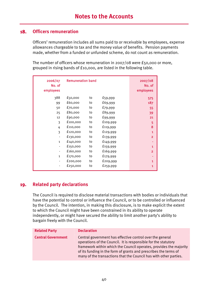## **18. Officers remuneration**

Officers' remuneration includes all sums paid to or receivable by employees, expense allowances chargeable to tax and the money value of benefits. Pension payments made, whether from a funded or unfunded scheme, do not count as remuneration.

The number of officers whose remuneration in 2007/08 were £50,000 or more, grouped in rising bands of £10,000, are listed in the following table.

| 2006/07<br>No. of<br>employees | <b>Remuneration band</b> |    |          | 2007/08<br>No. of<br>employees |
|--------------------------------|--------------------------|----|----------|--------------------------------|
| 388                            | £50,000                  | to | £59,999  | 575                            |
| 99                             | £60,000                  | to | £69,999  | 187                            |
| 50                             | £70,000                  | to | £79,999  | 55                             |
| 25                             | £80,000                  | to | £89,999  | 39                             |
| 12                             | £90,000                  | to | £99,999  | 21                             |
| 3                              | £100,000                 | to | £109,999 | 5                              |
| 4                              | £110,000                 | to | £119,999 | 8                              |
| 3                              | £120,000                 | to | £129,999 | 1                              |
| $\overline{\phantom{a}}$       | £130,000                 | to | £139,999 | $\overline{2}$                 |
| $\mathbf{1}$                   | £140,000                 | to | £149,999 |                                |
|                                | £150,000                 | to | £159,999 | 1                              |
|                                | £160,000                 | to | £169,999 | $\overline{2}$                 |
| $\mathbf{1}$                   | £170,000                 | to | £179,999 |                                |
| -                              | £200,000                 | to | £209,999 | 1                              |
|                                | £250,000                 | to | £259,999 | 1                              |

## **19. Related party declarations**

The Council is required to disclose material transactions with bodies or individuals that have the potential to control or influence the Council, or to be controlled or influenced by the Council. The intention, in making this disclosure, is to make explicit the extent to which the Council might have been constrained in its ability to operate independently, or might have secured the ability to limit another party's ability to bargain freely with the Council.

| <b>Related Party</b>      | <b>Declaration</b>                                                                                                                                                                                                                                                                                                                         |
|---------------------------|--------------------------------------------------------------------------------------------------------------------------------------------------------------------------------------------------------------------------------------------------------------------------------------------------------------------------------------------|
| <b>Central Government</b> | Central government has effective control over the general<br>operations of the Council. It is responsible for the statutory<br>framework within which the Council operates, provides the majority<br>of its funding in the form of grants and prescribes the terms of<br>many of the transactions that the Council has with other parties. |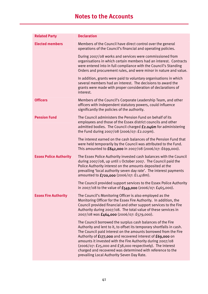| <b>Related Party</b>          | <b>Declaration</b>                                                                                                                                                                                                                                                                                                                                                                                                                                                                                          |
|-------------------------------|-------------------------------------------------------------------------------------------------------------------------------------------------------------------------------------------------------------------------------------------------------------------------------------------------------------------------------------------------------------------------------------------------------------------------------------------------------------------------------------------------------------|
| <b>Elected members</b>        | Members of the Council have direct control over the general<br>operations of the Council's financial and operating policies.                                                                                                                                                                                                                                                                                                                                                                                |
|                               | During 2007/08 works and services were commissioned from<br>organisations in which certain members had an interest. Contracts<br>were entered into in full compliance with the Council's Standing<br>Orders and procurement rules, and were minor in nature and value.                                                                                                                                                                                                                                      |
|                               | In addition, grants were paid to voluntary organisations in which<br>several members had an interest. The decisions to award the<br>grants were made with proper consideration of declarations of<br>interest.                                                                                                                                                                                                                                                                                              |
| <b>Officers</b>               | Members of the Council's Corporate Leadership Team, and other<br>officers with independent statutory powers, could influence<br>significantly the policies of the authority.                                                                                                                                                                                                                                                                                                                                |
| <b>Pension Fund</b>           | The Council administers the Pension Fund on behalf of its<br>employees and those of the Essex district councils and other<br>admitted bodies. The Council charged £2.046m for administering<br>the Fund during 2007/08 (2006/07: £2.029m).                                                                                                                                                                                                                                                                  |
|                               | The interest earned on the cash balances of the Pension Fund that<br>were held temporarily by the Council was attributed to the Fund.<br>This amounted to $£842,000$ in $2007/08$ ( $2006/07$ : £699,000).                                                                                                                                                                                                                                                                                                  |
| <b>Essex Police Authority</b> | The Essex Police Authority invested cash balances with the Council<br>during 2007/08, up until 1 October 2007. The Council paid the<br>Police Authority interest on the amounts deposited at the<br>prevailing 'local authority seven day rate'. The interest payments<br>amounted to £720,000 (2006/07: £1.418m).                                                                                                                                                                                          |
|                               | The Council provided support services to the Essex Police Authority<br>in 2007/08 to the value of $£549,000$ (2006/07: £465,000).                                                                                                                                                                                                                                                                                                                                                                           |
| <b>Essex Fire Authority</b>   | The Council's Monitoring Officer is also employed as the<br>Monitoring Officer for the Essex Fire Authority. In addition, the<br>Council provided financial and other support services to the Fire<br>Authority during 2007/08. The total value of these services in<br>2007/08 was £464,000 (2006/07: £579,000).                                                                                                                                                                                           |
|                               | The Council borrowed the surplus cash balances of the Fire<br>Authority and lent to it, to offset its temporary shortfalls in cash.<br>The Council paid interest on the amounts borrowed from the Fire<br>Authority of £177,000 and recovered interest of £69,000 on<br>amounts it invested with the Fire Authority during 2007/08<br>(2006/07: £25,000 and £38,000 respectively). The interest<br>charged and recovered was determined with reference to the<br>prevailing Local Authority Seven Day Rate. |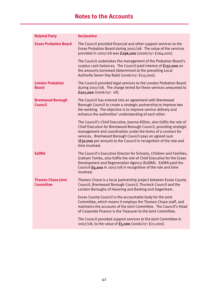| <b>Related Party</b>                          | <b>Declaration</b>                                                                                                                                                                                                                                                                                                                                              |
|-----------------------------------------------|-----------------------------------------------------------------------------------------------------------------------------------------------------------------------------------------------------------------------------------------------------------------------------------------------------------------------------------------------------------------|
| <b>Essex Probation Board</b>                  | The Council provided financial and other support services to the<br>Essex Probation Board during 2007/08. The value of the services<br>provided in 2007/08 was £296,000 (2006/07: £264,000).                                                                                                                                                                    |
|                                               | The Council undertakes the management of the Probation Board's<br>surplus cash balances. The Council paid interest of £137,000 on<br>the amounts borrowed (determined at the prevailing Local<br>Authority Seven Day Rate) (2006/07: £115,000).                                                                                                                 |
| <b>London Probation</b><br><b>Board</b>       | The Council provided legal services to the London Probation Board<br>during 2007/08. The charge levied for these services amounted to<br>£201,000 $(2006/07:$ nil).                                                                                                                                                                                             |
| <b>Brentwood Borough</b><br><b>Council</b>    | The Council has entered into an agreement with Brentwood<br>Borough Council to create a strategic partnership to improve two<br>tier working. The objective is to improve service delivery and<br>enhance the authorities' understanding of each other.                                                                                                         |
|                                               | The Council's Chief Executive, Joanna Killian, also fulfils the role of<br>Chief Executive for Brentwood Borough Council, providing strategic<br>management and coordination under the terms of a contract for<br>services. Brentwood Borough Council pays an agreed sum<br>(£30,000 per annum) to the Council in recognition of the role and<br>time involved. |
| <b>ExDRA</b>                                  | The Council's Executive Director for Schools, Children and Families,<br>Graham Tombs, also fulfils the role of Chief Executive for the Essex<br>Development and Regeneration Agency (ExDRA). ExDRA paid the<br>Council £9,000 in 2007/08 in recognition of the role and time<br>involved.                                                                       |
| <b>Thames Chase Joint</b><br><b>Committee</b> | Thames Chase is a local partnership project between Essex County<br>Council, Brentwood Borough Council, Thurrock Council and the<br>London Boroughs of Havering and Barking and Dagenham                                                                                                                                                                        |
|                                               | Essex County Council is the accountable body for the Joint<br>Committee, which means it employs the Thames Chase staff, and<br>maintains the accounts of the Joint Committee. The Council's Head<br>of Corporate Finance is the Treasurer to the Joint Committee.                                                                                               |
|                                               | The Council provided support services to the Joint Committee in<br>2007/08, to the value of £5,000 (2006/07: £22,000).                                                                                                                                                                                                                                          |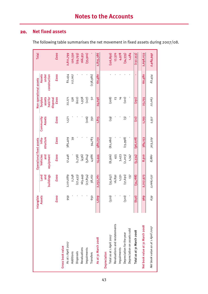## **20. Net fixed assets**

The following table summarises the net movement in fixed assets during 2007/08.

|                                   | Intangible |             | <b>Operational fixed assets</b> |                     |                     |                      | Non operational assets | <b>Total</b> |
|-----------------------------------|------------|-------------|---------------------------------|---------------------|---------------------|----------------------|------------------------|--------------|
|                                   | Assets     | Land<br>and | Vehicles<br>and                 | structure<br>Infra- | Community<br>Assets | Surplus<br>assets    | Assets<br>under        |              |
|                                   |            | buildings   | equipment                       |                     |                     | held for<br>disposal | construction           |              |
|                                   | £000       | £000        | £000                            | £000                | £000                | £000                 | £000                   | £000         |
| Gross book value                  |            |             |                                 |                     |                     |                      |                        |              |
| As at 1 April 2007                | 959        | 2,101,689   | 17,446                          | 385,409             | 1,571               | 22,271               | 82,454                 | 2,611,799    |
| Additions                         |            | 2,748       |                                 | 39                  |                     | 536                  | 117,007                | 120,330      |
| Disposals                         |            | (27, 433)   | (1,738)                         |                     |                     | (622)                |                        | (29, 793)    |
| Revaluations                      |            | 165,449     | (950)                           |                     |                     | 1,938                |                        | 166,951      |
| Impairments                       |            | (27, 854)   | (5, 814)                        |                     | (106)               | (127)                |                        | (33,901)     |
| Transfers                         | 650        | 38,162      | 4,986                           | 94,783              | 350                 | 50                   | (138, 981)             |              |
| As at 31 March 2008               | 1,609      | 2,252,761   | 14,444                          | 480,231             | 1,815               | 24,046               | 60,480                 | 2,835,386    |
| Depreciation                      |            |             |                                 |                     |                     |                      |                        |              |
| Total as at 1 April 2007          | (320)      | (35, 657)   | (8,566)                         | (82, 080)           | (6t)                | (208)                |                        | (126, 850)   |
| Revaluations and restatements     |            | 16,892      | 455                             |                     |                     | 23                   |                        | 17,370       |
| Impairments                       |            | 1,531       | 3,433                           |                     |                     | $\frac{1}{4}$        |                        | 4,978        |
| Depreciation for the year         | (320)      | (17, 691)   | (2, 203)                        | (13, 998)           | ි                   | (120)                |                        | (34, 335)    |
| Depreciation on assets sold       |            | 137         | 1,347                           |                     |                     |                      |                        | 1,484        |
| Total as at 31 March 2008         | (040)      | (34,788)    | (5.534)                         | (96,078)            | <u>(22)</u>         | (291)                |                        | (137, 353)   |
| Net book value at 31 March 2008   | 969        | 2,217,973   | 8,910                           | 384,153             | 1,793               | 23,755               | 60,480                 | 2,698,033    |
| Net book value as at 1 April 2007 | 639        | 2,066,032   | 8,880                           | 303,329             | 1,552               | 22,063               | 82,454                 | 2,484,949    |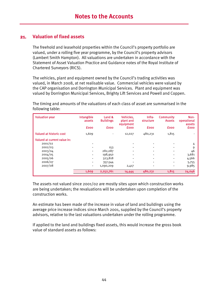### **21. Valuation of fixed assets**

The freehold and leasehold properties within the Council's property portfolio are valued, under a rolling five year programme, by the Council's property advisors (Lambert Smith Hampton). All valuations are undertaken in accordance with the Statement of Asset Valuation Practice and Guidance notes of the Royal Institute of Chartered Surveyors (RICS).

The vehicles, plant and equipment owned by the Council's trading activities was valued, in March 2008, at net realisable value. Commercial vehicles were valued by the CAP organisation and Dorrington Municipal Services. Plant and equipment was valued by Dorrington Municipal Services, Brighty Lift Services and Powell and Coppen.

The timing and amounts of the valuations of each class of asset are summarised in the following table:

| <b>Valuation year</b>          | Intangible<br>assets         | Land &<br><b>Buildings</b> | Vehicles.<br>plant and<br>equipment | Infra-<br>structure | <b>Community</b><br><b>Assets</b> | Non-<br>operational<br>assets |
|--------------------------------|------------------------------|----------------------------|-------------------------------------|---------------------|-----------------------------------|-------------------------------|
|                                | <b>fooo</b>                  | <b>fooo</b>                | <b>fooo</b>                         | <b>fooo</b>         | <b>fooo</b>                       | <b>fooo</b>                   |
| <b>Valued at historic cost</b> | 1,609                        | $\blacksquare$             | 12,027                              | 480,231             | 1,815                             |                               |
| Valued at current value in:    |                              |                            |                                     |                     |                                   |                               |
| 2001/02                        | ٠                            |                            |                                     |                     |                                   | 4                             |
| 2002/03                        |                              | 153                        |                                     |                     |                                   | 9                             |
| 2003/04                        |                              | 282,087                    |                                     |                     |                                   | 46                            |
| 2004/05                        |                              | 198,950                    |                                     |                     |                                   | 3,681                         |
| 2005/06                        |                              | 323,818                    |                                     |                     |                                   | 4,566                         |
| 2006/07                        |                              | 357,544                    | -                                   |                     |                                   | 5,755                         |
| 2007/08                        | $\qquad \qquad \blacksquare$ | 1,090,209                  | 2,417                               |                     |                                   | 9,985                         |
|                                | 1,609                        | 2,252,761                  | 14,444                              | 480,231             | 1,815                             | 24,046                        |

The assets not valued since 2001/02 are mostly sites upon which construction works are being undertaken; the revaluations will be undertaken upon completion of the construction works.

An estimate has been made of the increase in value of land and buildings using the average price increase indices since March 2001, supplied by the Council's property advisors, relative to the last valuations undertaken under the rolling programme.

If applied to the land and buildings fixed assets, this would increase the gross book value of standard assets as follows: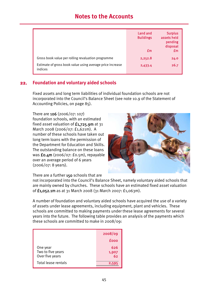|                                                                      | Land and<br><b>Buildings</b><br>£m | <b>Surplus</b><br>assets held<br>pending<br>disposal<br>£m |
|----------------------------------------------------------------------|------------------------------------|------------------------------------------------------------|
| Gross book value per rolling revaluation programme                   | 2,252.8                            | 24.0                                                       |
| Estimate of gross book value using average price increase<br>indices | 2,433.4                            | 26.7                                                       |

### **22. Foundation and voluntary aided schools**

Fixed assets and long term liabilities of individual foundation schools are not incorporated into the Council's Balance Sheet (see note 10.9 of the Statement of Accounting Policies, on page 85).

There are 106 (2006/07: 107) foundation schools, with an estimated fixed asset valuation of  $f_{1,725,9m}$  at 31 March 2008 (2006/07: £1,621m). A number of these schools have taken out long term loans with the permission of the Department for Education and Skills. The outstanding balance on these loans was £0.4m (2006/07: £0.5m), repayable over an average period of 6 years (2006/07: 8 years).



There are a further 150 schools that are

not incorporated into the Council's Balance Sheet, namely voluntary aided schools that are mainly owned by churches. These schools have an estimated fixed asset valuation of £1,052.1m as at 31 March 2008 (31 March 2007: £1,063m).

A number of foundation and voluntary aided schools have acquired the use of a variety of assets under lease agreements, including equipment, plant and vehicles. These schools are committed to making payments under these lease agreements for several years into the future. The following table provides an analysis of the payments which these schools are committed to make in 2008/09:

|                                                  | 2008/09            |
|--------------------------------------------------|--------------------|
|                                                  | <b>fooo</b>        |
| One year<br>Two to five years<br>Over five years | 626<br>1,907<br>62 |
| Total lease rentals                              | 2,595              |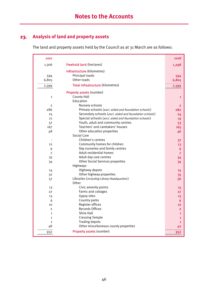## **23. Analysis of land and property assets**

The land and property assets held by the Council as at 31 March are as follows:

| 2007           |                                                        | 2008           |
|----------------|--------------------------------------------------------|----------------|
| 1,306          | <b>Freehold land (hectares)</b>                        | 1,298          |
|                | Infrastructure (kilometres)                            |                |
| 594            | Principal roads                                        | 594            |
| 6,805          | Other roads                                            | 6,805          |
| 7,399          | Total Infrastructure (kilometres)                      | 7,399          |
|                | Property assets (number)                               |                |
| $\mathbf{1}$   | County Hall                                            | $\mathbf{1}$   |
|                | Education                                              |                |
| $\overline{2}$ | Nursery schools                                        | $\overline{2}$ |
| 286            | Primary schools (excl. aided and foundation schools)   | 282            |
| 25             | Secondary schools (excl. aided and foundation schools) | 24             |
| 21             | Special schools (excl. aided and foundation schools)   | 19             |
| 57             | Youth, adult and community centres                     | 53             |
| 167            | Teachers' and caretakers' houses                       | 165            |
| 48             | Other education properties                             | 46             |
|                | <b>Social Care</b>                                     |                |
|                | Children's centres                                     | 37             |
| 12             | Community homes for children                           | 13             |
| 9              | Day nurseries and family centres                       | $\mathbf{9}$   |
| $\overline{7}$ | Adult residential homes                                | 7              |
| 35             | Adult day care centres                                 | 34             |
| 34             | <b>Other Social Services properties</b>                | 34             |
|                | Highways                                               |                |
| 14             | Highway depots                                         | 14             |
| 32             | Other highway properties                               | 35             |
| 57             | Libraries (including Library Headquarters)             | 56             |
|                | Other                                                  |                |
| 13             | Civic amenity points                                   | 15             |
| 27             | Farms and cottages                                     | 27             |
| 13             | Gypsy sites                                            | 13             |
| 9              | Country parks                                          | 9              |
| 10             | Register offices                                       | 10             |
| $\overline{2}$ | Records Offices                                        | $\overline{2}$ |
| $\mathbf{1}$   | <b>Shire Hall</b>                                      | 1              |
| $\mathbf 1$    | <b>Cressing Temple</b>                                 | 1              |
| $\mathbf{1}$   | <b>Trading depots</b>                                  | $\mathbf{1}$   |
| 48             | Other miscellaneous county properties                  | 42             |
| 932            | Property assets (number)                               | 952            |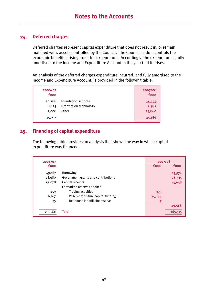## **24. Deferred charges**

Deferred charges represent capital expenditure that does not result in, or remain matched with, assets controlled by the Council. The Council seldom controls the economic benefits arising from this expenditure. Accordingly, the expenditure is fully amortised to the Income and Expenditure Account in the year that it arises.

An analysis of the deferred charges expenditure incurred, and fully amortised to the Income and Expenditure Account, is provided in the following table.

| 2006/07<br><b>fooo</b>   |                                                       | 2007/08<br><b>fooo</b>    |
|--------------------------|-------------------------------------------------------|---------------------------|
| 30,288<br>8,625<br>7,008 | Foundation schools<br>Information technology<br>Other | 24,744<br>5,582<br>14,860 |
| 45,921                   |                                                       | 45,186                    |

## **25. Financing of capital expenditure**

The following table provides an analysis that shows the way in which capital expenditure was financed.

| 2006/07     |                                     | 2007/08     |             |
|-------------|-------------------------------------|-------------|-------------|
| <b>fooo</b> |                                     | <b>fooo</b> | <b>fooo</b> |
| 49,167      | <b>Borrowing</b>                    |             | 43,974      |
| 48,980      | Government grants and contributions |             | 76,335      |
| 55,078      | Capital receipts                    |             | 15,638      |
|             | Earmarked reserves applied          |             |             |
| 159         | Trading activities                  | 373         |             |
| 6,167       | Reserve for future capital funding  | 29,188      |             |
| 35          | Bellhouse landfill site reserve     |             |             |
|             |                                     |             | 29,568      |
| 159,586     | <b>Total</b>                        |             | 165.5       |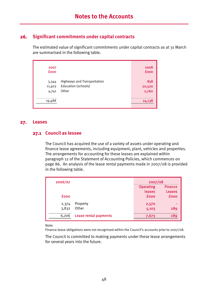## **26. Significant commitments under capital contracts**

The estimated value of significant commitments under capital contracts as at 31 March are summarised in the following table.

| 2007<br><b>fooo</b>      |                                                                    | 2008<br><b>fooo</b>    |
|--------------------------|--------------------------------------------------------------------|------------------------|
| 3,344<br>11,403<br>4,741 | <b>Highways and Transportation</b><br>Education (schools)<br>Other | 858<br>20,520<br>2,760 |
| 19,488                   |                                                                    | 24,138                 |

#### **27. Leases**

#### **27.1 Council as lessee**

The Council has acquired the use of a variety of assets under operating and finance lease agreements, including equipment, plant, vehicles and properties. The arrangements for accounting for these leases are explained within paragraph 12 of the Statement of Accounting Policies, which commences on page 86. An analysis of the lease rental payments made in 2007/08 is provided in the following table.

| 2006/07     |                       | 2007/08          |                |  |
|-------------|-----------------------|------------------|----------------|--|
|             |                       | <b>Operating</b> | <b>Finance</b> |  |
|             |                       | leases           | <b>Leases</b>  |  |
| <b>fooo</b> |                       | <b>fooo</b>      | <b>fooo</b>    |  |
| 2,374       | Property              | 2,570            |                |  |
| 3,832       | Other                 | 5,103            | 289            |  |
| 6,206       | Lease rental payments | 7,673            | 289            |  |

Note:

Finance lease obligations were not recognised within the Council's accounts prior to 2007/08.

The Council is committed to making payments under these lease arrangements for several years into the future.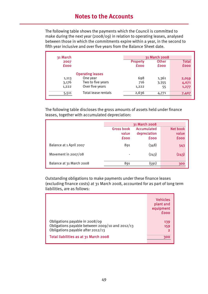The following table shows the payments which the Council is committed to make during the next year (2008/09) in relation to operating leases, analysed between those in which the commitments expire within a year, in the second to fifth year inclusive and over five years from the Balance Sheet date.

| 31 March    |                         |                 | 31 March 2008 |              |
|-------------|-------------------------|-----------------|---------------|--------------|
| 2007        |                         | <b>Property</b> | <b>Other</b>  | <b>Total</b> |
| <b>fooo</b> |                         | <b>fooo</b>     | <b>fooo</b>   | <b>fooo</b>  |
|             | <b>Operating leases</b> |                 |               |              |
| 1,113       | One year                | 698             | 1,361         | 2,059        |
| 3,176       | Two to five years       | 716             | 3,355         | 4,071        |
| 1,222       | Over five years         | 1,222           | 55            | 1,277        |
| 5,511       | Total lease rentals     | 2,636           | 4,771         | 7,407        |

The following table discloses the gross amounts of assets held under finance leases, together with accumulated depreciation:

|                          | 31 March 2008                             |                                            |                                  |
|--------------------------|-------------------------------------------|--------------------------------------------|----------------------------------|
|                          | <b>Gross book</b><br>value<br><b>fooo</b> | Accumulated<br>depreciation<br><b>fooo</b> | Net book<br>value<br><b>fooo</b> |
| Balance at 1 April 2007  | 891                                       | (348)                                      | 543                              |
| Movement in 2007/08      |                                           | (243)                                      | (243)                            |
| Balance at 31 March 2008 | 891                                       | (591)                                      | 300                              |

Outstanding obligations to make payments under these finance leases (excluding finance costs) at 31 March 2008, accounted for as part of long term liabilities, are as follows:

|                                                                                                                        | <b>Vehicles</b><br>plant and<br>equipment<br>fooo |
|------------------------------------------------------------------------------------------------------------------------|---------------------------------------------------|
| Obligations payable in 2008/09<br>Obligations payable between 2009/10 and 2012/13<br>Obligations payable after 2012/13 | 139<br>159<br>$\mathbf{2}$                        |
| Total liabilities as at 31 March 2008                                                                                  | 300                                               |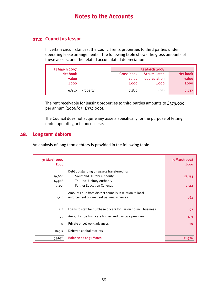## **27.2 Council as lessor**

In certain circumstances, the Council rents properties to third parties under operating lease arrangements. The following table shows the gross amounts of these assets, and the related accumulated depreciation.

| 31 March 2007 |          |                   | 31 March 2008 |                 |
|---------------|----------|-------------------|---------------|-----------------|
| Net book      |          | <b>Gross book</b> | Accumulated   | <b>Net book</b> |
| value         |          | value             | depreciation  | value           |
| <b>fooo</b>   |          | <b>fooo</b>       | <b>fooo</b>   | <b>fooo</b>     |
| 6.810         | Property | 7,810             | (93)          | 7,717           |

The rent receivable for leasing properties to third parties amounts to £379,000 per annum (2006/07: £374,000).

The Council does not acquire any assets specifically for the purpose of letting under operating or finance lease.

#### **28. Long term debtors**

An analysis of long term debtors is provided in the following table.

| 31 March 2007<br><b>fooo</b> |                                                                                                     | 31 March 2008<br><b>fooo</b> |
|------------------------------|-----------------------------------------------------------------------------------------------------|------------------------------|
|                              | Debt outstanding on assets transferred to:                                                          |                              |
| 19,666                       | Southend Unitary Authority                                                                          | 18,853                       |
| 14,908                       | <b>Thurrock Unitary Authority</b>                                                                   |                              |
| 1,255                        | <b>Further Education Colleges</b>                                                                   | 1,141                        |
| 1,110                        | Amounts due from district councils in relation to local<br>enforcement of on-street parking schemes | 964                          |
| 112                          | Loans to staff for purchase of cars for use on Council business                                     | 97                           |
| 79                           | Amounts due from care homes and day care providers                                                  | 491                          |
| 31                           | Private street work advances                                                                        | 30                           |
| 18,517                       | Deferred capital receipts                                                                           |                              |
| 55,678                       | Balance as at 31 March                                                                              | 21,57                        |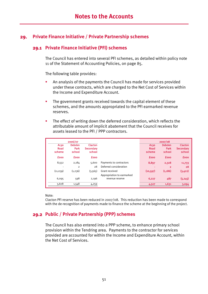## **29. Private Finance Initiative / Private Partnership schemes**

#### **29.1 Private Finance Initiative (PFI) schemes**

The Council has entered into several PFI schemes, as detailed within policy note 11 of the Statement of Accounting Policies, on page 85.

The following table provides:

- An analysis of the payments the Council has made for services provided under these contracts, which are charged to the Net Cost of Services within the Income and Expenditure Account.
- The government grants received towards the capital element of these schemes, and the amounts appropriated to the PFI earmarked revenue reserves.
- The effect of writing down the deferred consideration, which reflects the attributable amount of implicit abatement that the Council receives for assets leased to the PFI / PPP contractors.

|                                    | 2006/07                         |                                       |                            |                                    | 2007/08                         |                                       |
|------------------------------------|---------------------------------|---------------------------------------|----------------------------|------------------------------------|---------------------------------|---------------------------------------|
| A <sub>130</sub><br>Road<br>scheme | <b>Debden</b><br>Park<br>school | <b>Clacton</b><br>Secondary<br>school |                            | A <sub>130</sub><br>Road<br>scheme | <b>Debden</b><br>Park<br>school | <b>Clacton</b><br>Secondary<br>school |
| <b>fooo</b>                        | <b>fooo</b>                     | <b>fooo</b>                           |                            | <b>fooo</b>                        | <b>fooo</b>                     | <b>fooo</b>                           |
| 8,552                              | 2,184                           | 5,600                                 | Payments to contractors    | 8,897                              | 2,328                           | 11,733                                |
|                                    | $\overline{2}$                  | 28                                    | Deferred consideration     |                                    | $\overline{2}$                  | 28                                    |
| (11, 039)                          | (1,236)                         | (3, 565)                              | Grant received             | (10, 597)                          | (1, 186)                        | (3, 422)                              |
|                                    |                                 |                                       | Appropriation to earmarked |                                    |                                 |                                       |
| 6,095                              | 598                             | 2,196                                 | revenue reserve            | 6,227                              | 487                             | (5, 245)                              |
| 3,608                              | 1,548                           | 4,259                                 |                            | 4,527                              | 1,631                           | 3,094                                 |

Note:

Clacton PFI reserve has been reduced in 2007/08. This reduction has been made to correspond with the de-recognition of payments made to finance the scheme at the beginning of the project.

## **29.2 Public / Private Partnership (PPP) schemes**

The Council has also entered into a PPP scheme, to enhance primary school provision within the Tendring area. Payments to the contractor for services provided are accounted for within the Income and Expenditure Account, within the Net Cost of Services.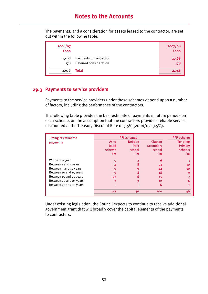The payments, and a consideration for assets leased to the contractor, are set out within the following table.

| 2006/07<br><b>fooo</b> |                                                  | 2007/08<br>£000 |
|------------------------|--------------------------------------------------|-----------------|
| 2,498<br>178           | Payments to contractor<br>Deferred consideration | 2,568<br>178    |
| 2,676                  | Total                                            | 2,746           |

## **29.3 Payments to service providers**

Payments to the service providers under these schemes depend upon a number of factors, including the performance of the contractors.

The following table provides the best estimate of payments in future periods on each scheme, on the assumption that the contractors provide a reliable service, discounted at the Treasury Discount Rate of 3.5% (2006/07: 3.5%).

| <b>Timing of estimated</b> | <b>PFI schemes</b> |                |                 | <b>PPP scheme</b> |
|----------------------------|--------------------|----------------|-----------------|-------------------|
| <b>payments</b>            | A <sub>130</sub>   | <b>Debden</b>  | <b>Clacton</b>  | <b>Tendring</b>   |
|                            | Road               | <b>Park</b>    | Secondary       | Primary           |
|                            | scheme             | school         | school          | schools           |
|                            | £m                 | £m             | £m              | £m                |
| Within one year            | 9                  | $\overline{2}$ | 6               |                   |
| Between 1 and 5 years      | 34                 | 8              | 21              | 10                |
| Between 5 and 10 years     | 39                 | 9              | 22              | 10                |
| Between 10 and 15 years    | 39                 | 8              | 18              | 9                 |
| Between 15 and 20 years    | 23                 | 6              | 15              |                   |
| Between 20 and 25 years    | 3                  | ٩              | 12 <sup>2</sup> | 6                 |
| Between 25 and 30 years    |                    |                | 6               |                   |
|                            | 147                | 36             | 100             | 46                |

Under existing legislation, the Council expects to continue to receive additional government grant that will broadly cover the capital elements of the payments to contractors.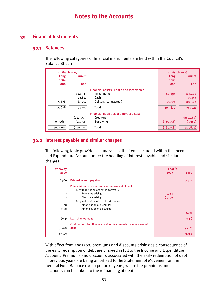## **30. Financial Instruments**

#### **30.1 Balances**

The following categories of financial instruments are held within the Council's Balance Sheet:

| 31 March 2007 |                |                                                 | 31 March 2008 |                |
|---------------|----------------|-------------------------------------------------|---------------|----------------|
| Long          | <b>Current</b> |                                                 | Long          | <b>Current</b> |
| term          |                |                                                 | term          |                |
| <b>fooo</b>   | <b>fooo</b>    |                                                 | <b>fooo</b>   | <b>fooo</b>    |
|               |                | <b>Financial assets - Loans and receivables</b> |               |                |
|               | 192,333        | Investments                                     | 82,094        | 172,429        |
|               | 13,817         | Cash                                            |               | 21,414         |
| 55,678        | 87,010         | Debtors (contractual)                           | 21,576        | 109,198        |
| 55,678        | 293,160        | Total                                           | 103,670       | 303,041        |
|               |                | <b>Financial liabilities at amortised cost</b>  |               |                |
|               | (210, 959)     | Creditors                                       |               | (210, 482)     |
| (309,066)     | (28,316)       | <b>Borrowing</b>                                | (361,758)     | (5, 340)       |
| (309,066)     | (239, 275)     | Total                                           | (361,758)     | (215, 822)     |

#### **30.2 Interest payable and similar charges**

The following table provides an analysis of the items included within the Income and Expenditure Account under the heading of interest payable and similar charges.

| 2006/07     |                                                                   | 2007/08                    |
|-------------|-------------------------------------------------------------------|----------------------------|
| <b>fooo</b> |                                                                   | <b>fooo</b><br><b>fooo</b> |
| 18,960      | <b>External interest payable</b>                                  | 17,422                     |
|             | Premiums and discounts on early repayment of debt                 |                            |
|             | Early redemption of debt in 2007/08:                              |                            |
|             | Premiums arising                                                  | 5,318                      |
|             | Discounts arising                                                 | (3,317)                    |
|             | Early redemption of debt in prior years:                          |                            |
| 108         | Amortisation of premiums                                          |                            |
| (288)       | Amortisation of discounts                                         |                            |
|             |                                                                   | 2,001                      |
| (143)       | Loan charges grant                                                | (135)                      |
|             | Contributions by other local authorities towards the repayment of |                            |
| (1,528)     | debt                                                              | (15,726)                   |
| 17,109      |                                                                   | 3,562                      |

With effect from 2007/08, premiums and discounts arising as a consequence of the early redemption of debt are charged in full to the Income and Expenditure Account. Premiums and discounts associated with the early redemption of debt in previous years are being amortised to the Statement of Movement on the General Fund Balance over a period of years, where the premiums and discounts can be linked to the refinancing of debt.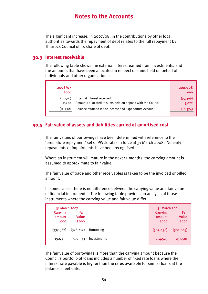The significant increase, in 2007/08, in the contributions by other local authorities towards the repayment of debt relates to the full repayment by Thurrock Council of its share of debt.

### **30.3 Interest receivable**

The following table shows the external interest earned from investments, and the amounts that have been allocated in respect of sums held on behalf of individuals and other organisations:

| 2006/07<br><b>fooo</b> |                                                                                          | 2007/08<br><b>fooo</b> |
|------------------------|------------------------------------------------------------------------------------------|------------------------|
| (14,510)<br>2.220      | External interest received<br>Amounts allocated to sums held on deposit with the Council | (19,396)<br>3,022      |
| (12, 290)              | Balance retained in the Income and Expenditure Account                                   | (16, 374)              |

## **30.4 Fair value of assets and liabilities carried at amortised cost**

The fair values of borrowings have been determined with reference to the 'premature repayment' set of PWLB rates in force at 31 March 2008. No early repayments or impairments have been recognised.

Where an instrument will mature in the next 12 months, the carrying amount is assumed to approximate to fair value.

The fair value of trade and other receivables is taken to be the invoiced or billed amount.

In some cases, there is no difference between the carrying value and fair value of financial instruments. The following table provides an analysis of those instruments where the carrying value and fair value differ:

| 31 March 2007                            |                              |                  | 31 March 2008                            |                              |
|------------------------------------------|------------------------------|------------------|------------------------------------------|------------------------------|
| <b>Carrying</b><br>amount<br><b>fooo</b> | Fair<br>Value<br><b>fooo</b> |                  | <b>Carrying</b><br>amount<br><b>fooo</b> | Fair<br>Value<br><b>fooo</b> |
| (337,382)                                | (328, 412)                   | <b>Borrowing</b> | (367,098)                                | (384, 603)                   |
| 192,333                                  | 192,333                      | Investments      | 254,523                                  | 257,501                      |

The fair value of borrowings is more than the carrying amount because the Council's portfolio of loans includes a number of fixed rate loans where the interest rate payable is higher than the rates available for similar loans at the balance sheet date.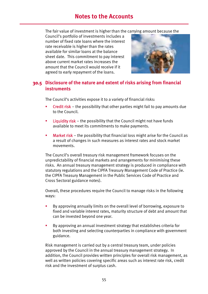The fair value of investment is higher than the carrying amount because the

Council's portfolio of investments includes a number of fixed rate loans where the interest rate receivable is higher than the rates available for similar loans at the balance sheet date. This commitment to pay interest above current market rates increases the amount that the Council would receive if it agreed to early repayment of the loans.



## **30.5 Disclosure of the nature and extent of risks arising from financial instruments**

The Council's activities expose it to a variety of financial risks:

- Credit risk the possibility that other parties might fail to pay amounts due to the Council.
- **Example 1** Liquidity risk the possibility that the Council might not have funds available to meet its commitments to make payments.
- **Market risk** the possibility that financial loss might arise for the Council as a result of changes in such measures as interest rates and stock market movements.

The Council's overall treasury risk management framework focuses on the unpredictability of financial markets and arrangements for minimising these risks. An annual treasury management strategy is produced in compliance with statutory regulations and the CIPFA Treasury Management Code of Practice (ie. the CIPFA Treasury Management in the Public Services Code of Practice and Cross Sectoral guidance notes).

Overall, these procedures require the Council to manage risks in the following ways:

- By approving annually limits on the overall level of borrowing, exposure to fixed and variable interest rates, maturity structure of debt and amount that can be invested beyond one year.
- By approving an annual investment strategy that establishes criteria for both investing and selecting counterparties in compliance with government guidance.

Risk management is carried out by a central treasury team, under policies approved by the Council in the annual treasury management strategy. In addition, the Council provides written principles for overall risk management, as well as written policies covering specific areas such as interest rate risk, credit risk and the investment of surplus cash.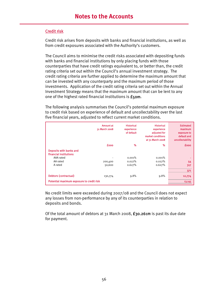#### Credit risk

Credit risk arises from deposits with banks and financial institutions, as well as from credit exposures associated with the Authority's customers.

The Council aims to minimise the credit risks associated with depositing funds with banks and financial institutions by only placing funds with those counterparties that have credit ratings equivalent to, or better than, the credit rating criteria set out within the Council's annual investment strategy. The credit rating criteria are further applied to determine the maximum amount that can be invested with any counterparty and the maximum period of those investments. Application of the credit rating criteria set out within the Annual Investment Strategy means that the maximum amount that can be lent to any one of the highest rated financial institutions is £50m.

The following analysis summarises the Council's potential maximum exposure to credit risk based on experience of default and uncollectability over the last five financial years, adjusted to reflect current market conditions.

|                                                   | <b>Amount at</b><br>31 March 2008 | <b>Historical</b><br>experience<br>of default | <b>Historical</b><br>experience<br>adjusted for<br>market conditions<br>at 31 March 2008 | <b>Estimated</b><br>maximum<br>exposure to<br>default and<br>uncollectability |
|---------------------------------------------------|-----------------------------------|-----------------------------------------------|------------------------------------------------------------------------------------------|-------------------------------------------------------------------------------|
|                                                   | <b>fooo</b>                       | %                                             | %                                                                                        | <b>fooo</b>                                                                   |
| Deposits with banks and<br>financial institutions |                                   |                                               |                                                                                          |                                                                               |
| AAA rated                                         |                                   | 0.001%                                        | 0.001%                                                                                   |                                                                               |
| AA rated                                          | 200,400                           | 0.027%                                        | 0.027%                                                                                   | 54                                                                            |
| A rated                                           | 50,600                            | 0.627%                                        | 0.627%                                                                                   | 317                                                                           |
|                                                   |                                   |                                               |                                                                                          | 371                                                                           |
| Debtors (contractual)                             | 130,774                           | 9.8%                                          | 9.8%                                                                                     | 12,774                                                                        |
| Potential maximum exposure to credit risk         |                                   |                                               |                                                                                          | 13,145                                                                        |

No credit limits were exceeded during 2007/08 and the Council does not expect any losses from non-performance by any of its counterparties in relation to deposits and bonds.

Of the total amount of debtors at 31 March 2008, £30.261m is past its due date for payment.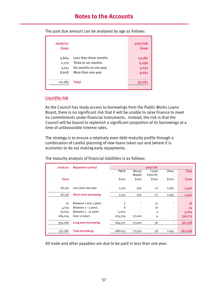| 2006/07<br><b>fooo</b>  |                                                                         | 2007/08<br><b>fooo</b>   |
|-------------------------|-------------------------------------------------------------------------|--------------------------|
| 5,664<br>2,170<br>3,741 | Less than three months<br>Three to six months<br>Six months to one year | 13,182<br>2,296<br>5,732 |
| 8,608                   | More than one year                                                      | 9,051                    |
| 20,183                  | Total                                                                   | 30,261                   |

The past due amount can be analysed by age as follows:

#### Liquidity risk

As the Council has ready access to borrowings from the Public Works Loans Board, there is no significant risk that it will be unable to raise finance to meet its commitments under financial instruments. Instead, the risk is that the Council will be bound to replenish a significant proportion of its borrowings at a time of unfavourable interest rates.

The strategy is to ensure a relatively even debt maturity profile through a combination of careful planning of new loans taken out and (where it is economic to do so) making early repayments.

The maturity analysis of financial liabilities is as follows:

| 2006/07     | <b>Repayment period</b>     |             |        | 2007/08  |                |              |
|-------------|-----------------------------|-------------|--------|----------|----------------|--------------|
|             |                             | <b>PWLB</b> | Money  | Castle   | Other          | <b>Total</b> |
|             |                             |             | Market | Point DC |                |              |
| <b>fooo</b> |                             | fooo        | fooo   | fooo     | fooo           | <b>fooo</b>  |
|             |                             |             |        |          |                |              |
| 28,316      | Less than one year          | 3,331       | 932    | 22       | 1,055          | 5,340        |
| 28,316      | <b>Short term borrowing</b> | 3,331       | 932    | 22       | 1,055          | 5,340        |
|             |                             |             |        |          |                |              |
| 22          | Between 1 and 2 years       | 5           |        | 13       |                | 18           |
| 4,035       | Between $2 - 5$ years       | 8           |        | 16       |                | 24           |
| 16,005      | Between 5 - 10 years        | 5,000       |        | 3        |                | 5,003        |
| 289,004     | Over 10 years               | 279,709     | 77,000 | 4        | $\blacksquare$ | 356,713      |
| 309,066     | Long term borrowing         | 284,722     | 77,000 | 36       |                | 361,758      |
|             |                             |             |        |          |                |              |
| 337,382     | <b>Total borrowing</b>      | 288,053     | 77,932 | 58       | 1,055          | 367,098      |
|             |                             |             |        |          |                |              |

All trade and other payables are due to be paid in less than one year.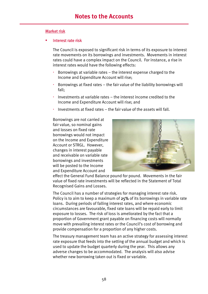#### Market risk

#### Interest rate risk

The Council is exposed to significant risk in terms of its exposure to interest rate movements on its borrowings and investments. Movements in interest rates could have a complex impact on the Council. For instance, a rise in interest rates would have the following effects:

- Borrowings at variable rates the interest expense charged to the Income and Expenditure Account will rise;
- Borrowings at fixed rates the fair value of the liability borrowings will fall;
- $\cdot$  Investments at variable rates the interest income credited to the Income and Expenditure Account will rise; and
- Investments at fixed rates the fair value of the assets will fall.

Borrowings are not carried at fair value, so nominal gains and losses on fixed rate borrowings would not impact on the Income and Expenditure Account or STRGL. However, changes in interest payable and receivable on variable rate borrowings and investments will be posted to the Income and Expenditure Account and



effect the General Fund Balance pound for pound. Movements in the fair value of fixed rate investments will be reflected in the Statement of Total Recognised Gains and Losses.

The Council has a number of strategies for managing interest rate risk. Policy is to aim to keep a maximum of 25% of its borrowings in variable rate loans. During periods of falling interest rates, and where economic circumstances are favourable, fixed rate loans will be repaid early to limit exposure to losses. The risk of loss is ameliorated by the fact that a proportion of Government grant payable on financing costs will normally move with prevailing interest rates or the Council's cost of borrowing and provide compensation for a proportion of any higher costs.

The treasury management team has an active strategy for assessing interest rate exposure that feeds into the setting of the annual budget and which is used to update the budget quarterly during the year. This allows any adverse changes to be accommodated. The analysis will also advise whether new borrowing taken out is fixed or variable.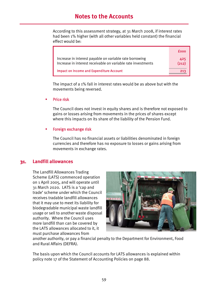According to this assessment strategy, at 31 March 2008, if interest rates had been 1% higher (with all other variables held constant) the financial effect would be:

|                                                                                                                         | fooo         |
|-------------------------------------------------------------------------------------------------------------------------|--------------|
| Increase in interest payable on variable rate borrowing<br>Increase in interest receivable on variable rate investments | 425<br>(212) |
| <b>Impact on Income and Expenditure Account</b>                                                                         | 213          |

The impact of a 1% fall in interest rates would be as above but with the movements being reversed.

Price risk

The Council does not invest in equity shares and is therefore not exposed to gains or losses arising from movements in the prices of shares except where this impacts on its share of the liability of the Pension Fund.

#### Foreign exchange risk

The Council has no financial assets or liabilities denominated in foreign currencies and therefore has no exposure to losses or gains arising from movements in exchange rates.

#### **31. Landfill allowances**

The Landfill Allowances Trading Scheme (LATS) commenced operation on 1 April 2005, and will operate until 31 March 2020. LATS is a 'cap and trade' scheme under which the Council receives tradable landfill allowances that it may use to meet its liability for biodegradable municipal waste landfill usage or sell to another waste disposal authority. Where the Council uses more landfill than can be covered by the LATS allowances allocated to it, it must purchase allowances from



another authority, or pay a financial penalty to the Department for Environment, Food and Rural Affairs (DEFRA).

The basis upon which the Council accounts for LATS allowances is explained within policy note 17 of the Statement of Accounting Policies on page 88.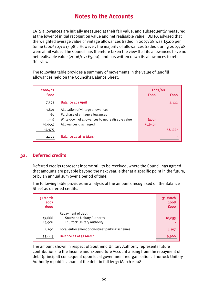LATS allowances are initially measured at their fair value, and subsequently measured at the lower of initial recognition value and net realisable value. DEFRA advised that the weighted average value of vintage allowances traded in 2007/08 was  $f_5.00$  per tonne (2006/07: £17.98). However, the majority of allowances traded during 2007/08 were at nil value. The Council has therefore taken the view that its allowances have no net realisable value (2006/07: £5.00), and has written down its allowances to reflect this view.

The following table provides a summary of movements in the value of landfill allowances held on the Council's Balance Sheet:

| 2006/07     |                                                  | 2007/08     |         |
|-------------|--------------------------------------------------|-------------|---------|
| <b>fooo</b> |                                                  | <b>fooo</b> | fooo    |
| 7,593       | <b>Balance at 1 April</b>                        |             | 2,122   |
| 1,801       | Allocation of vintage allowances                 |             |         |
| 360         | Purchase of vintage allowances                   |             |         |
| (933)       | Write down of allowances to net realisable value | (472)       |         |
| (6, 699)    | Allowances discharged                            | (1,650)     |         |
| (5,471)     |                                                  |             | (2.122) |
| 2,122       | Balance as at 31 March                           |             |         |

#### **32. Deferred credits**

Deferred credits represent income still to be received, where the Council has agreed that amounts are payable beyond the next year, either at a specific point in the future, or by an annual sum over a period of time.

The following table provides an analysis of the amounts recognised on the Balance Sheet as deferred credits.

| 31 March<br>2007<br><b>fooo</b> |                                                                                             | 31 March<br>2008<br><b>fooo</b> |
|---------------------------------|---------------------------------------------------------------------------------------------|---------------------------------|
| 19,666<br>14,908                | Repayment of debt<br><b>Southend Unitary Authority</b><br><b>Thurrock Unitary Authority</b> | 18,853                          |
| 1,290                           | Local enforcement of on-street parking schemes                                              | 1,107                           |
| 35,864                          | Balance as at 31 March                                                                      | 19,960                          |

The amount shown in respect of Southend Unitary Authority represents future contributions to the Income and Expenditure Account arising from the repayment of debt (principal) consequent upon local government reorganisation. Thurrock Unitary Authority repaid its share of the debt in full by 31 March 2008.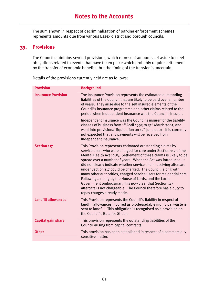The sum shown in respect of decriminalisation of parking enforcement schemes represents amounts due from various Essex district and borough councils.

## **33. Provisions**

The Council maintains several provisions, which represent amounts set aside to meet obligations related to events that have taken place which probably require settlement by the transfer of economic benefits, but the timing of the transfer is uncertain.

Details of the provisions currently held are as follows:

| <b>Provision</b>           | <b>Background</b>                                                                                                                                                                                                                                                                                                                                                                                                                                                                                                                                                                                                                                                                                         |
|----------------------------|-----------------------------------------------------------------------------------------------------------------------------------------------------------------------------------------------------------------------------------------------------------------------------------------------------------------------------------------------------------------------------------------------------------------------------------------------------------------------------------------------------------------------------------------------------------------------------------------------------------------------------------------------------------------------------------------------------------|
| <b>Insurance Provision</b> | The Insurance Provision represents the estimated outstanding<br>liabilities of the Council that are likely to be paid over a number<br>of years. They arise due to the self insured elements of the<br>Council's insurance programme and other claims related to the<br>period when Independent Insurance was the Council's insurer.                                                                                                                                                                                                                                                                                                                                                                      |
|                            | Independent Insurance was the Council's insurer for the liability<br>classes of business from 1 <sup>st</sup> April 1993 to 31 <sup>st</sup> March 2001, and<br>went into provisional liquidation on $17th$ June 2001. It is currently<br>not expected that any payments will be received from<br>Independent Insurance.                                                                                                                                                                                                                                                                                                                                                                                  |
| <b>Section 117</b>         | This Provision represents estimated outstanding claims by<br>service users who were charged for care under Section 117 of the<br>Mental Health Act 1983. Settlement of these claims is likely to be<br>spread over a number of years. When the Act was introduced, it<br>did not clearly indicate whether service users receiving aftercare<br>under Section 117 could be charged. The Council, along with<br>many other authorities, charged service users for residential care.<br>Following a ruling by the House of Lords, and the Local<br>Government ombudsman, it is now clear that Section 117<br>aftercare is not chargeable. The Council therefore has a duty to<br>repay charges already made. |
| <b>Landfill allowances</b> | This Provision represents the Council's liability in respect of<br>landfill allowances incurred as biodegradable municipal waste is<br>sent to landfill. This obligation is recognised as a provision on<br>the Council's Balance Sheet.                                                                                                                                                                                                                                                                                                                                                                                                                                                                  |
| <b>Capital gain share</b>  | This provision represents the outstanding liabilities of the<br>Council arising from capital contracts.                                                                                                                                                                                                                                                                                                                                                                                                                                                                                                                                                                                                   |
| <b>Other</b>               | This provision has been established in respect of a commercially<br>sensitive matter.                                                                                                                                                                                                                                                                                                                                                                                                                                                                                                                                                                                                                     |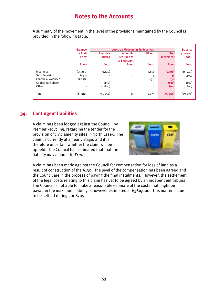A summary of the movement in the level of the provisions maintained by the Council is provided in the following table.

|                     | 2007/08 Movements in Reserves<br><b>Balance</b> |                           |                                               |                          | <b>Balance</b>                |                  |
|---------------------|-------------------------------------------------|---------------------------|-----------------------------------------------|--------------------------|-------------------------------|------------------|
|                     | 1 April<br>2007                                 | <b>Amounts</b><br>arising | <b>Amounts</b><br>returned to<br>1& E Account | <b>Utilised</b>          | <b>Net</b><br><b>Movement</b> | 31 March<br>2008 |
|                     | <b>fooo</b>                                     | <b>fooo</b>               | <b>fooo</b>                                   | <b>fooo</b>              | <b>fooo</b>                   | <b>fooo</b>      |
| Insurance           | (21, 241)                                       | (9, 122)                  |                                               | 3,414                    | (5,708)                       | (26, 949)        |
| S117 Provision      | (433)                                           |                           | 11                                            | 23                       | 34                            | (399)            |
| Landfill allowances | (1,638)                                         | ٠                         | ٠                                             | 1,638                    | 1,638                         |                  |
| Capital gain share  | $\blacksquare$                                  | (130)                     | $\blacksquare$                                | $\overline{\phantom{a}}$ | (130)                         | (130)            |
| Other               | ٠                                               | (1,800)                   | ٠                                             | $\sim$                   | (1,800)                       | (1,800)          |
| Total               | (23,312)                                        | (11, 052)                 | 11                                            | 5,075                    | (5,966)                       | (29, 278)        |

## **34. Contingent liabilities**

A claim has been lodged against the Council, by Premier Recycling, regarding the tender for the provision of civic amenity sites in North Essex. The claim is currently at an early stage, and it is therefore uncertain whether the claim will be upheld. The Council has estimated that that the liability may amount to **fim.** 



A claim has been made against the Council for compensation for loss of land as a result of construction of the A130. The level of the compensation has been agreed and the Council are in the process of paying the final instalments. However, the settlement of the legal costs relating to this claim has yet to be agreed by an independent tribunal. The Council is not able to make a reasonable estimate of the costs that might be payable; the maximum liability is however estimated at  $f_360,000$ . This matter is due to be settled during 2008/09.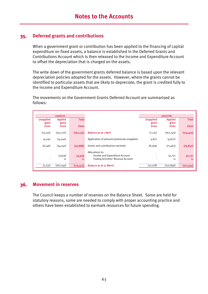## **35. Deferred grants and contributions**

When a government grant or contribution has been applied to the financing of capital expenditure on fixed assets, a balance is established in the Deferred Grants and Contributions Account which is then released to the Income and Expenditure Account to offset the depreciation that is charged on the assets.

The write down of the government grants deferred balance is based upon the relevant depreciation policies adopted for the assets. However, where the grants cannot be identified to particular assets that are likely to depreciate, the grant is credited fully to the Income and Expenditure Account.

The movements on the Government Grants Deferred Account are summarised as follows:

| 2006/07                   |                         |              |                                             | 2007/08                   |                         |              |
|---------------------------|-------------------------|--------------|---------------------------------------------|---------------------------|-------------------------|--------------|
| <b>Unapplied</b><br>grant | <b>Applied</b><br>grant | <b>Total</b> |                                             | <b>Unapplied</b><br>grant | <b>Applied</b><br>grant | <b>Total</b> |
| <b>fooo</b>               | <b>fooo</b>             | <b>fooo</b>  |                                             | <b>fooo</b>               | <b>fooo</b>             | <b>fooo</b>  |
| (15, 325)                 | (152, 210)              | (167, 535)   | <b>Balance as at 1 April</b>                | (7, 231)                  | (167, 243)              | (174, 474)   |
| 14,240                    | (14, 240)               |              | Application of amounts previously unapplied | 4,872                     | (4, 872)                |              |
| (6, 146)                  | (34,740)                | (40, 886)    | Grants and contributions received           | (8,369)                   | (71, 463)               | (79, 832)    |
|                           |                         |              | Allocations to:                             |                           |                         |              |
|                           | 33,936                  | 33,936       | Income and Expenditure Account              |                           | 32,721                  | 32,721       |
|                           | 11                      | 11           | <b>Trading Activities' Revenue Account</b>  |                           | 11                      | 11           |
| (7, 231)                  | (167, 243)              | (174, 474)   | <b>Balance as at 31 March</b>               | (10, 728)                 | (210, 846)              | (221, 574)   |

#### **36. Movement in reserves**

The Council keeps a number of reserves on the Balance Sheet. Some are held for statutory reasons, some are needed to comply with proper accounting practice and others have been established to earmark resources for future spending.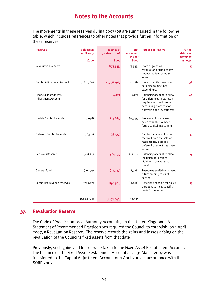The movements in these reserves during 2007/08 are summarised in the following table, which includes references to other notes that provide further information on these reserves.

| fooo<br><b>fooo</b><br>fooo<br>in notes:<br><b>Revaluation Reserve</b><br>(173, 543)<br>(173, 543)<br>Store of gains on<br>37<br>revaluation of fixed assets<br>not yet realised through<br>sales.<br>(1, 811, 780)<br>(1,798,796)<br>Capital Adjustment Account<br>Store of capital resources<br>12,984<br>38<br>set aside to meet past<br>expenditure.<br><b>Financial Instruments</b><br>Balancing account to allow<br>4,722<br>4,722<br>40<br><b>Adjustment Account</b><br>for differences in statutory<br>requirements and proper<br>accounting practices for<br>borrowing and investments.<br>Proceeds of fixed asset<br><b>Usable Capital Receipts</b><br>(1,938)<br>(13, 883)<br>(11, 945)<br>39<br>sales available to meet<br>future capital investment.<br>(18, 517)<br>Capital income still to be<br><b>Deferred Capital Receipts</b><br>(18, 517)<br>$\ddot{\phantom{0}}$<br>39<br>received from the sale of<br>fixed assets, because<br>deferred payment has been<br>agreed.<br><b>Pensions Reserve</b><br>Balancing account to allow<br>564,039<br>215,824<br>348,215<br>13<br>inclusion of Pensions<br>Liability in the Balance<br>Sheet.<br><b>General Fund</b><br>(30, 199)<br>Resources available to meet<br>(38, 927)<br>(8,728)<br>future running costs of<br>services.<br>Earmarked revenue reserves<br>(176, 622)<br>(196, 541)<br>(19, 919)<br>Reserves set aside for policy<br>17 <sub>2</sub><br>purposes to meet specific<br>costs in the future. | <b>Reserves</b> | <b>Balance at</b><br>1 April 2007 | <b>Balance at</b><br>31 March 2008 | <b>Net</b><br>movement<br>in year | <b>Purpose of Reserve</b> | <b>Further</b><br>details on<br>movement |
|-----------------------------------------------------------------------------------------------------------------------------------------------------------------------------------------------------------------------------------------------------------------------------------------------------------------------------------------------------------------------------------------------------------------------------------------------------------------------------------------------------------------------------------------------------------------------------------------------------------------------------------------------------------------------------------------------------------------------------------------------------------------------------------------------------------------------------------------------------------------------------------------------------------------------------------------------------------------------------------------------------------------------------------------------------------------------------------------------------------------------------------------------------------------------------------------------------------------------------------------------------------------------------------------------------------------------------------------------------------------------------------------------------------------------------------------------------------------------------|-----------------|-----------------------------------|------------------------------------|-----------------------------------|---------------------------|------------------------------------------|
|                                                                                                                                                                                                                                                                                                                                                                                                                                                                                                                                                                                                                                                                                                                                                                                                                                                                                                                                                                                                                                                                                                                                                                                                                                                                                                                                                                                                                                                                             |                 |                                   |                                    |                                   |                           |                                          |
|                                                                                                                                                                                                                                                                                                                                                                                                                                                                                                                                                                                                                                                                                                                                                                                                                                                                                                                                                                                                                                                                                                                                                                                                                                                                                                                                                                                                                                                                             |                 |                                   |                                    |                                   |                           |                                          |
|                                                                                                                                                                                                                                                                                                                                                                                                                                                                                                                                                                                                                                                                                                                                                                                                                                                                                                                                                                                                                                                                                                                                                                                                                                                                                                                                                                                                                                                                             |                 |                                   |                                    |                                   |                           |                                          |
|                                                                                                                                                                                                                                                                                                                                                                                                                                                                                                                                                                                                                                                                                                                                                                                                                                                                                                                                                                                                                                                                                                                                                                                                                                                                                                                                                                                                                                                                             |                 |                                   |                                    |                                   |                           |                                          |
|                                                                                                                                                                                                                                                                                                                                                                                                                                                                                                                                                                                                                                                                                                                                                                                                                                                                                                                                                                                                                                                                                                                                                                                                                                                                                                                                                                                                                                                                             |                 |                                   |                                    |                                   |                           |                                          |
|                                                                                                                                                                                                                                                                                                                                                                                                                                                                                                                                                                                                                                                                                                                                                                                                                                                                                                                                                                                                                                                                                                                                                                                                                                                                                                                                                                                                                                                                             |                 |                                   |                                    |                                   |                           |                                          |
|                                                                                                                                                                                                                                                                                                                                                                                                                                                                                                                                                                                                                                                                                                                                                                                                                                                                                                                                                                                                                                                                                                                                                                                                                                                                                                                                                                                                                                                                             |                 |                                   |                                    |                                   |                           |                                          |
|                                                                                                                                                                                                                                                                                                                                                                                                                                                                                                                                                                                                                                                                                                                                                                                                                                                                                                                                                                                                                                                                                                                                                                                                                                                                                                                                                                                                                                                                             |                 |                                   |                                    |                                   |                           |                                          |
|                                                                                                                                                                                                                                                                                                                                                                                                                                                                                                                                                                                                                                                                                                                                                                                                                                                                                                                                                                                                                                                                                                                                                                                                                                                                                                                                                                                                                                                                             |                 |                                   |                                    |                                   |                           |                                          |
| 19,395                                                                                                                                                                                                                                                                                                                                                                                                                                                                                                                                                                                                                                                                                                                                                                                                                                                                                                                                                                                                                                                                                                                                                                                                                                                                                                                                                                                                                                                                      |                 | (1,690,841)                       | (1,671,446)                        |                                   |                           |                                          |

#### **37. Revaluation Reserve**

The Code of Practice on Local Authority Accounting in the United Kingdom – A Statement of Recommended Practice 2007 required the Council to establish, on 1 April 2007, a Revaluation Reserve. The reserve records the gains and losses arising on the revaluation of the Council's fixed assets from that date.

Previously, such gains and losses were taken to the Fixed Asset Restatement Account. The balance on the Fixed Asset Restatement Account as at 31 March 2007 was transferred to the Capital Adjustment Account on 1 April 2007 in accordance with the SORP 2007.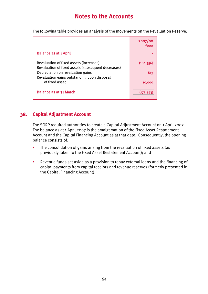The following table provides an analysis of the movements on the Revaluation Reserve:

|                                                                                               | 2007/08<br><b>fooo</b> |
|-----------------------------------------------------------------------------------------------|------------------------|
| <b>Balance as at 1 April</b>                                                                  |                        |
| Revaluation of fixed assets (increases)<br>Revaluation of fixed assets (subsequent decreases) | (184, 356)             |
| Depreciation on revaluation gains<br>Revaluation gains outstanding upon disposal              | 813                    |
| of fixed asset                                                                                | 10,000                 |
| Balance as at 31 March                                                                        | (173.5)                |

## **38. Capital Adjustment Account**

The SORP required authorities to create a Capital Adjustment Account on 1 April 2007. The balance as at 1 April 2007 is the amalgamation of the Fixed Asset Restatement Account and the Capital Financing Account as at that date. Consequently, the opening balance consists of:

- The consolidation of gains arising from the revaluation of fixed assets (as previously taken to the Fixed Asset Restatement Account); and
- Revenue funds set aside as a provision to repay external loans and the financing of capital payments from capital receipts and revenue reserves (formerly presented in the Capital Financing Account).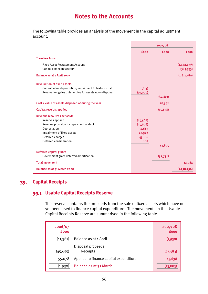The following table provides an analysis of the movement in the capital adjustment account.

|                                                                                                                                                        |                   | 2007/08     |                          |
|--------------------------------------------------------------------------------------------------------------------------------------------------------|-------------------|-------------|--------------------------|
|                                                                                                                                                        | <b>fooo</b>       | <b>fooo</b> | fooo                     |
| <b>Transfers from:</b>                                                                                                                                 |                   |             |                          |
| <b>Fixed Asset Restatement Account</b><br><b>Capital Financing Account</b>                                                                             |                   |             | (1,468,037)<br>(343,743) |
| Balance as at 1 April 2007                                                                                                                             |                   |             | (1, 811, 780)            |
| <b>Revaluation of fixed assets</b><br>Current value depreciation/impairment to historic cost<br>Revaluation gains outstanding for assets upon disposal | (813)<br>(10,000) |             |                          |
|                                                                                                                                                        |                   | (10, 813)   |                          |
| Cost / value of assets disposed of during the year                                                                                                     |                   | 28,342      |                          |
| <b>Capital receipts applied</b>                                                                                                                        |                   | (15, 638)   |                          |
| Revenue resources set aside                                                                                                                            |                   |             |                          |
| Reserves applied                                                                                                                                       | (29, 568)         |             |                          |
| Revenue provision for repayment of debt                                                                                                                | (35, 606)         |             |                          |
| Depreciation                                                                                                                                           | 34,683            |             |                          |
| Impairment of fixed assets                                                                                                                             | 28,922            |             |                          |
| Deferred charges                                                                                                                                       | 45,186            |             |                          |
| Deferred consideration                                                                                                                                 | 208               |             |                          |
|                                                                                                                                                        |                   | 43,825      |                          |
| <b>Deferred capital grants</b>                                                                                                                         |                   |             |                          |
| Government grant deferred amortisation                                                                                                                 |                   | (32,732)    |                          |
| <b>Total movement</b>                                                                                                                                  |                   |             | 12,984                   |
| Balance as at 31 March 2008                                                                                                                            |                   |             | (1,798,796)              |

## **39. Capital Receipts**

## **39.1 Usable Capital Receipts Reserve**

This reserve contains the proceeds from the sale of fixed assets which have not yet been used to finance capital expenditure. The movements in the Usable Capital Receipts Reserve are summarised in the following table.

| 2006/07<br><b>fooo</b> |                                        | 2007/08<br><b>fooo</b> |
|------------------------|----------------------------------------|------------------------|
| (11, 361)              | Balance as at 1 April                  | (1,938)                |
| (45, 655)              | Disposal proceeds<br>Receipts          | (27, 583)              |
| 55,078                 | Applied to finance capital expenditure | 15,638                 |
| (1,938)                | Balance as at 31 March                 | (13, 883)              |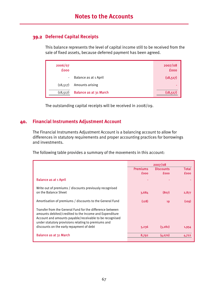## **39.2 Deferred Capital Receipts**

This balance represents the level of capital income still to be received from the sale of fixed assets, because deferred payment has been agreed.

| 2006/07<br><b>fooo</b> |                        | 2007/08<br><b>fooo</b> |
|------------------------|------------------------|------------------------|
| $\sim$                 | Balance as at 1 April  | (18, 517)              |
| (18, 517)              | Amounts arising        | -                      |
| (18, 517)              | Balance as at 31 March | (18, 517)              |

The outstanding capital receipts will be received in 2008/09.

### **40. Financial Instruments Adjustment Account**

The Financial Instruments Adjustment Account is a balancing account to allow for differences in statutory requirements and proper accounting practices for borrowings and investments.

The following table provides a summary of the movements in this account:

|                                                                                                                                                                                                                                       |                 | 2007/08          |             |
|---------------------------------------------------------------------------------------------------------------------------------------------------------------------------------------------------------------------------------------|-----------------|------------------|-------------|
|                                                                                                                                                                                                                                       | <b>Premiums</b> | <b>Discounts</b> | Total       |
|                                                                                                                                                                                                                                       | <b>fooo</b>     | <b>fooo</b>      | <b>fooo</b> |
| <b>Balance as at 1 April</b>                                                                                                                                                                                                          |                 |                  |             |
| Write out of premiums / discounts previously recognised                                                                                                                                                                               |                 |                  |             |
| on the Balance Sheet                                                                                                                                                                                                                  | 3,684           | (807)            | 2,877       |
| Amortisation of premiums / discounts to the General Fund                                                                                                                                                                              | (128)           | 19               | (109)       |
| Transfer from the General Fund for the difference between<br>amounts debited/credited to the Income and Expenditure<br>Account and amounts payable/receivable to be recognised<br>under statutory provisions relating to premiums and |                 |                  |             |
| discounts on the early repayment of debt                                                                                                                                                                                              | 5,236           | (3, 282)         | 1,954       |
| <b>Balance as at 31 March</b>                                                                                                                                                                                                         | 8,792           | (4,070)          | 4,722       |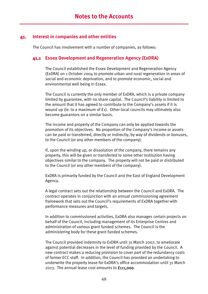#### **41. Interest in companies and other entities**

The Council has involvement with a number of companies, as follows:

#### **41.1 Essex Development and Regeneration Agency (ExDRA)**

The Council established the Essex Development and Regeneration Agency (ExDRA) on 1 October 2004 to promote urban and rural regeneration in areas of social and economic deprivation, and to promote economic, social and environmental well being in Essex.

The Council is currently the only member of ExDRA, which is a private company limited by guarantee, with no share capital. The Council's liability is limited to the amount that it has agreed to contribute to the Company's assets if it is wound up (ie. to a maximum of  $f_1$ ). Other local councils may ultimately also become guarantors on a similar basis.

The income and property of the Company can only be applied towards the promotion of its objectives. No proportion of the Company's income or assets can be paid or transferred, directly or indirectly, by way of dividends or bonuses, to the Council (or any other members of the company).

If, upon the winding up, or dissolution of the company, there remains any property, this will be given or transferred to some other institution having objectives similar to the company. The property will not be paid or distributed to the Council (or any other members of the company).

ExDRA is primarily funded by the Council and the East of England Development Agency.

A legal contract sets out the relationship between the Council and ExDRA. The contract operates in conjunction with an annual commissioning agreement framework that sets out the Council's requirements of ExDRA together with performance measures and targets.

In addition to commissioned activities, ExDRA also manages certain projects on behalf of the Council, including management of its Enterprise Centres and administration of various grant funded schemes. The Council is the administering body for these grant funded schemes.

The Council provided indemnity to ExDRA until 31 March 2007, to ameliorate against potential decreases in the level of funding provided by the Council. A new contract makes a reducing provision to cover part of the redundancy costs of former ECC staff. In addition, the Council has provided an undertaking to underwrite the property lease for ExDRA's office accommodation until 31 March 2013. The annual lease cost amounts to £111,000.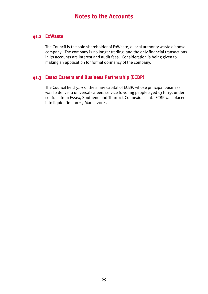### **41.2 ExWaste**

The Council is the sole shareholder of ExWaste, a local authority waste disposal company. The company is no longer trading, and the only financial transactions in its accounts are interest and audit fees. Consideration is being given to making an application for formal dormancy of the company.

## **41.3 Essex Careers and Business Partnership (ECBP)**

The Council held 51% of the share capital of ECBP, whose principal business was to deliver a universal careers service to young people aged 13 to 19, under contract from Essex, Southend and Thurrock Connexions Ltd. ECBP was placed into liquidation on 23 March 2004.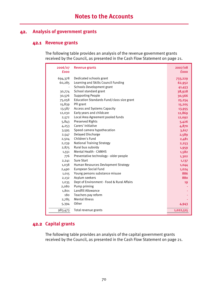## **42. Analysis of government grants**

#### **42.1 Revenue grants**

The following table provides an analysis of the revenue government grants received by the Council, as presented in the Cash Flow Statement on page 21.

| 2006/07<br><b>fooo</b> | <b>Revenue grants</b>                      | 2007/08<br><b>fooo</b> |
|------------------------|--------------------------------------------|------------------------|
| 694,378                | Dedicated schools grant                    | 733,229                |
| 60,285                 | Learning and Skills Council Funding        | 62,952                 |
|                        | <b>Schools Development grant</b>           | 41,453                 |
| 30,774                 | School standard grant                      | 38,928                 |
| 30,576                 | <b>Supporting People</b>                   | 30,566                 |
| 75,058                 | Education Standards Fund/class size grant  | 25,254                 |
| 15,839                 | PFI grant                                  | 15,205                 |
| 13,587                 | Access and Systems Capacity                | 13,955                 |
| 12,030                 | Early years and childcare                  | 12,869                 |
| 2,572                  | Local Area Agreement pooled funds          | 12,092                 |
| 5,843                  | <b>Preserved Rights</b>                    | 5,426                  |
| 4,253                  | Carers' Initiative                         | 4,870                  |
| 3,595                  | Speed camera hypothecation                 | 3,617                  |
| 2,547                  | Delayed Discharge                          | 2,589                  |
| 2,504                  | Children's Fund                            | 2,481                  |
| 2,239                  | <b>National Training Strategy</b>          | 2,253                  |
| 2,875                  | Rural bus subsidy                          | 1,959                  |
| 1,551                  | <b>Mental Health - CAMHS</b>               | 1,582                  |
| 776                    | Preventative technology - older people     | 1,302                  |
| 2,241                  | <b>Sure Start</b>                          | 1,137                  |
| 1,038                  | Human Resources Devlopment Strategy        | 1,044                  |
| 2,490                  | European Social Fund                       | 1,024                  |
| 1,015                  | Young persons substance misuse             | 886                    |
| 2,132                  | Asylum seekers                             | 880                    |
| 1,035                  | Dept of Environment - Food & Rural Affairs | 19                     |
| 2,080                  | Pump priming                               |                        |
| 1,801                  | Landfill Allowance                         |                        |
| 180                    | Teachers pay reform                        |                        |
| 2,785                  | <b>Mental Illness</b>                      |                        |
| 5,394                  | Other                                      | 4,943                  |
| 983,473                | Total revenue grants                       | 1,022,515              |

## **42.2 Capital grants**

The following table provides an analysis of the capital government grants received by the Council, as presented in the Cash Flow Statement on page 21.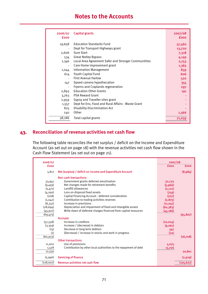# **Notes to the Accounts**

| 2006/07<br><b>fooo</b> | <b>Capital grants</b>                                | 2007/08<br>fooo |
|------------------------|------------------------------------------------------|-----------------|
| 19,658                 | <b>Education Standards Fund</b>                      | 37,560          |
|                        | Dept for Transport Highways grant                    | 13,720          |
| 2,606                  | <b>Sure Start</b>                                    | 7,318           |
| 534                    | <b>Great Notley Bypass</b>                           | 4,149           |
| 1,346                  | Local Area Agreement Safer and Stronger Communitites | 2,753           |
|                        | Care Home improvement grant                          | 1,365           |
| 1,044                  | <b>Information Management</b>                        | 839             |
| 614                    | Youth Capital Fund                                   | 606             |
|                        | <b>First Avenue Harlow</b>                           | 520             |
| 147                    | Speed camera hypothecation                           | 355             |
|                        | Fryerns and Craylands regeneration                   | 297             |
| 2,893                  | <b>Education Other Grants</b>                        | 191             |
| 3,763                  | <b>PSA Reward Grant</b>                              |                 |
| 2,959                  | Gypsy and Traveller sites grant                      |                 |
| 1,557                  | Dept for Env, Food and Rural Affairs - Waste Grant   |                 |
| 825                    | <b>Disability Discrimination Act</b>                 |                 |
| 240                    | Other                                                | 1,366           |
| 38,186                 | Total capital grants                                 | 71,039          |

# **43. Reconciliation of revenue activities net cash flow**

The following table reconciles the net surplus / deficit on the Income and Expenditure Account (as set out on page 18) with the revenue activities net cash flow shown in the Cash Flow Statement (as set out on page 21).

| 2006/07     |                                                                  | 2007/08     |             |
|-------------|------------------------------------------------------------------|-------------|-------------|
| <b>fooo</b> |                                                                  | <b>fooo</b> | <b>fooo</b> |
| 5,817       | Net (surplus) / deficit on Income and Expenditure Account        |             | (8,984)     |
|             | Non cash transactions                                            |             |             |
| 33,947      | Government grants deferred amortisation                          | 32,732      |             |
| (9,459)     | Net changes made for retirement benefits                         | (5,966)     |             |
| (5,471)     | Landfill allowances                                              | (2, 122)    |             |
| (4, 290)    | Loss on disposal fixed assets                                    | (759)       |             |
| (208)       | Capital Financing Account - deferred consideration               | (207)       |             |
| (1,042)     | Contribution to trading activities reserves                      | (2,875)     |             |
| (8, 337)    | Increase in provisions                                           | (11, 041)   |             |
| (28, 694)   | Depreciation and impairment of fixed and intangible assets       | (60, 383)   |             |
| (45, 921)   | Write down of deferred charges financed from capital resources   | (45, 186)   |             |
| (69, 475)   |                                                                  |             | (95, 807)   |
|             | <b>Accruals</b>                                                  |             |             |
| (57, 558)   | Increase in creditors                                            | (10, 024)   |             |
| (3,359)     | Increase / (decrease) in debtors                                 | (9,061)     |             |
| (15)        | Decrease in long term debtors                                    | 397         |             |
| (1)         | (Decrease) / increase in stocks and work in progress             | (20)        |             |
| (60, 933)   |                                                                  |             | (18,708)    |
|             | <b>Other transactions</b>                                        |             |             |
| 11,002      | Use of provisions                                                | 5,075       |             |
| 1,528       | Contribution by other local authorities to the repayment of debt | 15,726      |             |
| 12,530      |                                                                  |             | 20,801      |
| (5,946)     | <b>Servicing of finance</b>                                      |             | (2,929)     |
| (118,007)   | Revenue activities net cash flow                                 |             | (105, 627)  |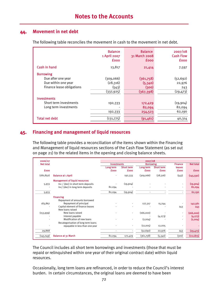# **44. Movement in net debt**

The following table reconciles the movement in cash to the movement in net debt.

|                           | <b>Balance</b><br>1 April 2007<br><b>fooo</b> | <b>Balance</b><br>31 March 2008<br><b>fooo</b> | 2007/08<br><b>Cash Flow</b><br><b>fooo</b> |
|---------------------------|-----------------------------------------------|------------------------------------------------|--------------------------------------------|
| Cash in hand              | 13,817                                        | 21,414                                         | 7,597                                      |
| <b>Borrowing</b>          |                                               |                                                |                                            |
| Due after one year        | (309,066)                                     | (361,758)                                      | (52, 692)                                  |
| Due within one year       | (28, 316)                                     | (5, 340)                                       | 22,976                                     |
| Finance lease obligations | (543)                                         | (300)                                          | 243                                        |
|                           | (337, 925)                                    | (367, 398)                                     | (29, 473)                                  |
| <b>Investments</b>        |                                               |                                                |                                            |
| Short term investments    | 192,333                                       | 172,429                                        | (19,904)                                   |
| Long term investments     |                                               | 82,094                                         | 82,094                                     |
|                           | 192,333                                       | 254,523                                        | 62,190                                     |
| <b>Total net debt</b>     | (131,775)                                     | (91, 461)                                      | 40,314                                     |

## **45. Financing and management of liquid resources**

The following table provides a reconciliation of the items shown within the Financing and Management of liquid resources sections of the Cash Flow Statement (as set out on page 21) to the related items in the opening and closing balance sheets.

| 2006/07          |                                       |                    |                   | 2007/08          |                   |                          |                  |
|------------------|---------------------------------------|--------------------|-------------------|------------------|-------------------|--------------------------|------------------|
| <b>Net total</b> |                                       | <b>Investments</b> |                   | <b>Borrowing</b> |                   | <b>Finance</b>           | <b>Net total</b> |
|                  |                                       | Long term          | <b>Short term</b> | Long term        | <b>Short term</b> | leases                   |                  |
| <b>fooo</b>      |                                       | <b>fooo</b>        | <b>fooo</b>       | <b>fooo</b>      | <b>fooo</b>       | <b>fooo</b>              | <b>fooo</b>      |
| (180, 850)       | <b>Balance at 1 April</b>             |                    | 192,333           | (309,066)        | (28,316)          | (543)                    | (145, 592)       |
|                  | <b>Management of liquid resources</b> |                    |                   |                  |                   |                          |                  |
| 5,933            | Inc / (dec) in short term deposits    |                    | (19,904)          |                  |                   | $\blacksquare$           | (19,904)         |
|                  | Inc/ (dec) in long term deposits      | 82,094             |                   |                  |                   |                          | 82,094           |
| 5,933            |                                       | 82,094             | (19,904)          | $\overline{a}$   |                   | $\blacksquare$           | 62,190           |
|                  | <b>Financing</b>                      |                    |                   |                  |                   |                          |                  |
|                  | Repayment of amounts borrowed         |                    |                   |                  |                   |                          |                  |
| 183,867          | Repayment of principal                |                    |                   | 127,317          | 15,244            | $\overline{\phantom{a}}$ | 142,561          |
|                  | Capital element of finance leases     |                    |                   |                  |                   | 243                      | 243              |
|                  | New loans raised                      |                    |                   |                  |                   |                          |                  |
| (153, 999)       | New loans raised                      |                    |                   | (166,000)        |                   | $\overline{\phantom{a}}$ | (166,000)        |
|                  | Interest payable                      |                    |                   |                  | (4,273)           |                          | (4, 273)         |
|                  | Modification of new loans             |                    |                   | (2,004)          |                   |                          | (2,004)          |
|                  | Recategorisation of long term loans   |                    |                   |                  |                   |                          |                  |
|                  | repayable in less than one year       |                    |                   | (12,005)         | 12,005            |                          |                  |
| 29,868           |                                       |                    |                   | (52, 692)        | 22,976            | 243                      | (29, 473)        |
| (145,049)        | <b>Balance at 31 March</b>            | 82,094             | 172,429           | (361,758)        | (5,340)           | (300)                    | (112, 875)       |

The Council includes all short term borrowings and investments (those that must be repaid or relinquished within one year of their original contract date) within liquid resources.

Occasionally, long term loans are refinanced, in order to reduce the Council's interest burden. In certain circumstances, the original loans are deemed to have been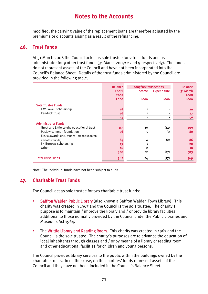modified; the carrying value of the replacement loans are therefore adjusted by the premiums or discounts arising as a result of the refinancing.

# **46. Trust Funds**

At 31 March 2008 the Council acted as sole trustee for 2 trust funds and as administrator for 9 other trust funds (31 March 2007: 2 and 9 respectively). The funds do not represent assets of the Council and have not been incorporated into the Council's Balance Sheet. Details of the trust funds administered by the Council are provided in the following table.

|                                             | <b>Balance</b> | 2007/08 transactions |                    | <b>Balance</b> |
|---------------------------------------------|----------------|----------------------|--------------------|----------------|
|                                             | 1 April        | <b>Income</b>        | <b>Expenditure</b> | 31 March       |
|                                             | 2007           |                      |                    | 2008           |
|                                             | <b>fooo</b>    | <b>fooo</b>          | <b>fooo</b>        | <b>fooo</b>    |
| <b>Sole Trustee Funds</b>                   |                |                      |                    |                |
| FW Powell scholarship                       | 28             | $\mathbf{1}$         |                    | 29             |
| Kendrick trust                              | 26             | $\mathbf{1}$         |                    | 27             |
|                                             | 54             | $\overline{2}$       |                    | 56             |
| <b>Administrator Funds</b>                  |                |                      |                    |                |
| Great and Little Leighs educational trust   | 113            | 10                   | (14)               | 109            |
| Paslow common foundation                    | 76             | 5                    | $\left( 1\right)$  | 80             |
| Essex awards (incl. former Florence Knapton |                |                      |                    |                |
| and other funds)                            | 84             | 4                    | (2)                | 86             |
| J H Burrows scholarship                     | 19             | $\mathbf{1}$         |                    | 20             |
| Other                                       | 16             | $\overline{2}$       |                    | 18             |
|                                             | 308            | 22                   | (17)               | 313            |
| <b>Total Trust Funds</b>                    | 362            | 24                   | (17)               | 369            |

Note: The individual funds have not been subject to audit.

# **47. Charitable Trust Funds**

The Council act as sole trustee for two charitable trust funds:

- Saffron Walden Public Library (also known a Saffron Walden Town Library). This charity was created in 1967 and the Council is the sole trustee. The charity's purpose is to maintain / improve the library and / or provide library facilities additional to those normally provided by the Council under the Public Libraries and Museums Act 1964.
- The Writtle Library and Reading Room. This charity was created in 1967 and the Council is the sole trustee. The charity's purposes are to advance the education of local inhabitants through classes and / or by means of a library or reading room and other educational facilities for children and young persons.

The Council provides library services to the public within the buildings owned by the charitable trusts. In neither case, do the charities' funds represent assets of the Council and they have not been included in the Council's Balance Sheet.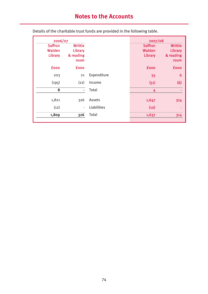# **Notes to the Accounts**

| 2006/07        |                |             | 2007/08        |                |
|----------------|----------------|-------------|----------------|----------------|
| <b>Saffron</b> | <b>Writtle</b> |             | <b>Saffron</b> | <b>Writtle</b> |
| Walden         | Library        |             | Walden         | Library        |
| Library        | & reading      |             | Library        | & reading      |
|                | room           |             |                | room           |
| <b>fooo</b>    | <b>fooo</b>    |             | <b>fooo</b>    | <b>fooo</b>    |
| 203            | 21             | Expenditure | 55             | 6              |
| (195)          | (21)           | Income      | (51)           | (6)            |
| 8              | ۰              | Total       | 4              |                |
|                |                |             |                |                |
| 1,821          | 326            | Assets      | 1,647          | 314            |
| (12)           | $\blacksquare$ | Liabilities | (10)           |                |
| 1,809          | 326            | Total       | 1,637          | 314            |
|                |                |             |                |                |

Details of the charitable trust funds are provided in the following table.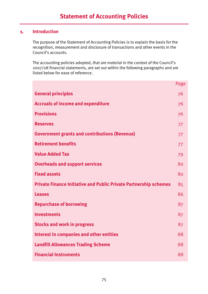# **1. Introduction**

The purpose of the Statement of Accounting Policies is to explain the basis for the recognition, measurement and disclosure of transactions and other events in the Council's accounts.

The accounting policies adopted, that are material in the context of the Council's 2007/08 financial statements, are set out within the following paragraphs and are listed below for ease of reference.

|                                                                          | Page |
|--------------------------------------------------------------------------|------|
| <b>General principles</b>                                                | 76   |
| <b>Accruals of income and expenditure</b>                                | 76   |
| <b>Provisions</b>                                                        | 76   |
| <b>Reserves</b>                                                          | 77   |
| <b>Government grants and contributions (Revenue)</b>                     | 77   |
| <b>Retirement benefits</b>                                               | 77   |
| <b>Value Added Tax</b>                                                   | 79   |
| <b>Overheads and support services</b>                                    | 80   |
| <b>Fixed assets</b>                                                      | 80   |
| <b>Private Finance Initiative and Public Private Partnership schemes</b> | 85   |
| <b>Leases</b>                                                            | 86   |
| <b>Repurchase of borrowing</b>                                           | 87   |
| <b>Investments</b>                                                       | 87   |
| <b>Stocks and work in progress</b>                                       | 87   |
| <b>Interest in companies and other entities</b>                          | 88   |
| <b>Landfill Allowances Trading Scheme</b>                                | 88   |
| <b>Financial Instruments</b>                                             | 88   |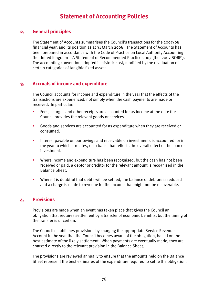### **2. General principles**

The Statement of Accounts summarises the Council's transactions for the 2007/08 financial year, and its position as at 31 March 2008. The Statement of Accounts has been prepared in accordance with the Code of Practice on Local Authority Accounting in the United Kingdom – A Statement of Recommended Practice 2007 (the '2007 SORP'). The accounting convention adopted is historic cost, modified by the revaluation of certain categories of tangible fixed assets.

# **3. Accruals of income and expenditure**

The Council accounts for income and expenditure in the year that the effects of the transactions are experienced, not simply when the cash payments are made or received. In particular:

- Fees, charges and other receipts are accounted for as income at the date the Council provides the relevant goods or services.
- Goods and services are accounted for as expenditure when they are received or consumed.
- **Interest payable on borrowings and receivable on investments is accounted for in** the year to which it relates, on a basis that reflects the overall effect of the loan or investment.
- **Where income and expenditure has been recognised, but the cash has not been** received or paid, a debtor or creditor for the relevant amount is recognised in the Balance Sheet.
- Where it is doubtful that debts will be settled, the balance of debtors is reduced and a charge is made to revenue for the income that might not be recoverable.

# **4. Provisions**

Provisions are made when an event has taken place that gives the Council an obligation that requires settlement by a transfer of economic benefits, but the timing of the transfer is uncertain.

The Council establishes provisions by charging the appropriate Service Revenue Account in the year that the Council becomes aware of the obligation, based on the best estimate of the likely settlement. When payments are eventually made, they are charged directly to the relevant provision in the Balance Sheet.

The provisions are reviewed annually to ensure that the amounts held on the Balance Sheet represent the best estimates of the expenditure required to settle the obligation.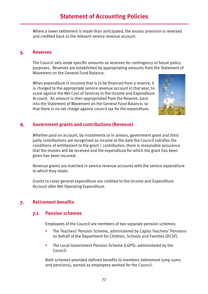# **Statement of Accounting Policies**

Where a lower settlement is made than anticipated, the excess provision is reversed and credited back to the relevant service revenue account.

#### **5. Reserves**

The Council sets aside specific amounts as reserves for contingency or future policy purposes. Reserves are established by appropriating amounts from the Statement of Movement on the General Fund Balance.

When expenditure is incurred that is to be financed from a reserve, it is charged to the appropriate service revenue account in that year, to score against the Net Cost of Services in the Income and Expenditure Account. An amount is then appropriated from the Reserve, back into the Statement of Movement on the General Fund Balance, so that there is no net charge against council tax for the expenditure.



## **6. Government grants and contributions (Revenue)**

Whether paid on account, by instalments or in arrears, government grant and third party contributions are recognised as income at the date the Council satisfies the conditions of entitlement to the grant / contribution, there is reasonable assurance that the monies will be received and the expenditure for which the grant has been given has been incurred.

Revenue grants are matched in service revenue accounts with the service expenditure to which they relate.

Grants to cover general expenditure are credited to the Income and Expenditure Account after Net Operating Expenditure.

# **7. Retirement benefits**

#### **7.1 Pension schemes**

Employees of the Council are members of two separate pension schemes:

- The Teachers' Pension Scheme, administered by Capita Teachers' Pensions on behalf of the Department for Children, Schools and Families (DCSF).
- **The Local Government Pension Scheme (LGPS), administered by the** Council.

Both schemes provided defined benefits to members (retirement lump sums and pensions), earned as employees worked for the Council.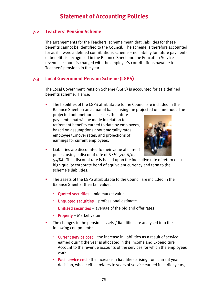## **7.2 Teachers' Pension Scheme**

The arrangements for the Teachers' scheme mean that liabilities for these benefits cannot be identified to the Council. The scheme is therefore accounted for as if it were a defined contributions scheme – no liability for future payments of benefits is recognised in the Balance Sheet and the Education Service revenue account is charged with the employer's contributions payable to Teachers' pensions in the year.

# **7.3 Local Government Pension Scheme (LGPS)**

The Local Government Pension Scheme (LGPS) is accounted for as a defined benefits scheme. Hence:

 The liabilities of the LGPS attributable to the Council are included in the Balance Sheet on an actuarial basis, using the projected unit method. The

projected unit method assesses the future payments that will be made in relation to retirement benefits earned to date by employees, based on assumptions about mortality rates, employee turnover rates, and projections of earnings for current employees.



**EXECUTE:** Liabilities are discounted to their value at current prices, using a discount rate of 6.1% (2006/07:

5.4%). This discount rate is based upon the indicative rate of return on a high quality corporate bond of equivalent currency and term to the scheme's liabilities.

- The assets of the LGPS attributable to the Council are included in the Balance Sheet at their fair value:
	- Ouoted securities mid market value
	- Unquoted securities professional estimate
	- **Unitised securities** average of the bid and offer rates
	- Property Market value
- The changes in the pension assets / liabilities are analysed into the following components:
	- Current service cost the increase in liabilities as a result of service earned during the year is allocated in the Income and Expenditure Account to the revenue accounts of the services for which the employees work.
	- **Past service cost** the increase in liabilities arising from current year decision, whose effect relates to years of service earned in earlier years,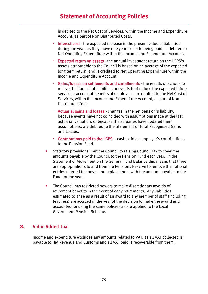# **Statement of Accounting Policies**

is debited to the Net Cost of Services, within the Income and Expenditure Account, as part of Non Distributed Costs.

- Interest cost the expected increase in the present value of liabilities during the year, as they move one year closer to being paid, is debited to Net Operating Expenditure within the Income and Expenditure Account.
- Expected return on assets the annual investment return on the LGPS's assets attributable to the Council is based on an average of the expected long term return, and is credited to Net Operating Expenditure within the Income and Expenditure Account.
- Gains/losses on settlements and curtailments the results of actions to relieve the Council of liabilities or events that reduce the expected future service or accrual of benefits of employees are debited to the Net Cost of Services, within the Income and Expenditure Account, as part of Non Distributed Costs.
- Actuarial gains and losses changes in the net pension's liability, because events have not coincided with assumptions made at the last actuarial valuation, or because the actuaries have updated their assumptions, are debited to the Statement of Total Recognised Gains and Losses.
- **Contributions paid to the LGPS** cash paid as employer's contributions to the Pension Fund.
- Statutory provisions limit the Council to raising Council Tax to cover the amounts payable by the Council to the Pension Fund each year. In the Statement of Movement on the General Fund Balance this means that there are appropriations to and from the Pensions Reserve to remove the notional entries referred to above, and replace them with the amount payable to the Fund for the year.
- **The Council has restricted powers to make discretionary awards of** retirement benefits in the event of early retirements. Any liabilities estimated to arise as a result of an award to any member of staff (including teachers) are accrued in the year of the decision to make the award and accounted for using the same policies as are applied to the Local Government Pension Scheme.

### **8. Value Added Tax**

Income and expenditure excludes any amounts related to VAT, as all VAT collected is payable to HM Revenue and Customs and all VAT paid is recoverable from them.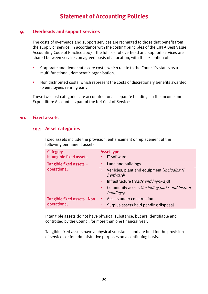#### **9. Overheads and support services**

The costs of overheads and support services are recharged to those that benefit from the supply or service, in accordance with the costing principles of the CIPFA Best Value Accounting Code of Practice 2007. The full cost of overhead and support services are shared between services on agreed basis of allocation, with the exception of:

- Corporate and democratic core costs, which relate to the Council's status as a multi-functional, democratic organisation.
- Non distributed costs, which represent the costs of discretionary benefits awarded to employees retiring early.

These two cost categories are accounted for as separate headings in the Income and Expenditure Account, as part of the Net Cost of Services.

#### **10. Fixed assets**

#### **10.1 Asset categories**

Fixed assets include the provision, enhancement or replacement of the following permanent assets:

| Category<br><b>Intangible fixed assets</b> | <b>Asset type</b><br>IT software                                                             |
|--------------------------------------------|----------------------------------------------------------------------------------------------|
| Tangible fixed assets -<br>operational     | Land and buildings<br>×,<br>Vehicles, plant and equipment ( <i>including IT</i><br>hardware) |
|                                            | Infrastructure (roads and highways)<br>×,                                                    |
|                                            | Community assets ( <i>including parks and historic</i><br>٠<br>buildings)                    |
| <b>Tangible fixed assets - Non</b>         | Assets under construction<br>$\mathbf{r}$ .                                                  |
| operational                                | Surplus assets held pending disposal<br>$\blacksquare$                                       |

Intangible assets do not have physical substance, but are identifiable and controlled by the Council for more than one financial year.

Tangible fixed assets have a physical substance and are held for the provision of services or for administrative purposes on a continuing basis.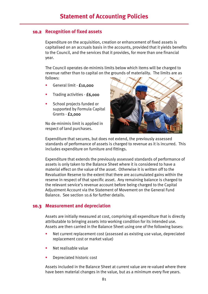#### **10.2 Recognition of fixed assets**

Expenditure on the acquisition, creation or enhancement of fixed assets is capitalised on an accruals basis in the accounts, provided that it yields benefits to the Council, and the services that it provides, for more than one financial year.

The Council operates de-minimis limits below which items will be charged to revenue rather than to capital on the grounds of materiality. The limits are as follows:

- General limit £10,000
- **Trading activities £6,000**
- School projects funded or supported by Formula Capital Grants - £2,000

No de-minimis limit is applied in respect of land purchases.



Expenditure that secures, but does not extend, the previously assessed standards of performance of assets is charged to revenue as it is incurred. This includes expenditure on furniture and fittings.

Expenditure that extends the previously assessed standards of performance of assets is only taken to the Balance Sheet where it is considered to have a material effect on the value of the asset. Otherwise it is written off to the Revaluation Reserve to the extent that there are accumulated gains within the reserve in respect of that specific asset. Any remaining balance is charged to the relevant service's revenue account before being charged to the Capital Adjustment Account via the Statement of Movement on the General Fund Balance. See section 10.6 for further details.

#### **10.3 Measurement and depreciation**

Assets are initially measured at cost, comprising all expenditure that is directly attributable to bringing assets into working condition for its intended use. Assets are then carried in the Balance Sheet using one of the following bases:

- Net current replacement cost (assessed as existing use value, depreciated replacement cost or market value)
- Net realisable value
- Depreciated historic cost

Assets included in the Balance Sheet at current value are re-valued where there have been material changes in the value, but as a minimum every five years.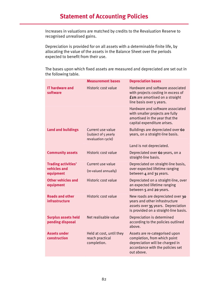Increases in valuations are matched by credits to the Revaluation Reserve to recognised unrealised gains.

Depreciation is provided for on all assets with a determinable finite life, by allocating the value of the assets in the Balance Sheet over the periods expected to benefit from their use.

|                                                         | <b>Measurement bases</b>                                        | <b>Depreciation bases</b>                                                                                                                           |
|---------------------------------------------------------|-----------------------------------------------------------------|-----------------------------------------------------------------------------------------------------------------------------------------------------|
| <b>IT hardware and</b><br>software                      | Historic cost value                                             | Hardware and software associated<br>with projects costing in excess of<br><b>fim</b> are amortised on a straight<br>line basis over 5 years.        |
|                                                         |                                                                 | Hardware and software associated<br>with smaller projects are fully<br>amortised in the year that the<br>capital expenditure arises.                |
| <b>Land and buildings</b>                               | Current use value<br>(subject of 5 yearly<br>revaluation cycle) | Buildings are depreciated over 60<br>years, on a straight-line basis.                                                                               |
|                                                         |                                                                 | Land is not depreciated.                                                                                                                            |
| <b>Community assets</b>                                 | Historic cost value                                             | Depreciated over 60 years, on a<br>straight-line basis.                                                                                             |
| <b>Trading activities'</b><br>vehicles and<br>equipment | Current use value<br>(re-valued annually)                       | Depreciated on straight-line basis,<br>over expected lifetime ranging<br>between 4 and 31 years.                                                    |
| <b>Other vehicles and</b><br>equipment                  | Historic cost value                                             | Depreciated on a straight-line, over<br>an expected lifetime ranging<br>between 5 and 20 years.                                                     |
| <b>Roads and other</b><br><b>infrastructure</b>         | Historic cost value                                             | New roads are depreciated over 30<br>years and other infrastructure<br>assets over 35 years. Depreciation<br>is provided on a straight-line basis.  |
| <b>Surplus assets held</b><br>pending disposal          | Net realisable value                                            | Depreciation is determined<br>according to the policies outlined<br>above.                                                                          |
| <b>Assets under</b><br>construction                     | Held at cost, until they<br>reach practical<br>completion.      | Assets are re-categorised upon<br>completion, from which point<br>depreciation will be charged in<br>accordance with the policies set<br>out above. |

The bases upon which fixed assets are measured and depreciated are set out in the following table.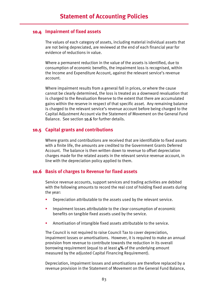### **10.4 Impairment of fixed assets**

The values of each category of assets, including material individual assets that are not being depreciated, are reviewed at the end of each financial year for evidence of reductions in value.

Where a permanent reduction in the value of the assets is identified, due to consumption of economic benefits, the impairment loss is recognised, within the Income and Expenditure Account, against the relevant service's revenue account.

Where impairment results from a general fall in prices, or where the cause cannot be clearly determined, the loss is treated as a downward revaluation that is charged to the Revaluation Reserve to the extent that there are accumulated gains within the reserve in respect of that specific asset. Any remaining balance is charged to the relevant service's revenue account before being charged to the Capital Adjustment Account via the Statement of Movement on the General Fund Balance. See section 10.6 for further details.

#### **10.5 Capital grants and contributions**

Where grants and contributions are received that are identifiable to fixed assets with a finite life, the amounts are credited to the Government Grants Deferred Account. The balance is then written down to revenue to offset depreciation charges made for the related assets in the relevant service revenue account, in line with the depreciation policy applied to them.

### **10.6 Basis of charges to Revenue for fixed assets**

Service revenue accounts, support services and trading activities are debited with the following amounts to record the real cost of holding fixed assets during the year:

- Depreciation attributable to the assets used by the relevant service.
- **IMPA** Impairment losses attributable to the clear consumption of economic benefits on tangible fixed assets used by the service.
- Amortisation of intangible fixed assets attributable to the service.

The Council is not required to raise Council Tax to cover depreciation, impairment losses or amortisations. However, it is required to make an annual provision from revenue to contribute towards the reduction in its overall borrowing requirement (equal to at least 4% of the underlying amount measured by the adjusted Capital Financing Requirement).

Depreciation, impairment losses and amortisations are therefore replaced by a revenue provision in the Statement of Movement on the General Fund Balance,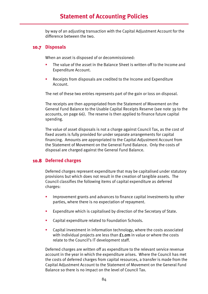by way of an adjusting transaction with the Capital Adjustment Account for the difference between the two.

### **10.7 Disposals**

When an asset is disposed of or decommissioned:

- The value of the asset in the Balance Sheet is written off to the Income and Expenditure Account.
- Receipts from disposals are credited to the Income and Expenditure Account.

The net of these two entries represents part of the gain or loss on disposal.

The receipts are then appropriated from the Statement of Movement on the General Fund Balance to the Usable Capital Receipts Reserve (see note 39 to the accounts, on page 66). The reserve is then applied to finance future capital spending.

The value of asset disposals is not a charge against Council Tax, as the cost of fixed assets is fully provided for under separate arrangements for capital financing. Amounts are appropriated to the Capital Adjustment Account from the Statement of Movement on the General Fund Balance. Only the costs of disposal are charged against the General Fund Balance.

# **10.8 Deferred charges**

Deferred charges represent expenditure that may be capitalised under statutory provisions but which does not result in the creation of tangible assets. The Council classifies the following items of capital expenditure as deferred charges:

- Improvement grants and advances to finance capital investments by other parties, where there is no expectation of repayment.
- **EXPERDITURE:** Expenditure which is capitalised by direction of the Secretary of State.
- **EXP** Capital expenditure related to Foundation Schools.
- Capital investment in information technology, where the costs associated with individual projects are less than  $f_{1,0}$ m in value or where the costs relate to the Council's IT development staff.

Deferred charges are written off as expenditure to the relevant service revenue account in the year in which the expenditure arises. Where the Council has met the costs of deferred charges from capital resources, a transfer is made from the Capital Adjustment Account to the Statement of Movement on the General Fund Balance so there is no impact on the level of Council Tax.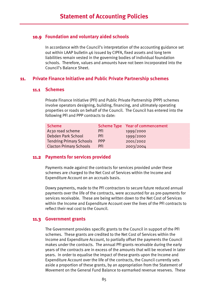## **10.9 Foundation and voluntary aided schools**

In accordance with the Council's interpretation of the accounting guidance set out within LAAP bulletin 46 issued by CIPFA, fixed assets and long term liabilities remain vested in the governing bodies of individual foundation schools. Therefore, values and amounts have not been incorporated into the Council's Balance Sheet.

## **11. Private Finance Initiative and Public Private Partnership schemes**

#### **11.1 Schemes**

Private Finance Initiative (PFI) and Public Private Partnership (PPP) schemes involve operators designing, building, financing, and ultimately operating properties or roads on behalf of the Council. The Council has entered into the following PFI and PPP contracts to date:

| <b>Scheme</b>                   |            | <b>Scheme Type Year of commencement</b> |
|---------------------------------|------------|-----------------------------------------|
| A130 road scheme                | <b>PFI</b> | 1999/2000                               |
| Debden Park School              | <b>PFI</b> | 1999/2000                               |
| <b>Tendring Primary Schools</b> | <b>PPP</b> | 2001/2002                               |
| <b>Clacton Primary Schools</b>  | <b>PFI</b> | 2003/2004                               |

### **11.2 Payments for services provided**

Payments made against the contracts for services provided under these schemes are charged to the Net Cost of Services within the Income and Expenditure Account on an accruals basis.

Dowry payments, made to the PFI contractors to secure future reduced annual payments over the life of the contracts, were accounted for as pre-payments for services receivable. These are being written down to the Net Cost of Services within the Income and Expenditure Account over the lives of the PFI contracts to reflect their real cost to the Council.

# **11.3 Government grants**

The Government provides specific grants to the Council in support of the PFI schemes. These grants are credited to the Net Cost of Services within the Income and Expenditure Account, to partially offset the payments the Council makes under the contracts. The annual PFI grants receivable during the early years of the contracts are in excess of the amounts that will be received in later years. In order to equalise the impact of these grants upon the Income and Expenditure Account over the life of the contracts, the Council currently sets aside a proportion of these grants, by an appropriation from the Statement of Movement on the General Fund Balance to earmarked revenue reserves. These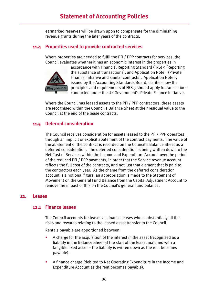earmarked reserves will be drawn upon to compensate for the diminishing revenue grants during the later years of the contracts.

## **11.4 Properties used to provide contracted services**

Where properties are needed to fulfil the PFI / PPP contracts for services, the Council evaluates whether it has an economic interest in the properties in



accordance with Financial Reporting Standard (FRS) 5 (Reporting the substance of transactions), and Application Note F (Private Finance Initiative and similar contracts). Application Note F, issued by the Accounting Standards Board, clarifies how the principles and requirements of FRS 5 should apply to transactions conducted under the UK Government's Private Finance Initiative.

Where the Council has leased assets to the PFI / PPP contractors, these assets are recognised within the Council's Balance Sheet at their residual value to the Council at the end of the lease contracts.

### **11.5 Deferred consideration**

The Council receives consideration for assets leased to the PFI / PPP operators through an implicit or explicit abatement of the contract payments. The value of the abatement of the contract is recorded on the Council's Balance Sheet as a deferred consideration. The deferred consideration is being written down to the Net Cost of Services within the Income and Expenditure Account over the period of the reduced PFI / PPP payments, in order that the Service revenue account reflects the full cost of the contracts, and not just that element that is paid to the contractors each year. As the charge from the deferred consideration account is a notional figure, an appropriation is made to the Statement of Movement on the General Fund Balance from the Capital Adjustment Account to remove the impact of this on the Council's general fund balance.

### **12. Leases**

#### **12.1 Finance leases**

The Council accounts for leases as finance leases when substantially all the risks and rewards relating to the leased asset transfer to the Council.

Rentals payable are apportioned between:

- A charge for the acquisition of the interest in the asset (recognised as a liability in the Balance Sheet at the start of the lease, matched with a tangible fixed asset – the liability is written down as the rent becomes payable).
- A finance charge (debited to Net Operating Expenditure in the Income and Expenditure Account as the rent becomes payable).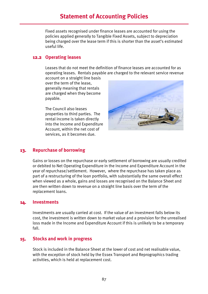# **Statement of Accounting Policies**

Fixed assets recognised under finance leases are accounted for using the policies applied generally to Tangible Fixed Assets, subject to depreciation being charged over the lease term if this is shorter than the asset's estimated useful life.

#### **12.2 Operating leases**

Leases that do not meet the definition of finance leases are accounted for as operating leases. Rentals payable are charged to the relevant service revenue

account on a straight line basis over the term of the lease, generally meaning that rentals are charged when they become payable.

The Council also leases properties to third parties. The rental income is taken directly into the Income and Expenditure Account, within the net cost of services, as it becomes due.



### **13. Repurchase of borrowing**

Gains or losses on the repurchase or early settlement of borrowing are usually credited or debited to Net Operating Expenditure in the Income and Expenditure Account in the year of repurchase/settlement. However, where the repurchase has taken place as part of a restructuring of the loan portfolio, with substantially the same overall effect when viewed as a whole, gains and losses are recognised on the Balance Sheet and are then written down to revenue on a straight line basis over the term of the replacement loans.

#### **14. Investments**

Investments are usually carried at cost. If the value of an investment falls below its cost, the investment is written down to market value and a provision for the unrealised loss made in the Income and Expenditure Account if this is unlikely to be a temporary fall.

#### **15. Stocks and work in progress**

Stock is included in the Balance Sheet at the lower of cost and net realisable value, with the exception of stock held by the Essex Transport and Reprographics trading activities, which is held at replacement cost.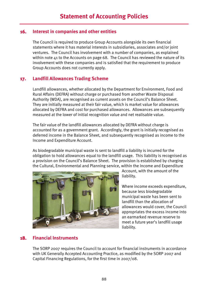## **16. Interest in companies and other entities**

The Council is required to produce Group Accounts alongside its own financial statements where it has material interests in subsidiaries, associates and/or joint ventures. The Council has involvement with a number of companies, as explained within note 41 to the Accounts on page 68. The Council has reviewed the nature of its involvement with these companies and is satisfied that the requirement to produce Group Accounts does not currently apply.

# **17. Landfill Allowances Trading Scheme**

Landfill allowances, whether allocated by the Department for Environment, Food and Rural Affairs (DEFRA) without charge or purchased from another Waste Disposal Authority (WDA), are recognised as current assets on the Council's Balance Sheet. They are initially measured at their fair value, which is market value for allowances allocated by DEFRA and cost for purchased allowances. Allowances are subsequently measured at the lower of initial recognition value and net realisable value.

The fair value of the landfill allowances allocated by DEFRA without charge is accounted for as a government grant. Accordingly, the grant is initially recognised as deferred income in the Balance Sheet, and subsequently recognised as income to the Income and Expenditure Account.

As biodegradable municipal waste is sent to landfill a liability is incurred for the obligation to hold allowances equal to the landfill usage. This liability is recognised as a provision on the Council's Balance Sheet. The provision is established by charging the Cultural, Environmental and Planning service, within the Income and Expenditure



Account, with the amount of the liability.

Where income exceeds expenditure, because less biodegradable municipal waste has been sent to landfill than the allocation of allowances would cover, the Council appropriates the excess income into an earmarked revenue reserve to meet a future year's landfill usage liability.

# **18. Financial Instruments**

The SORP 2007 requires the Council to account for financial instruments in accordance with UK Generally Accepted Accounting Practice, as modified by the SORP 2007 and Capital Financing Regulations, for the first time in 2007/08.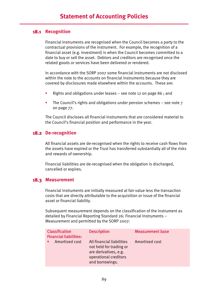### **18.1 Recognition**

Financial Instruments are recognised when the Council becomes a party to the contractual provisions of the instrument. For example, the recognition of a financial asset (e.g. investment) is when the Council becomes committed to a date to buy or sell the asset. Debtors and creditors are recognised once the related goods or services have been delivered or rendered.

In accordance with the SORP 2007 some financial instruments are not disclosed within the note to the accounts on financial instruments because they are covered by disclosures made elsewhere within the accounts. These are:

- **EXECT** Rights and obligations under leases see note 12 on page 86; and
- The Council's rights and obligations under pension schemes see note 7 on page 77.

The Council discloses all financial instruments that are considered material to the Council's financial position and performance in the year.

### **18.2 De-recognition**

All financial assets are de-recognised when the rights to receive cash flows from the assets have expired or the Trust has transferred substantially all of the risks and rewards of ownership.

Financial liabilities are de-recognised when the obligation is discharged, cancelled or expires.

### **18.3 Measurement**

Financial instruments are initially measured at fair value less the transaction costs that are directly attributable to the acquisition or issue of the financial asset or financial liability.

Subsequent measurement depends on the classification of the instrument as detailed by Financial Reporting Standard 26: Financial Instruments – Measurement and permitted by the SORP 2007:

| <b>Classification</b><br><b>Financial liabilities:</b> | <b>Description</b>                                                                                                        | <b>Measurement base</b> |
|--------------------------------------------------------|---------------------------------------------------------------------------------------------------------------------------|-------------------------|
| Amortised cost                                         | All financial liabilities<br>not held for trading or<br>are derivatives, e.g.<br>operational creditors<br>and borrowings. | <b>Amortised cost</b>   |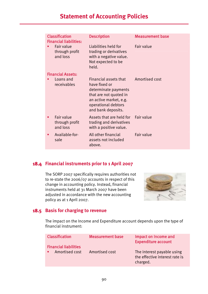# **Statement of Accounting Policies**

| <b>Classification</b><br><b>Financial liabilities:</b> | <b>Description</b>                                                                                                                                              | <b>Measurement base</b> |
|--------------------------------------------------------|-----------------------------------------------------------------------------------------------------------------------------------------------------------------|-------------------------|
| Fair value<br>through profit<br>and loss               | Liabilities held for<br>trading or derivatives<br>with a negative value.<br>Not expected to be<br>held.                                                         | <b>Fair value</b>       |
| <b>Financial Assets:</b>                               |                                                                                                                                                                 |                         |
| Loans and<br>receivables                               | Financial assets that<br>have fixed or<br>determinate payments<br>that are not quoted in<br>an active market, e.g.<br>operational debtors<br>and bank deposits. | Amortised cost          |
| Fair value<br>through profit<br>and loss               | Assets that are held for Fair value<br>trading and derivatives<br>with a positive value.                                                                        |                         |
| Available-for-<br>sale                                 | All other financial<br>assets not included<br>above.                                                                                                            | Fair value              |

# **18.4 Financial instruments prior to 1 April 2007**

The SORP 2007 specifically requires authorities not to re-state the 2006/07 accounts in respect of this change in accounting policy. Instead, financial instruments held at 31 March 2007 have been adjusted in accordance with the new accounting policy as at 1 April 2007.



### **18.5 Basis for charging to revenue**

The impact on the Income and Expenditure account depends upon the type of financial instrument:

| <b>Classification</b><br><b>Financial liabilities</b> | <b>Measurement base</b> | Impact on Income and<br><b>Expenditure account</b>                       |
|-------------------------------------------------------|-------------------------|--------------------------------------------------------------------------|
| Amortised cost                                        | Amortised cost          | The interest payable using<br>the effective interest rate is<br>charged. |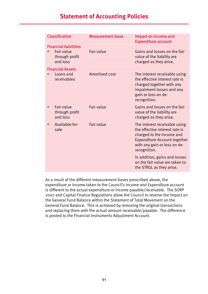# **Statement of Accounting Policies**

| <b>Classification</b>                                                    | <b>Measurement base</b> | Impact on Income and<br><b>Expenditure account</b>                                                                                                                                  |
|--------------------------------------------------------------------------|-------------------------|-------------------------------------------------------------------------------------------------------------------------------------------------------------------------------------|
| <b>Financial liabilities</b><br>Fair value<br>through profit<br>and loss | Fair value              | Gains and losses on the fair<br>value of the liability are<br>charged as they arise.                                                                                                |
| <b>Financial Assets</b><br>Loans and<br>receivables                      | Amortised cost          | The interest receivable using<br>the effective interest rate is<br>charged together with any<br>impairment losses and any<br>gain or loss on de-<br>recognition.                    |
| Fair value<br>through profit<br>and loss                                 | Fair value              | Gains and losses on the fair<br>value of the liability are<br>charged as they arise.                                                                                                |
| Available-for-<br>sale                                                   | Fair value              | The interest receivable using<br>the effective interest rate is<br>charged to the Income and<br><b>Expenditure Account together</b><br>with any gain or loss on de-<br>recognition. |
|                                                                          |                         | In addition, gains and losses<br>on the fair value are taken to<br>the STRGL as they arise.                                                                                         |

As a result of the different measurement bases prescribed above, the expenditure or income taken to the Council's Income and Expenditure account is different to the actual expenditure or income payable/receivable. The SORP 2007 and Capital Finance Regulations allow the Council to reverse the impact on the General Fund Balance within the Statement of Total Movement on the General Fund Balance. This is achieved by removing the original transactions and replacing them with the actual amount receivable/payable. The difference is posted to the Financial Instruments Adjustment Account.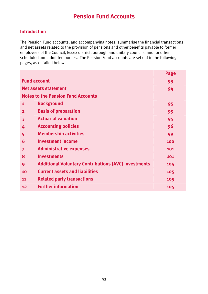# **Introduction**

The Pension Fund accounts, and accompanying notes, summarise the financial transactions and net assets related to the provision of pensions and other benefits payable to former employees of the Council, Essex district, borough and unitary councils, and for other scheduled and admitted bodies. The Pension Fund accounts are set out in the following pages, as detailed below.

|                         |                                                             | Page |
|-------------------------|-------------------------------------------------------------|------|
|                         | <b>Fund account</b>                                         | 93   |
|                         | <b>Net assets statement</b>                                 | 94   |
|                         | <b>Notes to the Pension Fund Accounts</b>                   |      |
| $\mathbf{1}$            | <b>Background</b>                                           | 95   |
| $\mathbf{2}$            | <b>Basis of preparation</b>                                 | 95   |
| $\overline{\mathbf{3}}$ | <b>Actuarial valuation</b>                                  | 95   |
| 4                       | <b>Accounting policies</b>                                  | 96   |
| 5                       | <b>Membership activities</b>                                | 99   |
| 6                       | <b>Investment income</b>                                    | 100  |
| $\overline{7}$          | <b>Administrative expenses</b>                              | 101  |
| 8                       | <b>Investments</b>                                          | 101  |
| 9                       | <b>Additional Voluntary Contributions (AVC) Investments</b> | 104  |
| 10                      | <b>Current assets and liabilities</b>                       | 105  |
| 11                      | <b>Related party transactions</b>                           | 105  |
| 12                      | <b>Further information</b>                                  | 105  |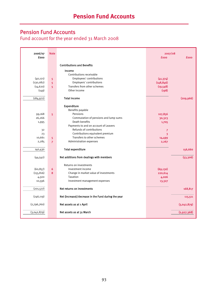# Pension Fund Accounts

Fund account for the year ended 31 March 2008

| 2006/07<br>fooo | <b>Note</b>    |                                                     | 2007/08<br><b>fooo</b> | £000        |
|-----------------|----------------|-----------------------------------------------------|------------------------|-------------|
|                 |                |                                                     |                        |             |
|                 |                | <b>Contributions and Benefits</b>                   |                        |             |
|                 |                | Income                                              |                        |             |
|                 |                | Contributions receivable                            |                        |             |
| (40, 121)       | 5              | Employees' contributions                            | (41, 374)              |             |
| (130, 082)      | 5              | Employers' contributions                            | (148, 846)             |             |
| (14, 620)       | 5 <sup>1</sup> | Transfers from other schemes                        | (19,548)               |             |
| (149)           |                | Other income                                        | (198)                  |             |
| (184, 972)      |                | <b>Total income</b>                                 |                        | (209, 966)  |
|                 |                |                                                     |                        |             |
|                 |                | Expenditure                                         |                        |             |
|                 |                | Benefits payable                                    |                        |             |
| 99,168          | 5 <sup>1</sup> | Pensions                                            | 107,856                |             |
| 26,266          |                | Commutation of pensions and lump sums               | 30,323                 |             |
| 1,995           |                | Death benefits                                      | 1,705                  |             |
|                 |                | Payments to and on account of Leavers               |                        |             |
| 3 <sup>2</sup>  |                | Refunds of contributions                            | $\overline{7}$         |             |
| 23              |                | Contributions equivalent premium                    | 3                      |             |
| 10,661          | 5.             | Transfers to other schemes                          | 14,499                 |             |
| 2,285           | $\overline{7}$ | Administration expenses                             | 2,267                  |             |
| 140,430         |                | <b>Total expenditure</b>                            |                        | 156,660     |
| (44, 542)       |                | Net additions from dealings with members            |                        | (53, 306)   |
|                 |                | Returns on investments                              |                        |             |
| (60, 857)       | 6              | Investment income                                   | (69, 130)              |             |
| (155, 816)      | 8              | Change in market value of investments               | 220,614                |             |
| 4,500           |                | Taxation                                            | 4,006                  |             |
| 10,596          |                | Investment management expenses                      | 13,327                 |             |
| (201, 577)      |                | Net returns on investments                          |                        | 168,817     |
| (246, 119)      |                | Net (increase)/decrease in the Fund during the year |                        | 115,511     |
| (2,796,760)     |                | Net assets as at 1 April                            |                        | (3,042,879) |
| (3,042,879)     |                | Net assets as at 31 March                           |                        | (2,927,368) |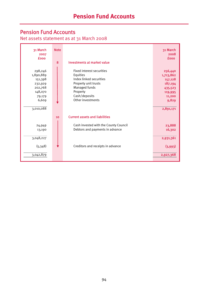# Pension Fund Accounts

Net assets statement as at 31 March 2008

| 31 March<br>2007<br><b>fooo</b>                                                     | <b>Note</b><br>8 | Investments at market value                                                                                                                                 | 31 March<br>2008<br><b>fooo</b>                                                     |
|-------------------------------------------------------------------------------------|------------------|-------------------------------------------------------------------------------------------------------------------------------------------------------------|-------------------------------------------------------------------------------------|
| 298,246<br>1,890,889<br>151,398<br>232,929<br>202,768<br>148,070<br>79,179<br>6,609 |                  | Fixed interest securities<br>Equities<br>Index linked securities<br>Property unit trusts<br>Managed funds<br>Property<br>Cash/deposits<br>Other investments | 256,440<br>1,713,862<br>157,128<br>187,194<br>435,523<br>119,995<br>11,200<br>9,829 |
| 3,010,088                                                                           |                  |                                                                                                                                                             | 2,891,171                                                                           |
|                                                                                     | 10               | <b>Current assets and liabilities</b>                                                                                                                       |                                                                                     |
| 24,949<br>13,190                                                                    |                  | Cash invested with the County Council<br>Debtors and payments in advance                                                                                    | 23,888<br>16,302                                                                    |
| 3,048,227                                                                           |                  |                                                                                                                                                             | 2,931,361                                                                           |
| (5,348)                                                                             |                  | Creditors and receipts in advance                                                                                                                           | (3,993)                                                                             |
| 3,042,879                                                                           |                  |                                                                                                                                                             | 2,927,368                                                                           |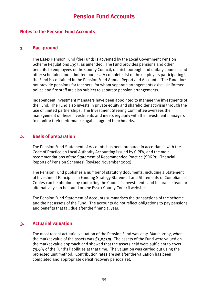#### **Notes to the Pension Fund Accounts**

#### **1. Background**

The Essex Pension Fund (the Fund) is governed by the Local Government Pension Scheme Regulations 1997, as amended. The Fund provides pensions and other benefits to employees of the County Council, district, borough and unitary councils and other scheduled and admitted bodies. A complete list of the employers participating in the Fund is contained in the Pension Fund Annual Report and Accounts. The Fund does not provide pensions for teachers, for whom separate arrangements exist. Uniformed police and fire staff are also subject to separate pension arrangements.

Independent investment managers have been appointed to manage the investments of the Fund. The Fund also invests in private equity and shareholder activism through the use of limited partnerships. The Investment Steering Committee oversees the management of these investments and meets regularly with the investment managers to monitor their performance against agreed benchmarks.

## **2. Basis of preparation**

The Pension Fund Statement of Accounts has been prepared in accordance with the Code of Practice on Local Authority Accounting issued by CIPFA, and the main recommendations of the Statement of Recommended Practice (SORP): 'Financial Reports of Pension Schemes' (Revised November 2002).

The Pension Fund publishes a number of statutory documents, including a Statement of Investment Principles, a Funding Strategy Statement and Statements of Compliance. Copies can be obtained by contacting the Council's Investments and Insurance team or alternatively can be found on the Essex County Council website.

The Pension Fund Statement of Accounts summarises the transactions of the scheme and the net assets of the Fund. The accounts do not reflect obligations to pay pensions and benefits that fall due after the financial year.

# **3. Actuarial valuation**

The most recent actuarial valuation of the Pension Fund was at 31 March 2007, when the market value of the assets was  $f_3.043m$ . The assets of the Fund were valued on the market value approach and showed that the assets held were sufficient to cover 79.6% of the Fund's liabilities at that time. The valuation was carried out using the projected unit method. Contribution rates are set after the valuation has been completed and appropriate deficit recovery periods set.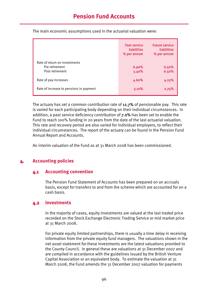|                                                                    | <b>Past service</b><br><b>liabilities</b><br>% per annum | <b>Future service</b><br>liabilities<br>% per annum |
|--------------------------------------------------------------------|----------------------------------------------------------|-----------------------------------------------------|
| Rate of return on investments<br>Pre retirement<br>Post retirement | 6.90%<br>5.40%                                           | 6.50%<br>6.50%                                      |
| Rate of pay increases                                              | 4.60%                                                    | 4.25%                                               |
| Rate of increase to pensions in payment                            | 3.10%                                                    | 2.75%                                               |

The main economic assumptions used in the actuarial valuation were:

The actuary has set a common contribution rate of 12.7% of pensionable pay. This rate is varied for each participating body depending on their individual circumstances. In addition, a past service deficiency contribution of 7.0% has been set to enable the Fund to reach 100% funding in 20 years from the date of the last actuarial valuation. This rate and recovery period are also varied for individual employers, to reflect their individual circumstances. The report of the actuary can be found in the Pension Fund Annual Report and Accounts.

An interim valuation of the Fund as at 31 March 2008 has been commissioned.

# **4. Accounting policies**

### **4.1 Accounting convention**

The Pension Fund Statement of Accounts has been prepared on an accruals basis, except for transfers to and from the scheme which are accounted for on a cash basis.

### **4.2 Investments**

In the majority of cases, equity investments are valued at the last traded price recorded on the Stock Exchange Electronic Trading Service or mid market price at 31 March 2008.

For private equity limited partnerships, there is usually a time delay in receiving information from the private equity fund managers. The valuations shown in the net asset statement for these investments are the latest valuations provided to the County Council. In general these are valuations at 31 December 2007 and are compiled in accordance with the guidelines issued by the British Venture Capital Association or an equivalent body. To estimate the valuation at 31 March 2008, the Fund amends the 31 December 2007 valuation for payments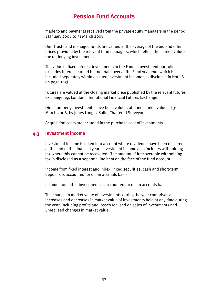# **Pension Fund Accounts**

made to and payments received from the private equity managers in the period 1 January 2008 to 31 March 2008.

Unit Trusts and managed funds are valued at the average of the bid and offer prices provided by the relevant fund managers, which reflect the market value of the underlying investments.

The value of fixed interest investments in the Fund's investment portfolio excludes interest earned but not paid over at the Fund year end, which is included separately within accrued investment income (as disclosed in Note 8 on page 103).

Futures are valued at the closing market price published by the relevant futures exchange (eg. London International Financial Futures Exchange).

Direct property investments have been valued, at open market value, at 31 March 2008, by Jones Lang LaSalle, Chartered Surveyors.

Acquisition costs are included in the purchase cost of investments.

#### **4.3 Investment income**

Investment income is taken into account where dividends have been declared at the end of the financial year. Investment income also includes withholding tax where this cannot be recovered. The amount of irrecoverable withholding tax is disclosed as a separate line item on the face of the fund account.

Income from fixed interest and index linked securities, cash and short-term deposits is accounted for on an accruals basis.

Income from other investments is accounted for on an accruals basis.

The change in market value of investments during the year comprises all increases and decreases in market value of investments held at any time during the year, including profits and losses realised on sales of investments and unrealised changes in market value.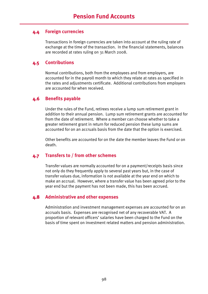### **4.4 Foreign currencies**

Transactions in foreign currencies are taken into account at the ruling rate of exchange at the time of the transaction. In the financial statements, balances are recorded at rates ruling on 31 March 2008.

## **4.5 Contributions**

Normal contributions, both from the employees and from employers, are accounted for in the payroll month to which they relate at rates as specified in the rates and adjustments certificate. Additional contributions from employers are accounted for when received.

# **4.6 Benefits payable**

Under the rules of the Fund, retirees receive a lump sum retirement grant in addition to their annual pension. Lump sum retirement grants are accounted for from the date of retirement. Where a member can choose whether to take a greater retirement grant in return for reduced pension these lump sums are accounted for on an accruals basis from the date that the option is exercised.

Other benefits are accounted for on the date the member leaves the Fund or on death.

### **4.7 Transfers to / from other schemes**

Transfer values are normally accounted for on a payment/receipts basis since not only do they frequently apply to several past years but, in the case of transfer values due, information is not available at the year end on which to make an accrual. However, where a transfer value has been agreed prior to the year end but the payment has not been made, this has been accrued.

### **4.8 Administrative and other expenses**

Administration and investment management expenses are accounted for on an accruals basis. Expenses are recognised net of any recoverable VAT. A proportion of relevant officers' salaries have been charged to the Fund on the basis of time spent on investment related matters and pension administration.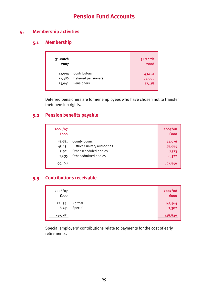# **5. Membership activities**

# **5.1 Membership**

| 31 March<br>2007 |                     | 31 March<br>2008 |
|------------------|---------------------|------------------|
| 41,994           | Contributors        | 43,152           |
| 22,386           | Deferred pensioners | 24,995           |
| 25,942           | Pensioners          | 27,118           |

Deferred pensioners are former employees who have chosen not to transfer their pension rights.

# **5.2 Pension benefits payable**

| 2006/07<br><b>fooo</b> |                                | 2007/08<br><b>fooo</b> |
|------------------------|--------------------------------|------------------------|
| 38,681                 | <b>County Council</b>          | 42,076                 |
| 45,451                 | District / unitary authorities | 48,685                 |
| 7,401                  | Other scheduled bodies         | 8,573                  |
| 7,635                  | Other admitted bodies          | 8,522                  |
| 99,168                 |                                | 107,856                |

# **5.3 Contributions receivable**

| 2006/07<br>fooo  |                   | 2007/08<br><b>fooo</b> |
|------------------|-------------------|------------------------|
| 121,341<br>8,741 | Normal<br>Special | 141,464<br>7,382       |
| 130,082          |                   | 148,846                |

Special employers' contributions relate to payments for the cost of early retirements.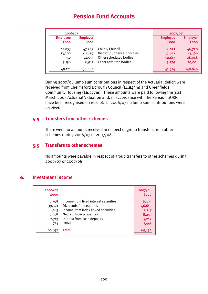# **Pension Fund Accounts**

| 2006/07                        |                                |                                | 2007/08                        |                                |
|--------------------------------|--------------------------------|--------------------------------|--------------------------------|--------------------------------|
| <b>Employee</b><br><b>fooo</b> | <b>Employer</b><br><b>fooo</b> |                                | <b>Employee</b><br><b>fooo</b> | <b>Employer</b><br><b>fooo</b> |
| 14,053                         | 47,729                         | County Council                 | 14,021                         | 46,728                         |
| 13,200                         | 48,879                         | District / unitary authorities | 12,957                         | 53,169                         |
| 9,710                          | 24,557                         | Other scheduled bodies         | 10,617                         | 28,948                         |
| 3,158                          | 8,917                          | Other admitted bodies          | 3,779                          | 20,001                         |
| 40,121                         | 130,082                        |                                | 41,374                         | 148,846                        |

During 2007/08 lump sum contributions in respect of the Actuarial deficit were received from Chelmsford Borough Council (£1.843m) and Greenfields Community Housing (£6.277m). These amounts were paid following the 31st March 2007 Actuarial Valuation and, in accordance with the Pension SORP, have been recognised on receipt. In 2006/07 no lump sum contributions were received.

#### **5.4 Transfers from other schemes**

There were no amounts received in respect of group transfers from other schemes during 2006/07 or 2007/08.

#### **5.5 Transfers to other schemes**

No amounts were payable in respect of group transfers to other schemes during 2006/07 or 2007/08.

### **6. Investment income**

| 2006/07<br><b>fooo</b> |                                       | 2007/08<br><b>fooo</b> |
|------------------------|---------------------------------------|------------------------|
| 7,798                  | Income from fixed interest securities | 6,393                  |
| 39,391                 | Dividends from equities               | 46,610                 |
| 1,183                  | Income from index linked securities   | 1,217                  |
| 9,058                  | Net rent from properties              | 8,253                  |
| 2,713                  | Interest from cash deposits           | 5,212                  |
| 714                    | Other                                 | 1,445                  |
| 60,857                 | Total                                 | 69.130                 |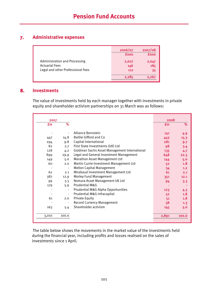# **7. Administrative expenses**

|                                      | 2006/07     | 2007/08     |
|--------------------------------------|-------------|-------------|
|                                      | <b>fooo</b> | <b>fooo</b> |
| <b>Administration and Processing</b> | 2,027       | 2,047       |
| <b>Actuarial Fees</b>                | 146         | 185         |
| Legal and other Professional Fees    | 112         | 35          |
|                                      | 2,285       | 2,267       |
|                                      |             |             |

## **8. Investments**

The value of investments held by each manager together with investments in private equity and shareholder activism partnerships on 31 March was as follows:

| 2007  |                          |                                              | 2008           |       |
|-------|--------------------------|----------------------------------------------|----------------|-------|
| £m    | %                        |                                              | $\mathbf{f}$ m | %     |
|       |                          | Alliance Bernstein                           | 141            | 4.9   |
| 447   | 14.8                     | <b>Baillie Gifford and Co</b>                | 443            | 15.3  |
| 294   | 9.8                      | Capital International                        | 281            |       |
| 82    |                          |                                              |                | 9.7   |
|       | 2.7                      | First State Investments (UK) Ltd             | 98             | 3.4   |
| 128   | 4.2                      | Goldman Sachs Asset Management International | 135            | 4.7   |
| 899   | 29.9                     | Legal and General Investment Management      | 648            | 22.3  |
| 149   | 5.0                      | Marathon Asset Management Ltd                | 144            | 5.0   |
| 60    | 2.0                      | Martin Currie Investment Management Ltd      | 52             | 1.8   |
|       | $\blacksquare$           | <b>Mellon Capital Management</b>             | 34             | 1.2   |
| 62    | 2.1                      | Mirabaud Investment Management Ltd           | 61             | 2.1   |
| 387   | 12.9                     | <b>Morley Fund Management</b>                | 351            | 12.1  |
| 99    | 3.3                      | Nomura Asset Management UK Ltd               | 94             | 3.3   |
| 179   | 5.9                      | Prudential M&G                               |                |       |
|       |                          | Prudential M&G Alpha Opportunities           | 123            | 4.3   |
|       | $\overline{\phantom{a}}$ | Prudential M&G Infracapital                  | 52             | 1.8   |
| 61    | 2.0                      | <b>Private Equity</b>                        | 51             | 1.8   |
|       |                          | <b>Record Currency Management</b>            | 38             | 1.3   |
| 163   | 5.4                      | Shareholder activism                         | 145            | 5.0   |
| 3,010 | 100.0                    |                                              | 2,891          | 100.0 |
|       |                          |                                              |                |       |

The table below shows the movements in the market value of the investments held during the financial year, including profits and losses realised on the sales of investments since 1 April.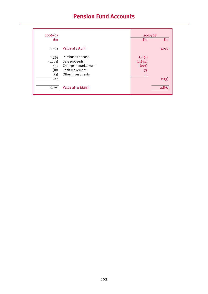# **Pension Fund Accounts**

| 2006/07        |                        | 2007/08        |                |
|----------------|------------------------|----------------|----------------|
| $\mathbf{f}$ m |                        | $\mathbf{f}$ m | $\mathbf{f}$ m |
| 2,763          | Value at 1 April       |                | 3,010          |
| 1,334          | Purchases at cost      | 2,698          |                |
| (1, 221)       | Sale proceeds          | (2,674)        |                |
| 155            | Change in market value | (221)          |                |
| (18)           | Cash movement          | 75             |                |
| (3)            | Other investments      | 3              |                |
| 247            |                        |                | (119)          |
| 3,010          | Value at 31 March      |                | 2,891          |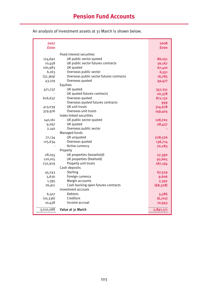| 2007        |                                          | 2008      |
|-------------|------------------------------------------|-----------|
| <b>fooo</b> |                                          | fooo      |
|             | Fixed interest securities                |           |
| 174,692     | UK public sector quoted                  | 86,051    |
| 10,458      | UK public sector futures contracts       | 30,167    |
| 100,983     | UK quoted                                | 67,410    |
| 6,163       | Overseas public sector                   | 6,551     |
| (37, 369)   | Overseas public sector futures contracts | 16,785    |
| 43,319      | Overseas quoted                          | 49,477    |
|             | Equities                                 |           |
| 471,237     | UK quoted                                | 357,251   |
|             | UK quoted futures contracts              | 20,378    |
| 626,637     | Overseas quoted                          | 871,132   |
|             | Overseas quoted futures contracts        | 999       |
| 413,039     | UK unit trusts                           | 314,678   |
| 379,976     | Overseas unit trusts                     | 149,424   |
|             | Index linked securities                  |           |
| 140,161     | UK public sector quoted                  | 128,702   |
| 9,097       | UK quoted                                | 28,427    |
| 2,140       | Overseas public sector                   |           |
|             | Managed funds                            |           |
| 77,134      | UK unquoted                              | 228,526   |
| 125,634     | Overseas quoted                          | 136,714   |
|             | Active currency                          | 70,283    |
|             | Property                                 |           |
| 28,055      | UK properties (leasehold)                | 27,390    |
| 120,015     | UK properties (freehold)                 | 92,605    |
| 232,929     | Property unit trusts                     | 187,194   |
|             | Cash deposits                            |           |
| 45,243      | Sterling                                 | 67,529    |
| 5,630       | Foreign currency                         | 9,606     |
| 1,395       | Margin accounts                          | 2,392     |
| 26,911      | Cash backing open futures contracts      | (68, 328) |
|             | Investment accruals                      |           |
| 6,507       | <b>Debtors</b>                           | 5,586     |
| (10, 336)   | Creditors                                | (6,701)   |
| 10,438      | Income accrual                           | 10,943    |
| 3,010,088   | Value at 31 March                        | 2,891,171 |

An analysis of investment assets at 31 March is shown below.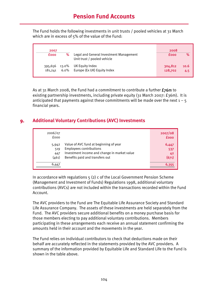The Fund holds the following investments in unit trusts / pooled vehicles at 31 March which are in excess of 5% of the value of the Fund:

| 2007               |       |                                                                        | 2008               |             |
|--------------------|-------|------------------------------------------------------------------------|--------------------|-------------|
| <b>fooo</b>        | %     | Legal and General Investment Management<br>Unit trust / pooled vehicle | <b>fooo</b>        | %           |
| 395,656<br>181.241 | 13.0% | UK Equity Index<br>6.0% Europe (Ex UK) Equity Index                    | 304,812<br>128,702 | 10.6<br>4.5 |

As at 31 March 2008, the Fund had a commitment to contribute a further  $E_76m$  to existing partnership investments, including private equity (31 March 2007: £36m). It is anticipated that payments against these commitments will be made over the next  $1 - 5$ financial years.

# **9. Additional Voluntary Contributions (AVC) Investments**

| 2006/07<br>fooo                       |                                                                                                                                                             | 2007/08<br><b>fooo</b>      |
|---------------------------------------|-------------------------------------------------------------------------------------------------------------------------------------------------------------|-----------------------------|
| 5,942<br>519<br>447<br>(461)<br>6.447 | Value of AVC fund at beginning of year<br><b>Employees contributions</b><br>Investment income and change in market value<br>Benefits paid and transfers out | 6,447<br>537<br>42<br>(671) |

In accordance with regulations 5 (2) c of the Local Government Pension Scheme (Management and Investment of Funds) Regulations 1998, additional voluntary contributions (AVCs) are not included within the transactions recorded within the Fund Account.

The AVC providers to the Fund are The Equitable Life Assurance Society and Standard Life Assurance Company. The assets of these investments are held separately from the Fund. The AVC providers secure additional benefits on a money purchase basis for those members electing to pay additional voluntary contributions. Members participating in these arrangements each receive an annual statement confirming the amounts held in their account and the movements in the year.

The Fund relies on individual contributors to check that deductions made on their behalf are accurately reflected in the statements provided by the AVC providers. A summary of the information provided by Equitable Life and Standard Life to the Fund is shown in the table above.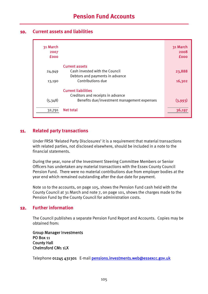### **10. Current assets and liabilities**

| 31 March<br>2007<br><b>fooo</b> |                                                                 | 31 March<br>2008<br><b>fooo</b> |
|---------------------------------|-----------------------------------------------------------------|---------------------------------|
|                                 | <b>Current assets</b>                                           |                                 |
| 24,949                          | Cash invested with the Council                                  | 23,888                          |
|                                 | Debtors and payments in advance                                 |                                 |
| 13,190                          | Contributions due                                               | 16,302                          |
|                                 | <b>Current liabilities</b><br>Creditors and receipts in advance |                                 |
| (5,348)                         | Benefits due/investment management expenses                     | (3,993)                         |
| 32,791                          | Net total                                                       | 36,197                          |

## **11. Related party transactions**

Under FRS8 'Related Party Disclosures' it is a requirement that material transactions with related parties, not disclosed elsewhere, should be included in a note to the financial statements.

During the year, none of the Investment Steering Committee Members or Senior Officers has undertaken any material transactions with the Essex County Council Pension Fund. There were no material contributions due from employer bodies at the year end which remained outstanding after the due date for payment.

Note 10 to the accounts, on page 105, shows the Pension Fund cash held with the County Council at 31 March and note 7, on page 101, shows the charges made to the Pension Fund by the County Council for administration costs.

### **12. Further information**

The Council publishes a separate Pension Fund Report and Accounts. Copies may be obtained from:

Group Manager Investments PO Box 11 County Hall Chelmsford CM1 1LX

Telephone 01245 431301 E-mail pensions.investments.web@essexcc.gov.uk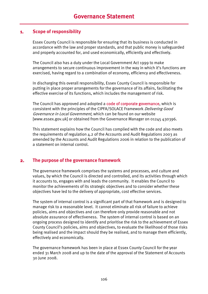## **1. Scope of responsibility**

Essex County Council is responsible for ensuring that its business is conducted in accordance with the law and proper standards, and that public money is safeguarded and properly accounted for, and used economically, efficiently and effectively.

The Council also has a duty under the Local Government Act 1999 to make arrangements to secure continuous improvement in the way in which it's functions are exercised, having regard to a combination of economy, efficiency and effectiveness.

In discharging this overall responsibility, Essex County Council is responsible for putting in place proper arrangements for the governance of its affairs, facilitating the effective exercise of its functions, which includes the management of risk.

The Council has approved and adopted a code of corporate governance, which is consistent with the principles of the CIPFA/SOLACE Framework *Delivering Good* Governance in Local Government, which can be found on our website [www.essex.gov.uk] or obtained from the Governance Manager on 01245 430396.

This statement explains how the Council has complied with the code and also meets the requirements of regulation 4.2 of the Accounts and Audit Regulations 2003 as amended by the Accounts and Audit Regulations 2006 in relation to the publication of a statement on internal control.

### **2. The purpose of the governance framework**

The governance framework comprises the systems and processes, and culture and values, by which the Council is directed and controlled, and its activities through which it accounts to, engages with and leads the community. It enables the Council to monitor the achievements of its strategic objectives and to consider whether these objectives have led to the delivery of appropriate, cost effective services.

The system of internal control is a significant part of that framework and is designed to manage risk to a reasonable level. It cannot eliminate all risk of failure to achieve policies, aims and objectives and can therefore only provide reasonable and not absolute assurance of effectiveness. The system of internal control is based on an ongoing process designed to identify and prioritise the risk to the achievement of Essex County Council's policies, aims and objectives, to evaluate the likelihood of those risks being realised and the impact should they be realised, and to manage them efficiently, effectively and economically.

The governance framework has been in place at Essex County Council for the year ended 31 March 2008 and up to the date of the approval of the Statement of Accounts 30 June 2008.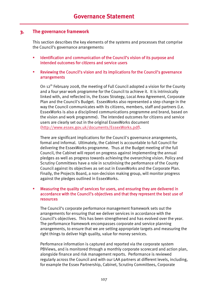### **3. The governance framework**

This section describes the key elements of the systems and processes that comprise the Council's governance arrangements:

- **IDENTIFICATE:** Identification and communication of the Council's vision of its purpose and intended outcomes for citizens and service users
- Reviewing the Council's vision and its implications for the Council's governance arrangements

On 12<sup>th</sup> February 2008, the meeting of Full Council adopted a vision for the County and a four year work programme for the Council to achieve it. It is intrinsically linked with, and reflected in, the Essex Strategy, Local Area Agreement, Corporate Plan and the Council's Budget. EssexWorks also represented a step change in the way the Council communicates with its citizens, members, staff and partners (i.e. EssexWorks is also a disciplined communications programme and brand, based on the vision and work programme). The intended outcomes for citizens and service users are clearly set out in the original EssexWorks document (http://www.essex.gov.uk/documents/EssexWorks.pdf).

There are significant implications for the Council's governance arrangements, formal and informal. Ultimately, the Cabinet is accountable to full Council for delivering the EssexWorks programme. Thus at the Budget meeting of the full Council, the Cabinet will report on progress against implementing the annual pledges as well as progress towards achieving the overarching vision. Policy and Scrutiny Committees have a role in scrutinising the performance of the County Council against its objectives as set out in EssexWorks and the Corporate Plan. Finally, the Projects Board, a non-decision making group, will monitor progress against the pledges outlined in EssexWorks.

#### Measuring the quality of services for users, and ensuring they are delivered in accordance with the Council's objectives and that they represent the best use of resources

The Council's corporate performance management framework sets out the arrangements for ensuring that we deliver services in accordance with the Council's objectives. This has been strengthened and has evolved over the year. The performance framework encompasses corporate and service planning arrangements, to ensure that we are setting appropriate targets and measuring the right things to deliver high quality, value for money services.

Performance information is captured and reported via the corporate system PBViews, and is monitored through a monthly corporate scorecard and action plan, alongside finance and risk management reports. Performance is reviewed regularly across the Council and with our LAA partners at different levels, including, for example the Essex Partnership, Cabinet, Scrutiny Committees, Corporate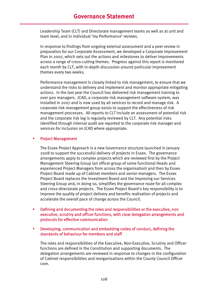Leadership Team (CLT) and Directorate management teams as well as at unit and team level, and in individual 'my Performance' reviews.

In response to findings from ongoing external assessment and a peer review in preparation for our Corporate Assessment, we developed a Corporate Improvement Plan in 2007, which sets out the actions and milestones to deliver improvements across a range of cross-cutting themes. Progress against this report is monitored each month by CLT, with in-depth discussion around particular improvement themes every two weeks.

Performance management is closely linked to risk management, to ensure that we understand the risks to delivery and implement and monitor appropriate mitigating actions. In the last year the Council has delivered risk management training to over 900 managers. JCAD, a corporate risk management software system, was installed in 2007 and is now used by all services to record and manage risk. A corporate risk management group exists to support the effectiveness of risk management processes. All reports to CLT include an assessment of potential risk and the corporate risk log is regularly reviewed by CLT. Any potential risks identified through internal audit are reported to the corporate risk manager and services for inclusion on JCAD where appropriate.

#### Project Management

The Essex Project Approach is a new Governance structure launched in January 2008 to support the successful delivery of projects in Essex. The governance arrangements apply to complex projects which are reviewed first by the Project Management Steering Group (an officer group of some functional Heads and experienced Project Managers from across the organisation) and then by Essex Project Board made up of Cabinet members and senior managers. The Essex Project Board replaces the Investment Board and the Improving our Services Steering Group and, in doing so, simplifies the governance route for all complex and cross-directorate projects. The Essex Project Board's key responsibility is to improve the quality of project delivery and benefits realisation of projects and accelerate the overall pace of change across the Council.

- Defining and documenting the roles and responsibilities or the executive, non executive, scrutiny and officer functions, with clear delegation arrangements and protocols for effective communication
- Developing, communication and embedding codes of conduct, defining the standards of behaviour for members and staff

The roles and responsibilities of the Executive, Non-Executive, Scrutiny and Officer functions are defined in the Constitution and supporting documents. The delegation arrangements are reviewed in response to changes in the configuration of Cabinet responsibilities and reorganisations within the County Council Officer core.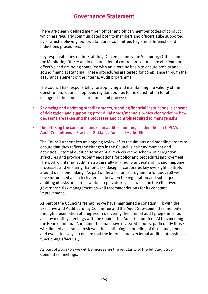There are clearly defined member, officer and officer/member codes of conduct which are regularly communicated both to members and officers alike supported by a 'whistle blowing' policy, Standards Committee, Register of Interests and inductions procedures.

Key responsibilities of the Statutory Officers, namely the Section 151 Officer and the Monitoring Officer are to ensure internal control procedures are efficient and effective and are being complied with on a routine basis to ensure probity and sound financial standing. These procedures are tested for compliance through the assurance element of the Internal Audit programme.

The Council has responsibility for approving and maintaining the validity of the Constitution. Council approves regular updates to the Constitution to reflect changes in the Council's structures and processes.

- Reviewing and updating standing orders, standing financial instructions, a scheme of delegation and supporting procedural notes/manuals, which clearly define how decisions are taken and the processes and controls required to manage risks
- Undertaking the core functions of an audit committee, as identified in CIPFA's Audit Committees – Practical Guidance for Local Authorities

The Council undertakes an ongoing review of its regulations and standing orders to ensure that they reflect the changes in the Council's risk environment and activities. Internal audit perform annual reviews of the scheme of delegation structures and provide recommendations for policy and procedural improvement. The work of internal audit is also carefully aligned to understanding and mapping processes and ensuring that process design incorporates key oversight controls around decision-making. As part of the assurance programme for 2007/08 we have introduced a much clearer link between the registration and subsequent auditing of risks and are now able to provide key assurance on the effectiveness of governance risk management as well recommendations for its constant improvement.

As part of the Council's reshaping we have maintained a constant link with the Executive and Audit Scrutiny Committee and the Audit Sub-Committee, not only through presentation of progress in delivering the internal audit programme, but also by monthly meetings with the Chair of the Audit Committee. At this meeting the Head of Internal Audit and the Chair have reviewed reports, particularly those with limited assurance, reviewed the continuing embedding of risk management and evaluated ways to ensure that the internal audit/external audit relationship is functioning effectively.

As part of 2008/09 we will be increasing the regularity of the full Audit Sub Committee meetings.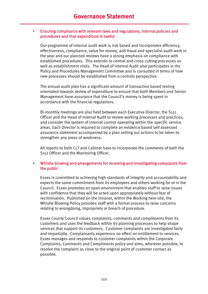#### Ensuring compliance with relevant laws and regulations, internal policies and procedures and that expenditure is lawful

Our programme of internal audit work is risk based and incorporates efficiency, effectiveness, compliance, value for money, anti-fraud and specialist audit work in the year and our planned reviews have a strong emphasis on compliance with established procedures. This extends to central and cross cutting processes as well as establishment visits. The Head of Internal Audit also participates in the Policy and Procedures Management Committee and is consulted in terms of how new processes should be established from a controls perspective.

The annual audit plan has a significant amount of transaction based testing orientated towards review of expenditure to ensure that both Members and Senior Management have assurance that the Council's money is being spent in accordance with the financial regulations.

Bi-monthly meetings are also held between each Executive Director, the S151 Officer and the Head of Internal Audit to review working processes and practices, and consider the system of internal control operating within the specific service areas. Each Director is required to complete an evidence based self assessed assurance statement accompanied by a plan setting out actions to be taken to strengthen any areas of weakness.

All reports to both CLT and Cabinet have to incorporate the comments of both the S151 Officer and the Monitoring Officer.

#### Whistle blowing and arrangements for receiving and investigating complaints from the public

Essex is committed to achieving high standards of integrity and accountability and expects the same commitment from its employees and others working for or in the Council. Essex promotes an open environment that enables staff to raise issues with confidence that they will be acted upon appropriately without fear of recrimination. Published on the intranet, within the Working here site, the Whistle Blowing Policy provides staff with a formal process to raise concerns relating to wrongdoing, impropriety or breach of procedure.

Essex County Council values complaints, comments and compliments from its customers and uses the feedback within its planning processes to help shape services that support its customers. Customer complaints are investigated fairly and impartially. Complainants experience no effect on entitlement to services. Essex manages and responds to customer complaints within the Corporate Complaints, Comments and Compliments policy and aims, wherever possible, to resolve the complaint as close to the original point of customer contact as possible.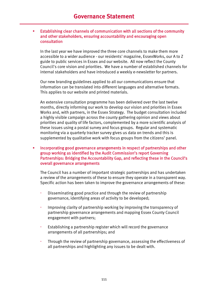#### Establishing clear channels of communication with all sections of the community and other stakeholders, ensuring accountability and encouraging open consultation

In the last year we have improved the three core channels to make them more accessible to a wider audience - our residents' magazine, EssexWorks, our A to Z guide to public services in Essex and our website. All now reflect the County Council's core vision and priorities. We have a number of established channels for internal stakeholders and have introduced a weekly e-newsletter for partners.

Our new branding guidelines applied to all our communications ensure that information can be translated into different languages and alternative formats. This applies to our website and printed materials.

An extensive consultation programme has been delivered over the last twelve months, directly informing our work to develop our vision and priorities in Essex Works and, with partners, in the Essex Strategy. The budget consultation included a highly visible campaign across the county gathering opinion and views about priorities and quality of life factors, complemented by a more scientific analysis of these issues using a postal survey and focus groups. Regular and systematic monitoring via a quarterly tracker survey gives us data on trends and this is supplemented by qualitative work with focus groups from the citizens' panel.

#### **EXEDENT Incorporating good governance arrangements in respect of partnerships and other** group working as identified by the Audit Commission's report Governing Partnerships: Bridging the Accountability Gap, and reflecting these in the Council's overall governance arrangements

The Council has a number of important strategic partnerships and has undertaken a review of the arrangements of these to ensure they operate in a transparent way. Specific action has been taken to improve the governance arrangements of these:

- Disseminating good practice and through the review of partnership governance, identifying areas of activity to be developed;
- Improving clarity of partnership working by improving the transparency of partnership governance arrangements and mapping Essex County Council engagement with partners;
- Establishing a partnership register which will record the governance arrangements of all partnerships; and
- Through the review of partnership governance, assessing the effectiveness of all partnerships and highlighting any issues to be dealt with.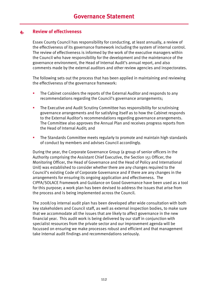### **4. Review of effectiveness**

Essex County Council has responsibility for conducting, at least annually, a review of the effectiveness of its governance framework including the system of internal control. The review of effectiveness is informed by the work of the executive managers within the Council who have responsibility for the development and the maintenance of the governance environment, the Head of Internal Audit's annual report, and also comments made by the external auditors and other review agencies and inspectorates.

The following sets out the process that has been applied in maintaining and reviewing the effectiveness of the governance framework:

- The Cabinet considers the reports of the External Auditor and responds to any recommendations regarding the Council's governance arrangements;
- The Executive and Audit Scrutiny Committee has responsibility for scrutinising governance arrangements and for satisfying itself as to how the Cabinet responds to the External Auditor's recommendations regarding governance arrangements. The Committee also approves the Annual Plan and receives progress reports from the Head of Internal Audit; and
- **The Standards Committee meets regularly to promote and maintain high standards** of conduct by members and advises Council accordingly.

During the year, the Corporate Governance Group (a group of senior officers in the Authority comprising the Assistant Chief Executive, the Section 151 Officer, the Monitoring Officer, the Head of Governance and the Head of Policy and International Unit) was established to consider whether there are any changes required to the Council's existing Code of Corporate Governance and if there are any changes in the arrangements for ensuring its ongoing application and effectiveness. The CIPFA/SOLACE Framework and Guidance on Good Governance have been used as a tool for this purpose; a work plan has been devised to address the issues that arise from the process and is being implemented across the Council.

The 2008/09 internal audit plan has been developed after wide consultation with both key stakeholders and Council staff, as well as external inspection bodies, to make sure that we accommodate all the issues that are likely to affect governance in the new financial year. This audit work is being delivered by our staff in conjunction with specialist resources from the private sector and our improvement agenda will be focussed on ensuring we make processes robust and efficient and that management take internal audit findings and recommendations seriously.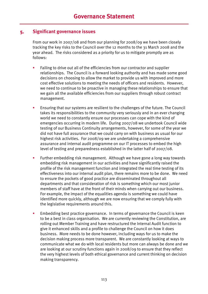### **5. Significant governance issues**

From our work in 2007/08 and from our planning for 2008/09 we have been closely tracking the key risks to the Council over the 12 months to the 31 March 2008 and the year ahead. The risks considered as a priority for us to mitigate promptly are as follows:

- Failing to drive out all of the efficiencies from our contractor and supplier relationships. The Council is a forward looking authority and has made some good decisions on choosing to allow the market to provide us with improved and more cost effective solutions to meeting the needs of officers and residents. However, we need to continue to be proactive in managing these relationships to ensure that we gain all the available efficiencies from our suppliers through robust contract management.
- Ensuring that our systems are resilient to the challenges of the future. The Council takes its responsibilities to the community very seriously and in an ever changing world we need to constantly ensure our processes can cope with the kind of emergencies occurring in modern life. During 2007/08 we undertook Council wide testing of our Business Continuity arrangements, however, for some of the year we did not have full assurance that we could carry on with business as usual for our highest risk activities. For 2008/09 we are undertaking a comprehensive assurance and internal audit programme on our IT processes to embed the high level of testing and preparedness established in the latter half of 2007/08.
- Further embedding risk management. Although we have gone a long way towards embedding risk management in our activities and have significantly raised the profile of the risk management function and integrated the real time testing of its effectiveness into our internal audit plan, there remains more to be done. We need to ensure the pockets of good practice are disseminated throughout all departments and that consideration of risk is something which our most junior members of staff have at the front of their minds when carrying out our business. For example, the impact of the equalities agenda is something we could have identified more quickly, although we are now ensuring that we comply fully with the legislative requirements around this.
- Embedding best practice governance. In terms of governance the Council is keen to be a best in class organisation. We are currently reviewing the Constitution, are rolling out Member Training and have restructured the Internal Audit function to give it enhanced skills and a profile to challenge the Council on how it does business. More needs to be done however, including ways for us to make the decision making process more transparent. We are constantly looking at ways to communicate what we do with local residents but more can always be done and we are looking at our scrutiny functions again in 2008/09 to ensure that they reflect the very highest levels of both ethical governance and current thinking on decision making transparency.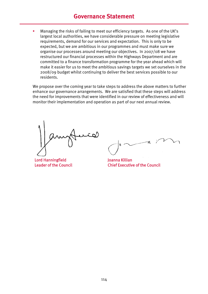### **Governance Statement**

 Managing the risks of failing to meet our efficiency targets. As one of the UK's largest local authorities, we have considerable pressure on meeting legislative requirements, demand for our services and expectation. This is only to be expected, but we are ambitious in our programmes and must make sure we organise our processes around meeting our objectives. In 2007/08 we have restructured our financial processes within the Highways Department and are committed to a finance transformation programme for the year ahead which will make it easier for us to meet the ambitious savings targets we set ourselves in the 2008/09 budget whilst continuing to deliver the best services possible to our residents.

We propose over the coming year to take steps to address the above matters to further enhance our governance arrangements. We are satisfied that these steps will address the need for improvements that were identified in our review of effectiveness and will monitor their implementation and operation as part of our next annual review.

Lord Hanningfield Leader of the Council

Joanna Killian Chief Executive of the Council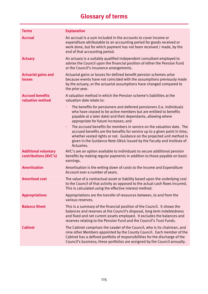| <b>Terms</b>                                         | <b>Explanation</b>                                                                                                                                                                                                                                                                                                          |
|------------------------------------------------------|-----------------------------------------------------------------------------------------------------------------------------------------------------------------------------------------------------------------------------------------------------------------------------------------------------------------------------|
| <b>Accrual</b>                                       | An accrual is a sum included in the accounts to cover income or<br>expenditure attributable to an accounting period for goods received or<br>work done, but for which payment has not been received / made, by the<br>end of that accounting period.                                                                        |
| <b>Actuary</b>                                       | An actuary is a suitably qualified independent consultant employed to<br>advise the Council upon the financial position of either the Pension Fund<br>or the Council's insurance arrangements.                                                                                                                              |
| <b>Actuarial gains and</b><br>losses                 | Actuarial gains or losses for defined benefit pension schemes arise<br>because events have not coincided with the assumptions previously made<br>by the actuary, or the actuarial assumptions have changed compared to<br>the prior year.                                                                                   |
| <b>Accrued benefits</b><br>valuation method          | A valuation method in which the Pension scheme's liabilities at the<br>valuation date relate to:                                                                                                                                                                                                                            |
|                                                      | The benefits for pensioners and deferred pensioners (i.e. individuals<br>who have ceased to be active members but are entitled to benefits<br>payable at a later date) and their dependants, allowing where<br>appropriate for future increases; and                                                                        |
|                                                      | The accrued benefits for members in service on the valuation date. The<br>×<br>accrued benefits are the benefits for service up to a given point in time,<br>whether vested rights or not. Guidance on the projected unit method is<br>given in the Guidance Note GN26 issued by the Faculty and Institute of<br>Actuaries. |
| <b>Additional voluntary</b><br>contributions (AVC's) | AVC's are an option available to individuals to secure additional pension<br>benefits by making regular payments in addition to those payable on basic<br>earnings.                                                                                                                                                         |
| <b>Amortisation</b>                                  | Amortisation is the writing down of costs to the Income and Expenditure<br>Account over a number of years.                                                                                                                                                                                                                  |
| <b>Amortised cost</b>                                | The value of a contractual asset or liability based upon the underlying cost<br>to the Council of that activity as opposed to the actual cash flows incurred.<br>This is calculated using the effective interest method.                                                                                                    |
| <b>Appropriations</b>                                | Appropriations are the transfer of resources between, to and from the<br>various reserves.                                                                                                                                                                                                                                  |
| <b>Balance Sheet</b>                                 | This is a summary of the financial position of the Council. It shows the<br>balances and reserves at the Council's disposal, long term indebtedness<br>and fixed and net current assets employed. It excludes the balances and<br>reserves relating to the Pension Fund and the Council's Trust Funds.                      |
| <b>Cabinet</b>                                       | The Cabinet comprises the Leader of the Council, who is its chairman, and<br>nine other Members appointed by the County Council. Each member of the<br>Cabinet has a defined portfolio of responsibilities for the discharge of the<br>Council's business; these portfolios are assigned by the Council annually.           |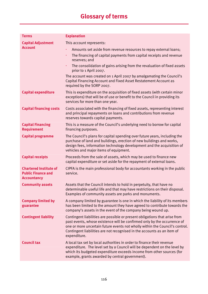| <b>Terms</b>                                                                     | <b>Explanation</b>                                                                                                                                                                                                                                                                                                                |
|----------------------------------------------------------------------------------|-----------------------------------------------------------------------------------------------------------------------------------------------------------------------------------------------------------------------------------------------------------------------------------------------------------------------------------|
| <b>Capital Adjustment</b>                                                        | This account represents:                                                                                                                                                                                                                                                                                                          |
| <b>Account</b>                                                                   | Amounts set aside from revenue resources to repay external loans;                                                                                                                                                                                                                                                                 |
|                                                                                  | The financing of capital payments from capital receipts and revenue<br>×<br>reserves; and                                                                                                                                                                                                                                         |
|                                                                                  | The consolidation of gains arising from the revaluation of fixed assets<br>×<br>prior to 1 April 2007.                                                                                                                                                                                                                            |
|                                                                                  | The account was created on 1 April 2007 by amalgamating the Council's<br>Capital Financing Account and Fixed Asset Restatement Account as<br>required by the SORP 2007.                                                                                                                                                           |
| <b>Capital expenditure</b>                                                       | This is expenditure on the acquisition of fixed assets (with certain minor<br>exceptions) that will be of use or benefit to the Council in providing its<br>services for more than one year.                                                                                                                                      |
| <b>Capital financing costs</b>                                                   | Costs associated with the financing of fixed assets, representing interest<br>and principal repayments on loans and contributions from revenue<br>reserves towards capital payments.                                                                                                                                              |
| <b>Capital Financing</b><br><b>Requirement</b>                                   | This is a measure of the Council's underlying need to borrow for capital<br>financing purposes.                                                                                                                                                                                                                                   |
| <b>Capital programme</b>                                                         | The Council's plans for capital spending over future years, including the<br>purchase of land and buildings, erection of new buildings and works,<br>design fees, information technology development and the acquisition of<br>vehicles and major items of equipment.                                                             |
| <b>Capital receipts</b>                                                          | Proceeds from the sale of assets, which may be used to finance new<br>capital expenditure or set aside for the repayment of external loans.                                                                                                                                                                                       |
| <b>Chartered Institute of</b><br><b>Public Finance and</b><br><b>Accountancy</b> | CIPFA is the main professional body for accountants working in the public<br>service.                                                                                                                                                                                                                                             |
| <b>Community assets</b>                                                          | Assets that the Council intends to hold in perpetuity, that have no<br>determinable useful life and that may have restrictions on their disposal.<br>Examples of community assets are parks and monuments.                                                                                                                        |
| <b>Company limited by</b><br>guarantee                                           | A company limited by guarantee is one in which the liability of its members<br>has been limited to the amount they have agreed to contribute towards the<br>company's assets in the event of the company being wound up.                                                                                                          |
| <b>Contingent liability</b>                                                      | Contingent liabilities are possible or present obligations that arise from<br>past events, whose existence will be confirmed only by the occurrence of<br>one or more uncertain future events not wholly within the Council's control.<br>Contingent liabilities are not recognised in the accounts as an item of<br>expenditure. |
| <b>Council tax</b>                                                               | A local tax set by local authorities in order to finance their revenue<br>expenditure. The level set by a Council will be dependent on the level by<br>which its budgeted expenditure exceeds income from other sources (for<br>example, grants awarded by central government).                                                   |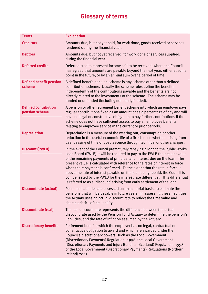| <b>Terms</b>                                  | <b>Explanation</b>                                                                                                                                                                                                                                                                                                                                                                                                                                                                                                                                                                                                                             |  |
|-----------------------------------------------|------------------------------------------------------------------------------------------------------------------------------------------------------------------------------------------------------------------------------------------------------------------------------------------------------------------------------------------------------------------------------------------------------------------------------------------------------------------------------------------------------------------------------------------------------------------------------------------------------------------------------------------------|--|
| <b>Creditors</b>                              | Amounts due, but not yet paid, for work done, goods received or services<br>rendered during the financial year.                                                                                                                                                                                                                                                                                                                                                                                                                                                                                                                                |  |
| <b>Debtors</b>                                | Amounts due, but not yet received, for work done or services supplied,<br>during the financial year.                                                                                                                                                                                                                                                                                                                                                                                                                                                                                                                                           |  |
| <b>Deferred credits</b>                       | Deferred credits represent income still to be received, where the Council<br>has agreed that amounts are payable beyond the next year, either at some<br>point in the future, or by an annual sum over a period of time.                                                                                                                                                                                                                                                                                                                                                                                                                       |  |
| <b>Defined benefit pension</b><br>scheme      | A defined benefit pension scheme is any scheme other than a defined<br>contribution scheme. Usually the scheme rules define the benefits<br>independently of the contributions payable and the benefits are not<br>directly related to the investments of the scheme. The scheme may be<br>funded or unfunded (including notionally funded).                                                                                                                                                                                                                                                                                                   |  |
| <b>Defined contribution</b><br>pension scheme | A pension or other retirement benefit scheme into which an employer pays<br>regular contributions fixed as an amount or as a percentage of pay and will<br>have no legal or constructive obligation to pay further contributions if the<br>scheme does not have sufficient assets to pay all employee benefits<br>relating to employee service in the current or prior periods.                                                                                                                                                                                                                                                                |  |
| <b>Depreciation</b>                           | Depreciation is a measure of the wearing out, consumption or other<br>reduction in the useful economic life of a fixed asset, whether arising from<br>use, passing of time or obsolescence through technical or other changes.                                                                                                                                                                                                                                                                                                                                                                                                                 |  |
| <b>Discount (PWLB)</b>                        | In the event of the Council prematurely repaying a loan to the Public Works<br>Loan Board (PWLB) it will be required to pay to the PWLB the present value<br>of the remaining payments of principal and interest due on the loan. The<br>present value is calculated with reference to the rates of interest in force<br>when the repayment is confirmed. To the extent that the rate in force is<br>above the rate of interest payable on the loan being repaid, the Council is<br>compensated by the PWLB for the interest rate differential. This differential<br>is referred to as a 'discount' arising from early settlement of the loan. |  |
| <b>Discount rate (actual)</b>                 | Pensions liabilities are assessed on an actuarial basis, to estimate the<br>pensions that will be payable in future years. In assessing these liabilities<br>the Actuary uses an actual discount rate to reflect the time value and<br>characteristics of the liability.                                                                                                                                                                                                                                                                                                                                                                       |  |
| <b>Discount rate (real)</b>                   | The real discount rate represents the difference between the actual<br>discount rate used by the Pension Fund Actuary to determine the pension's<br>liabilities, and the rate of inflation assumed by the Actuary.                                                                                                                                                                                                                                                                                                                                                                                                                             |  |
| <b>Discretionary benefits</b>                 | Retirement benefits which the employer has no legal, contractual or<br>constructive obligation to award and which are awarded under the<br>Council's discretionary powers, such as the Local Government<br>(Discretionary Payments) Regulations 1996, the Local Government<br>(Discretionary Payments and Injury Benefits (Scotland) Regulations 1998,<br>or the Local Government (Discretionary Payments) Regulations (Northern<br>Ireland) 2001.                                                                                                                                                                                             |  |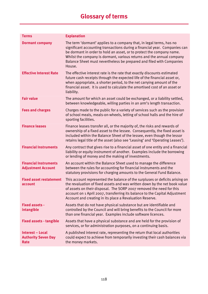| <b>Terms</b>                                                         | <b>Explanation</b>                                                                                                                                                                                                                                                                                                                                                                     |
|----------------------------------------------------------------------|----------------------------------------------------------------------------------------------------------------------------------------------------------------------------------------------------------------------------------------------------------------------------------------------------------------------------------------------------------------------------------------|
| <b>Dormant company</b>                                               | The term 'dormant' applies to a company that, in legal terms, has no<br>significant accounting transactions during a financial year. Companies can<br>be dormant in order to hold an asset, or to protect the company name.<br>Whilst the company is dormant, various returns and the annual company<br>Balance Sheet must nevertheless be prepared and filed with Companies<br>House. |
| <b>Effective Interest Rate</b>                                       | The effective interest rate is the rate that exactly discounts estimated<br>future cash receipts through the expected life of the financial asset or,<br>when appropriate, a shorter period, to the net carrying amount of the<br>financial asset. It is used to calculate the amortised cost of an asset or<br>liability.                                                             |
| <b>Fair value</b>                                                    | The amount for which an asset could be exchanged, or a liability settled,<br>between knowledgeable, willing parties in an arm's length transaction.                                                                                                                                                                                                                                    |
| <b>Fees and charges</b>                                              | Charges made to the public for a variety of services such as the provision<br>of school meals, meals-on-wheels, letting of school halls and the hire of<br>sporting facilities.                                                                                                                                                                                                        |
| <b>Finance leases</b>                                                | Finance leases transfer all, or the majority of, the risks and rewards of<br>ownership of a fixed asset to the lessee. Consequently, the fixed asset is<br>included within the Balance Sheet of the lessee, even though the lessor<br>retains legal title of the asset (also see 'Leasing' and 'Operating Leases').                                                                    |
| <b>Financial Instruments</b>                                         | Any contract that gives rise to a financial asset of one entity and a financial<br>liability or equity instrument of another. Examples include the borrowing<br>or lending of money and the making of investments.                                                                                                                                                                     |
| <b>Financial Instruments</b><br><b>Adjustment Account</b>            | An account within the Balance Sheet used to manage the difference<br>between the rules for accounting for financial instruments and the<br>statutory provisions for charging amounts to the General Fund Balance.                                                                                                                                                                      |
| <b>Fixed asset restatement</b><br>account                            | This account represented the balance of the surpluses or deficits arising on<br>the revaluation of fixed assets and was written down by the net book value<br>of assets on their disposal. The SORP 2007 removed the need for this<br>account on 1 April 2007, transferring its balance to the Capital Adjustment<br>Account and creating in its place a Revaluation Reserve.          |
| <b>Fixed assets -</b><br>intangible                                  | Assets that do not have physical substance but are identifiable and<br>controlled by the Council and will bring benefits to the Council for more<br>than one financial year. Examples include software licences.                                                                                                                                                                       |
| <b>Fixed assets - tangible</b>                                       | Assets that have a physical substance and are held for the provision of<br>services, or for administration purposes, on a continuing basis.                                                                                                                                                                                                                                            |
| <b>Interest - Local</b><br><b>Authority Seven Day</b><br><b>Rate</b> | A published interest rate, representing the return that local authorities<br>could expect to achieve from temporarily investing their cash balances via<br>the money markets.                                                                                                                                                                                                          |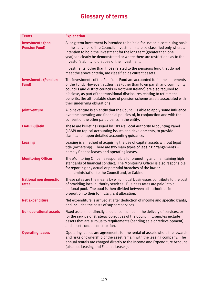| <b>Terms</b>                                    | <b>Explanation</b>                                                                                                                                                                                                                                                                                                                                                                                                        |
|-------------------------------------------------|---------------------------------------------------------------------------------------------------------------------------------------------------------------------------------------------------------------------------------------------------------------------------------------------------------------------------------------------------------------------------------------------------------------------------|
| <b>Investments (non</b><br><b>Pension Fund)</b> | A long term investment is intended to be held for use on a continuing basis<br>in the activities of the Council. Investments are so classified only where an<br>intention to hold the investment for the long term (greater than one<br>year) can clearly be demonstrated or where there are restrictions as to the<br>investor's ability to dispose of the investment.                                                   |
|                                                 | Investments, other than those related to the pensions fund that do not<br>meet the above criteria, are classified as current assets.                                                                                                                                                                                                                                                                                      |
| <b>Investments (Pension</b><br>Fund)            | The investments of the Pensions Fund are accounted for in the statements<br>of the Fund. However, authorities (other than town parish and community<br>councils and district councils in Northern Ireland) are also required to<br>disclose, as part of the transitional disclosures relating to retirement<br>benefits, the attributable share of pension scheme assets associated with<br>their underlying obligations. |
| Joint venture                                   | A joint venture is an entity that the Council is able to apply some influence<br>over the operating and financial policies of, in conjunction and with the<br>consent of the other participants in the entity.                                                                                                                                                                                                            |
| <b>LAAP Bulletin</b>                            | These are bulletins issued by CIPFA's Local Authority Accounting Panel<br>(LAAP) on topical accounting issues and developments, to provide<br>clarification upon detailed accounting guidance.                                                                                                                                                                                                                            |
| <b>Leasing</b>                                  | Leasing is a method of acquiring the use of capital assets without legal<br>title (ownership). There are two main types of leasing arrangements -<br>namely finance leases and operating leases.                                                                                                                                                                                                                          |
| <b>Monitoring Officer</b>                       | The Monitoring Officer is responsible for promoting and maintaining high<br>standards of financial conduct. The Monitoring Officer is also responsible<br>for reporting any actual or potential breaches of the law or<br>maladministration to the Council and/or Cabinet.                                                                                                                                                |
| <b>National non domestic</b><br>rates           | These rates are the means by which local businesses contribute to the cost<br>of providing local authority services. Business rates are paid into a<br>national pool. The pool is then divided between all authorities in<br>proportion to their formula grant allocation.                                                                                                                                                |
| <b>Net expenditure</b>                          | Net expenditure is arrived at after deduction of income and specific grants,<br>and includes the costs of support services.                                                                                                                                                                                                                                                                                               |
| <b>Non operational assets</b>                   | Fixed assets not directly used or consumed in the delivery of services, or<br>for the service or strategic objectives of the Council. Examples include<br>assets that are surplus to requirements (pending sale or redevelopment)<br>and assets under construction.                                                                                                                                                       |
| <b>Operating leases</b>                         | Operating leases are agreements for the rental of assets where the rewards<br>and risks of ownership of the asset remain with the leasing company. The<br>annual rentals are charged directly to the Income and Expenditure Account<br>(also see Leasing and Finance Leases).                                                                                                                                             |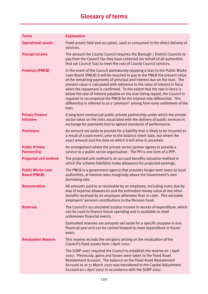| <b>Terms</b>                                    | <b>Explanation</b>                                                                                                                                                                                                                                                                                                                                                                                                                                                                                                                                                                                                                                       |  |
|-------------------------------------------------|----------------------------------------------------------------------------------------------------------------------------------------------------------------------------------------------------------------------------------------------------------------------------------------------------------------------------------------------------------------------------------------------------------------------------------------------------------------------------------------------------------------------------------------------------------------------------------------------------------------------------------------------------------|--|
| <b>Operational assets</b>                       | Fixed assets held and occupied, used or consumed in the direct delivery of<br>services.                                                                                                                                                                                                                                                                                                                                                                                                                                                                                                                                                                  |  |
| <b>Precept income</b>                           | The amount the County Council requires the Borough / District Councils to<br>pay from the Council Tax they have collected (on behalf of all authorities<br>that set Council Tax) to meet the cost of County Council services.                                                                                                                                                                                                                                                                                                                                                                                                                            |  |
| <b>Premium (PWLB)</b>                           | In the event of the Council prematurely repaying a loan to the Public Works<br>Loan Board (PWLB) it will be required to pay to the PWLB the present value<br>of the remaining payments of principal and interest due on the loan. The<br>present value is calculated with reference to the rates of interest in force<br>when the repayment is confirmed. To the extent that the rate in force is<br>below the rate of interest payable on the loan being repaid, the Council is<br>required to recompense the PWLB for the interest rate differential. This<br>differential is referred to as a 'premium' arising from early settlement of the<br>loan. |  |
| <b>Private Finance</b><br><b>Initiative</b>     | A long-term contractual public private partnership under which the private<br>sector takes on the risks associated with the delivery of public services in<br>exchange for payments tied to agreed standards of performance.                                                                                                                                                                                                                                                                                                                                                                                                                             |  |
| <b>Provisions</b>                               | An amount set aside to provide for a liability that is likely to be incurred as<br>a result of a past event, prior to the balance sheet date, but where the<br>exact amount and the date on which it will arise is uncertain.                                                                                                                                                                                                                                                                                                                                                                                                                            |  |
| <b>Public Private</b><br><b>Partnership</b>     | An arrangement where the private sector partner agrees to provide a<br>service to a public sector organisation. The PFI is one form of a PPP.                                                                                                                                                                                                                                                                                                                                                                                                                                                                                                            |  |
| <b>Projected unit method</b>                    | The projected unit method is an accrued benefits valuation method in<br>which the scheme liabilities make allowance for projected earnings.                                                                                                                                                                                                                                                                                                                                                                                                                                                                                                              |  |
| <b>Public Works Loan</b><br><b>Board (PWLB)</b> | The PWLB is a government agency that provides longer-term loans to local<br>authorities, at interest rates marginally above the Government's own<br>borrowing rate.                                                                                                                                                                                                                                                                                                                                                                                                                                                                                      |  |
| <b>Remuneration</b>                             | All amounts paid to or receivable by an employee, including sums due by<br>way of expense allowances and the estimated money value of any other<br>benefits received by an employee otherwise than in cash. This excludes<br>employers' pension contributions to the Pension Fund.                                                                                                                                                                                                                                                                                                                                                                       |  |
| <b>Reserves</b>                                 | The Council's accumulated surplus income in excess of expenditure, which<br>can be used to finance future spending and is available to meet<br>unforeseen financial events.                                                                                                                                                                                                                                                                                                                                                                                                                                                                              |  |
|                                                 | Earmarked reserves are amounts set aside for a specific purpose in one<br>financial year and can be carried forward to meet expenditure in future<br>years.                                                                                                                                                                                                                                                                                                                                                                                                                                                                                              |  |
| <b>Revaluation Reserve</b>                      | This reserve records the net gains arising on the revaluation of the<br>Council's fixed assets from 1 April 2007.                                                                                                                                                                                                                                                                                                                                                                                                                                                                                                                                        |  |
|                                                 | The SORP 2007 required the Council to establish the reserve on 1 April<br>2007. Previously, gains and losses were taken to the Fixed Asset<br>Restatement Account. The balance on the Fixed Asset Restatement<br>Account as at 31 March 2007 was transferred to the Capital Adjustment<br>Account on 1 April 2007 in accordance with the SORP 2007.                                                                                                                                                                                                                                                                                                      |  |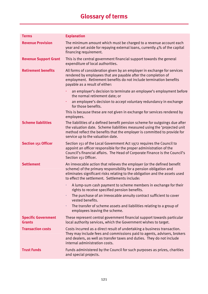| <b>Terms</b>                                | <b>Explanation</b>                                                                                                                                                                                                                                                              |  |
|---------------------------------------------|---------------------------------------------------------------------------------------------------------------------------------------------------------------------------------------------------------------------------------------------------------------------------------|--|
| <b>Revenue Provision</b>                    | The minimum amount which must be charged to a revenue account each<br>year and set aside for repaying external loans, currently 4% of the capital<br>financing requirement.                                                                                                     |  |
| <b>Revenue Support Grant</b>                | This is the central government financial support towards the general<br>expenditure of local authorities.                                                                                                                                                                       |  |
| <b>Retirement benefits</b>                  | All forms of consideration given by an employer in exchange for services<br>rendered by employees that are payable after the completion of<br>employment. Retirement benefits do not include termination benefits<br>payable as a result of either:                             |  |
|                                             | an employer's decision to terminate an employee's employment before<br>the normal retirement date; or                                                                                                                                                                           |  |
|                                             | an employee's decision to accept voluntary redundancy in exchange<br>٠<br>for those benefits.                                                                                                                                                                                   |  |
|                                             | This is because these are not given in exchange for services rendered by<br>employees.                                                                                                                                                                                          |  |
| <b>Scheme liabilities</b>                   | The liabilities of a defined benefit pension scheme for outgoings due after<br>the valuation date. Scheme liabilities measured using the 'projected unit<br>method reflect the benefits that the employer is committed to provide for<br>service up to the valuation date.      |  |
| <b>Section 151 Officer</b>                  | Section 151 of the Local Government Act 1972 requires the Council to<br>appoint an officer responsible for the proper administration of the<br>Council's financial affairs. The Head of Corporate Finance is the Council's<br>Section 151 Officer.                              |  |
| <b>Settlement</b>                           | An irrevocable action that relieves the employer (or the defined benefit<br>scheme) of the primary responsibility for a pension obligation and<br>eliminates significant risks relating to the obligation and the assets used<br>to effect the settlement. Settlements include: |  |
|                                             | A lump-sum cash payment to scheme members in exchange for their<br>٠<br>rights to receive specified pension benefits.                                                                                                                                                           |  |
|                                             | The purchase of an irrevocable annuity contract sufficient to cover<br>$\blacksquare$<br>vested benefits.                                                                                                                                                                       |  |
|                                             | The transfer of scheme assets and liabilities relating to a group of<br>$\blacksquare$<br>employees leaving the scheme.                                                                                                                                                         |  |
| <b>Specific Government</b><br><b>Grants</b> | These represent central government financial support towards particular<br>local authority services, which the Government wishes to target.                                                                                                                                     |  |
| <b>Transaction costs</b>                    | Costs incurred as a direct result of undertaking a business transaction.<br>They may include fees and commissions paid to agents, advisers, brokers<br>and dealers, as well as transfer taxes and duties. They do not include<br>internal administration costs.                 |  |
| <b>Trust Funds</b>                          | Funds administered by the Council for such purposes as prizes, charities<br>and special projects.                                                                                                                                                                               |  |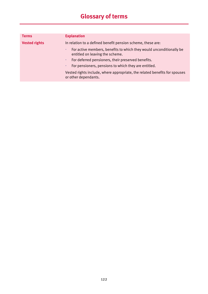| <b>Terms</b>         | <b>Explanation</b>                                                                                          |  |
|----------------------|-------------------------------------------------------------------------------------------------------------|--|
| <b>Vested rights</b> | In relation to a defined benefit pension scheme, these are:                                                 |  |
|                      | For active members, benefits to which they would unconditionally be<br>٠<br>entitled on leaving the scheme. |  |
|                      | For deferred pensioners, their preserved benefits.                                                          |  |
|                      | For pensioners, pensions to which they are entitled.<br>٠                                                   |  |
|                      | Vested rights include, where appropriate, the related benefits for spouses<br>or other dependants.          |  |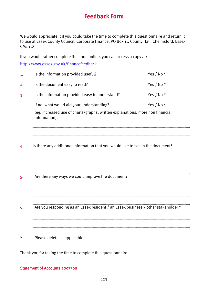## **Feedback Form**

We would appreciate it if you could take the time to complete this questionnaire and return it to use at Essex County Council, Corporate Finance, PO Box 11, County Hall, Chelmsford, Essex CM1 1LX.

If you would rather complete this form online, you can access a copy at:

http://www.essex.gov.uk/financefeedback

| 1.       | Is the information provided useful?                                                            | Yes / No $*$ |  |
|----------|------------------------------------------------------------------------------------------------|--------------|--|
| 2.       | Is the document easy to read?                                                                  | Yes / No*    |  |
| 3.       | Is the information provided easy to understand?                                                | Yes / No *   |  |
|          | If no, what would aid your understanding?                                                      | Yes / No *   |  |
|          | (eg. increased use of charts/graphs, written explanations, more non financial<br>information). |              |  |
| 4.       | Is there any additional information that you would like to see in the document?                |              |  |
|          |                                                                                                |              |  |
| 5.       | Are there any ways we could improve the document?                                              |              |  |
| 6.       | Are you responding as an Essex resident / an Essex business / other stakeholder?*              |              |  |
|          |                                                                                                |              |  |
| $^\star$ | Please delete as applicable                                                                    |              |  |

Thank you for taking the time to complete this questionnaire.

### Statement of Accounts 2007/08